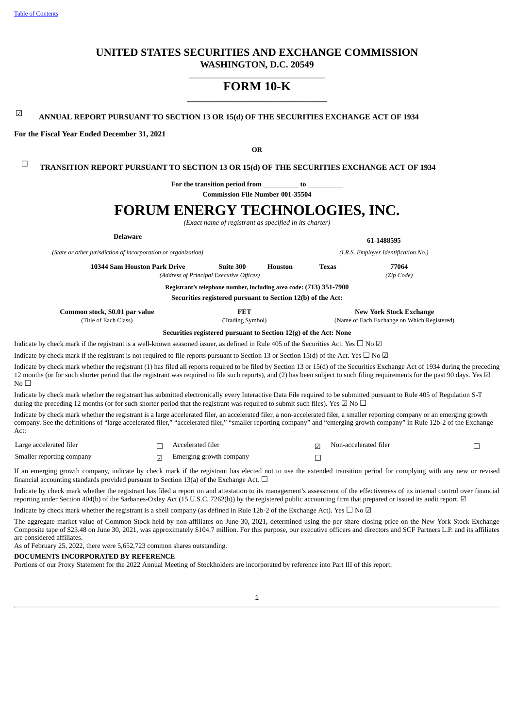# **UNITED STATES SECURITIES AND EXCHANGE COMMISSION WASHINGTON, D.C. 20549**

## **\_\_\_\_\_\_\_\_\_\_\_\_\_\_\_\_\_\_\_\_\_\_\_\_\_\_\_\_\_\_\_\_\_\_\_ FORM 10-K \_\_\_\_\_\_\_\_\_\_\_\_\_\_\_\_\_\_\_\_\_\_\_\_\_\_\_\_\_\_\_\_\_\_\_\_**

# ☑ **ANNUAL REPORT PURSUANT TO SECTION <sup>13</sup> OR 15(d) OF THE SECURITIES EXCHANGE ACT OF <sup>1934</sup>**

**For the Fiscal Year Ended December 31, 2021**

**OR**

☐ **TRANSITION REPORT PURSUANT TO SECTION <sup>13</sup> OR 15(d) OF THE SECURITIES EXCHANGE ACT OF <sup>1934</sup>**

**For the transition period from \_\_\_\_\_\_\_\_\_\_ to \_\_\_\_\_\_\_\_\_\_**

**Commission File Number 001-35504**

# **FORUM ENERGY TECHNOLOGIES, INC.**

*(Exact name of registrant as specified in its charter)*

**Delaware 61-1488595** *(State or other jurisdiction of incorporation or organization) (I.R.S. Employer Identification No.)* **10344 Sam Houston Park Drive Suite 300 Houston Texas 77064** *(Address of Principal Executive Offices) (Zip Code)* **Registrant's telephone number, including area code: (713) 351-7900 Securities registered pursuant to Section 12(b) of the Act: Common stock, \$0.01 par value FET Ref PET New York Stock Exchange** *Common stock, \$0.01 par value Crading Symbol)* **(Trading Symbol) (Name of Each Exchange on Which Reg** (Title of Each Class) (Trading Symbol) (Name of Each Exchange on Which Registered) **Securities registered pursuant to Section 12(g) of the Act: None**

Indicate by check mark if the registrant is a well-known seasoned issuer, as defined in Rule 405 of the Securities Act. Yes  $\Box$  No  $\Box$ 

Indicate by check mark if the registrant is not required to file reports pursuant to Section 13 or Section 15(d) of the Act. Yes  $\Box$  No  $\Box$ 

Indicate by check mark whether the registrant (1) has filed all reports required to be filed by Section 13 or 15(d) of the Securities Exchange Act of 1934 during the preceding 12 months (or for such shorter period that the registrant was required to file such reports), and (2) has been subject to such filing requirements for the past 90 days. Yes ☑  $No<sub>1</sub>$ 

Indicate by check mark whether the registrant has submitted electronically every Interactive Data File required to be submitted pursuant to Rule 405 of Regulation S-T during the preceding 12 months (or for such shorter period that the registrant was required to submit such files). Yes  $\Box$  No  $\Box$ 

Indicate by check mark whether the registrant is a large accelerated filer, an accelerated filer, a non-accelerated filer, a smaller reporting company or an emerging growth company. See the definitions of "large accelerated filer," "accelerated filer," "smaller reporting company" and "emerging growth company" in Rule 12b-2 of the Exchange Act:

| Large accelerated filer   | Accelerated filer       | Non-accelerated filer |  |
|---------------------------|-------------------------|-----------------------|--|
| Smaller reporting company | Emerging growth company |                       |  |

If an emerging growth company, indicate by check mark if the registrant has elected not to use the extended transition period for complying with any new or revised financial accounting standards provided pursuant to Section 13(a) of the Exchange Act.  $\Box$ 

Indicate by check mark whether the registrant has filed a report on and attestation to its management's assessment of the effectiveness of its internal control over financial reporting under Section 404(b) of the Sarbanes-Oxley Act (15 U.S.C. 7262(b)) by the registered public accounting firm that prepared or issued its audit report. ☑

Indicate by check mark whether the registrant is a shell company (as defined in Rule 12b-2 of the Exchange Act). Yes  $\Box$  No  $\Box$ 

The aggregate market value of Common Stock held by non-affiliates on June 30, 2021, determined using the per share closing price on the New York Stock Exchange Composite tape of \$23.48 on June 30, 2021, was approximately \$104.7 million. For this purpose, our executive officers and directors and SCF Partners L.P. and its affiliates are considered affiliates.

As of February 25, 2022, there were 5,652,723 common shares outstanding.

**DOCUMENTS INCORPORATED BY REFERENCE**

<span id="page-0-0"></span>Portions of our Proxy Statement for the 2022 Annual Meeting of Stockholders are incorporated by reference into Part III of this report.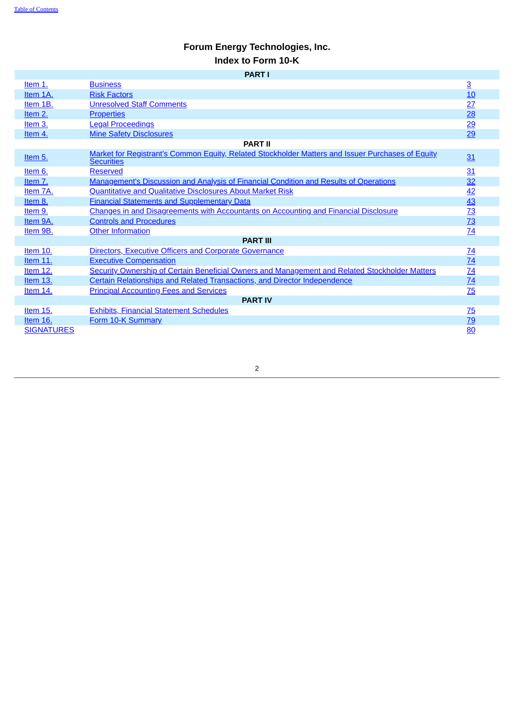# **Forum Energy Technologies, Inc. Index to Form 10-K**

<span id="page-1-0"></span>

| <b>PART I</b>     |                                                                                                                        |                 |  |  |  |  |
|-------------------|------------------------------------------------------------------------------------------------------------------------|-----------------|--|--|--|--|
| Item 1.           | <b>Business</b>                                                                                                        | $\overline{3}$  |  |  |  |  |
| Item 1A.          | <b>Risk Factors</b>                                                                                                    | 10              |  |  |  |  |
| Item 1B.          | <b>Unresolved Staff Comments</b>                                                                                       | 27              |  |  |  |  |
| Item 2.           | <b>Properties</b>                                                                                                      | 28              |  |  |  |  |
| Item 3.           | <b>Legal Proceedings</b>                                                                                               | 29              |  |  |  |  |
| Item 4.           | <b>Mine Safety Disclosures</b>                                                                                         | 29              |  |  |  |  |
|                   | <b>PART II</b>                                                                                                         |                 |  |  |  |  |
| Item 5.           | Market for Registrant's Common Equity, Related Stockholder Matters and Issuer Purchases of Equity<br><b>Securities</b> | 31              |  |  |  |  |
| Item 6.           | <b>Reserved</b>                                                                                                        | 31              |  |  |  |  |
| Item 7.           | <b>Management's Discussion and Analysis of Financial Condition and Results of Operations</b>                           | 32              |  |  |  |  |
| Item 7A.          | <b>Quantitative and Qualitative Disclosures About Market Risk</b>                                                      | 42              |  |  |  |  |
| Item 8.           | <b>Financial Statements and Supplementary Data</b>                                                                     | 43              |  |  |  |  |
| Item 9.           | <b>Changes in and Disagreements with Accountants on Accounting and Financial Disclosure</b>                            | 73              |  |  |  |  |
| Item 9A.          | <b>Controls and Procedures</b>                                                                                         | 73              |  |  |  |  |
| Item 9B.          | <b>Other Information</b>                                                                                               | $\overline{74}$ |  |  |  |  |
|                   | <b>PART III</b>                                                                                                        |                 |  |  |  |  |
| Item 10.          | <b>Directors, Executive Officers and Corporate Governance</b>                                                          | $\frac{74}{1}$  |  |  |  |  |
| Item $11$ .       | <b>Executive Compensation</b>                                                                                          | $\overline{74}$ |  |  |  |  |
| <b>Item 12.</b>   | Security Ownership of Certain Beneficial Owners and Management and Related Stockholder Matters                         | $\overline{74}$ |  |  |  |  |
| <b>Item 13.</b>   | Certain Relationships and Related Transactions, and Director Independence                                              | $\overline{74}$ |  |  |  |  |
| <u>Item 14.</u>   | <b>Principal Accounting Fees and Services</b>                                                                          | Z <sub>5</sub>  |  |  |  |  |
|                   | <b>PART IV</b>                                                                                                         |                 |  |  |  |  |
| <u>Item 15.</u>   | <b>Exhibits, Financial Statement Schedules</b>                                                                         | 75              |  |  |  |  |
| Item 16.          | Form 10-K Summary                                                                                                      | 79              |  |  |  |  |
| <b>SIGNATURES</b> |                                                                                                                        | 80              |  |  |  |  |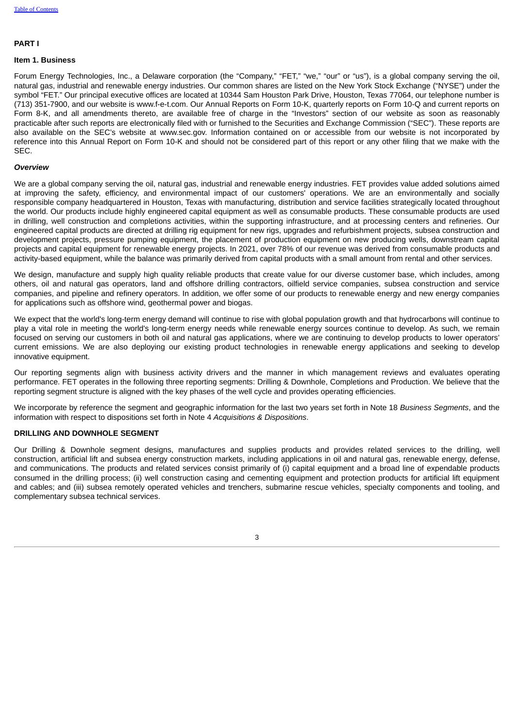## **PART I**

#### **Item 1. Business**

Forum Energy Technologies, Inc., a Delaware corporation (the "Company," "FET," "we," "our" or "us"), is a global company serving the oil, natural gas, industrial and renewable energy industries. Our common shares are listed on the New York Stock Exchange ("NYSE") under the symbol "FET." Our principal executive offices are located at 10344 Sam Houston Park Drive, Houston, Texas 77064, our telephone number is (713) 351-7900, and our website is www.f-e-t.com. Our Annual Reports on Form 10-K, quarterly reports on Form 10-Q and current reports on Form 8-K, and all amendments thereto, are available free of charge in the "Investors" section of our website as soon as reasonably practicable after such reports are electronically filed with or furnished to the Securities and Exchange Commission ("SEC"). These reports are also available on the SEC's website at www.sec.gov. Information contained on or accessible from our website is not incorporated by reference into this Annual Report on Form 10-K and should not be considered part of this report or any other filing that we make with the SEC.

#### *Overview*

We are a global company serving the oil, natural gas, industrial and renewable energy industries. FET provides value added solutions aimed at improving the safety, efficiency, and environmental impact of our customers' operations. We are an environmentally and socially responsible company headquartered in Houston, Texas with manufacturing, distribution and service facilities strategically located throughout the world. Our products include highly engineered capital equipment as well as consumable products. These consumable products are used in drilling, well construction and completions activities, within the supporting infrastructure, and at processing centers and refineries. Our engineered capital products are directed at drilling rig equipment for new rigs, upgrades and refurbishment projects, subsea construction and development projects, pressure pumping equipment, the placement of production equipment on new producing wells, downstream capital projects and capital equipment for renewable energy projects. In 2021, over 78% of our revenue was derived from consumable products and activity-based equipment, while the balance was primarily derived from capital products with a small amount from rental and other services.

We design, manufacture and supply high quality reliable products that create value for our diverse customer base, which includes, among others, oil and natural gas operators, land and offshore drilling contractors, oilfield service companies, subsea construction and service companies, and pipeline and refinery operators. In addition, we offer some of our products to renewable energy and new energy companies for applications such as offshore wind, geothermal power and biogas.

We expect that the world's long-term energy demand will continue to rise with global population growth and that hydrocarbons will continue to play a vital role in meeting the world's long-term energy needs while renewable energy sources continue to develop. As such, we remain focused on serving our customers in both oil and natural gas applications, where we are continuing to develop products to lower operators' current emissions. We are also deploying our existing product technologies in renewable energy applications and seeking to develop innovative equipment.

Our reporting segments align with business activity drivers and the manner in which management reviews and evaluates operating performance. FET operates in the following three reporting segments: Drilling & Downhole, Completions and Production. We believe that the reporting segment structure is aligned with the key phases of the well cycle and provides operating efficiencies.

We incorporate by reference the segment and geographic information for the last two years set forth in Note 18 *Business Segments*, and the information with respect to dispositions set forth in Note 4 *Acquisitions & Dispositions*.

## **DRILLING AND DOWNHOLE SEGMENT**

Our Drilling & Downhole segment designs, manufactures and supplies products and provides related services to the drilling, well construction, artificial lift and subsea energy construction markets, including applications in oil and natural gas, renewable energy, defense, and communications. The products and related services consist primarily of (i) capital equipment and a broad line of expendable products consumed in the drilling process; (ii) well construction casing and cementing equipment and protection products for artificial lift equipment and cables; and (iii) subsea remotely operated vehicles and trenchers, submarine rescue vehicles, specialty components and tooling, and complementary subsea technical services.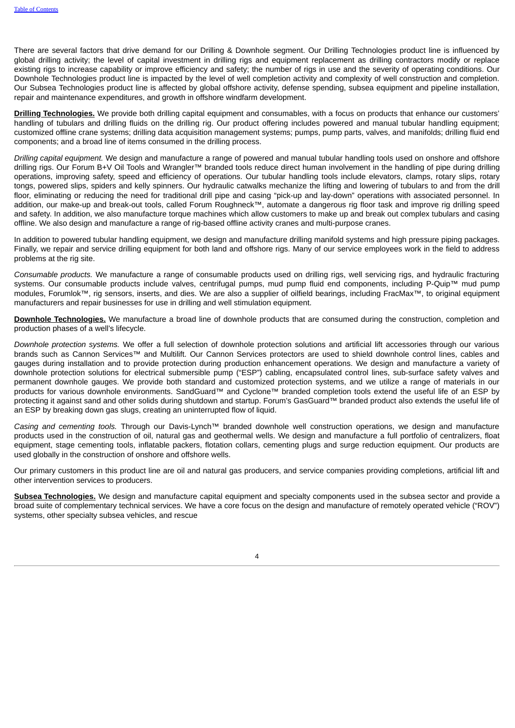There are several factors that drive demand for our Drilling & Downhole segment. Our Drilling Technologies product line is influenced by global drilling activity; the level of capital investment in drilling rigs and equipment replacement as drilling contractors modify or replace existing rigs to increase capability or improve efficiency and safety; the number of rigs in use and the severity of operating conditions. Our Downhole Technologies product line is impacted by the level of well completion activity and complexity of well construction and completion. Our Subsea Technologies product line is affected by global offshore activity, defense spending, subsea equipment and pipeline installation, repair and maintenance expenditures, and growth in offshore windfarm development.

**Drilling Technologies.** We provide both drilling capital equipment and consumables, with a focus on products that enhance our customers' handling of tubulars and drilling fluids on the drilling rig. Our product offering includes powered and manual tubular handling equipment; customized offline crane systems; drilling data acquisition management systems; pumps, pump parts, valves, and manifolds; drilling fluid end components; and a broad line of items consumed in the drilling process.

*Drilling capital equipment.* We design and manufacture a range of powered and manual tubular handling tools used on onshore and offshore drilling rigs. Our Forum B+V Oil Tools and Wrangler™ branded tools reduce direct human involvement in the handling of pipe during drilling operations, improving safety, speed and efficiency of operations. Our tubular handling tools include elevators, clamps, rotary slips, rotary tongs, powered slips, spiders and kelly spinners. Our hydraulic catwalks mechanize the lifting and lowering of tubulars to and from the drill floor, eliminating or reducing the need for traditional drill pipe and casing "pick-up and lay-down" operations with associated personnel. In addition, our make-up and break-out tools, called Forum Roughneck™, automate a dangerous rig floor task and improve rig drilling speed and safety. In addition, we also manufacture torque machines which allow customers to make up and break out complex tubulars and casing offline. We also design and manufacture a range of rig-based offline activity cranes and multi-purpose cranes.

In addition to powered tubular handling equipment, we design and manufacture drilling manifold systems and high pressure piping packages. Finally, we repair and service drilling equipment for both land and offshore rigs. Many of our service employees work in the field to address problems at the rig site.

*Consumable products.* We manufacture a range of consumable products used on drilling rigs, well servicing rigs, and hydraulic fracturing systems. Our consumable products include valves, centrifugal pumps, mud pump fluid end components, including P-Quip™ mud pump modules, Forumlok™, rig sensors, inserts, and dies. We are also a supplier of oilfield bearings, including FracMax™, to original equipment manufacturers and repair businesses for use in drilling and well stimulation equipment.

**Downhole Technologies.** We manufacture a broad line of downhole products that are consumed during the construction, completion and production phases of a well's lifecycle.

*Downhole protection systems.* We offer a full selection of downhole protection solutions and artificial lift accessories through our various brands such as Cannon Services™ and Multilift. Our Cannon Services protectors are used to shield downhole control lines, cables and gauges during installation and to provide protection during production enhancement operations. We design and manufacture a variety of downhole protection solutions for electrical submersible pump ("ESP") cabling, encapsulated control lines, sub-surface safety valves and permanent downhole gauges. We provide both standard and customized protection systems, and we utilize a range of materials in our products for various downhole environments. SandGuard™ and Cyclone™ branded completion tools extend the useful life of an ESP by protecting it against sand and other solids during shutdown and startup. Forum's GasGuard™ branded product also extends the useful life of an ESP by breaking down gas slugs, creating an uninterrupted flow of liquid.

*Casing and cementing tools.* Through our Davis-Lynch™ branded downhole well construction operations, we design and manufacture products used in the construction of oil, natural gas and geothermal wells. We design and manufacture a full portfolio of centralizers, float equipment, stage cementing tools, inflatable packers, flotation collars, cementing plugs and surge reduction equipment. Our products are used globally in the construction of onshore and offshore wells.

Our primary customers in this product line are oil and natural gas producers, and service companies providing completions, artificial lift and other intervention services to producers.

**Subsea Technologies.** We design and manufacture capital equipment and specialty components used in the subsea sector and provide a broad suite of complementary technical services. We have a core focus on the design and manufacture of remotely operated vehicle ("ROV") systems, other specialty subsea vehicles, and rescue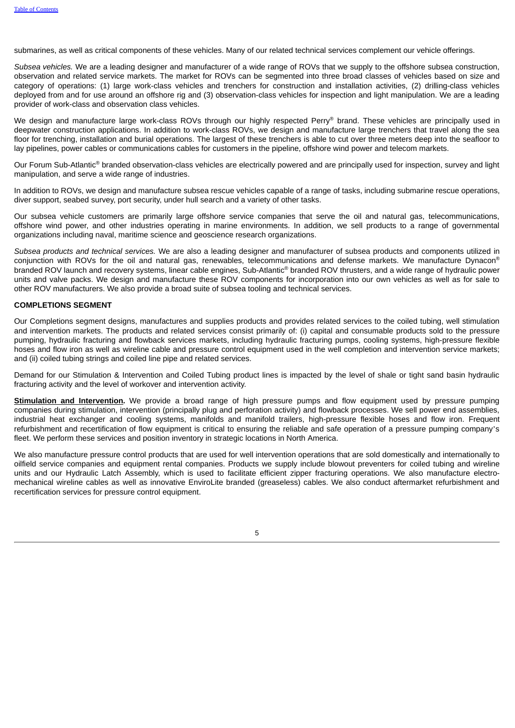submarines, as well as critical components of these vehicles. Many of our related technical services complement our vehicle offerings.

*Subsea vehicles.* We are a leading designer and manufacturer of a wide range of ROVs that we supply to the offshore subsea construction, observation and related service markets. The market for ROVs can be segmented into three broad classes of vehicles based on size and category of operations: (1) large work-class vehicles and trenchers for construction and installation activities, (2) drilling-class vehicles deployed from and for use around an offshore rig and (3) observation-class vehicles for inspection and light manipulation. We are a leading provider of work-class and observation class vehicles.

We design and manufacture large work-class ROVs through our highly respected Perry® brand. These vehicles are principally used in deepwater construction applications. In addition to work-class ROVs, we design and manufacture large trenchers that travel along the sea floor for trenching, installation and burial operations. The largest of these trenchers is able to cut over three meters deep into the seafloor to lay pipelines, power cables or communications cables for customers in the pipeline, offshore wind power and telecom markets.

Our Forum Sub-Atlantic® branded observation-class vehicles are electrically powered and are principally used for inspection, survey and light manipulation, and serve a wide range of industries.

In addition to ROVs, we design and manufacture subsea rescue vehicles capable of a range of tasks, including submarine rescue operations, diver support, seabed survey, port security, under hull search and a variety of other tasks.

Our subsea vehicle customers are primarily large offshore service companies that serve the oil and natural gas, telecommunications, offshore wind power, and other industries operating in marine environments. In addition, we sell products to a range of governmental organizations including naval, maritime science and geoscience research organizations.

*Subsea products and technical services.* We are also a leading designer and manufacturer of subsea products and components utilized in conjunction with ROVs for the oil and natural gas, renewables, telecommunications and defense markets. We manufacture Dynacon ® branded ROV launch and recovery systems, linear cable engines, Sub-Atlantic® branded ROV thrusters, and a wide range of hydraulic power units and valve packs. We design and manufacture these ROV components for incorporation into our own vehicles as well as for sale to other ROV manufacturers. We also provide a broad suite of subsea tooling and technical services.

## **COMPLETIONS SEGMENT**

Our Completions segment designs, manufactures and supplies products and provides related services to the coiled tubing, well stimulation and intervention markets. The products and related services consist primarily of: (i) capital and consumable products sold to the pressure pumping, hydraulic fracturing and flowback services markets, including hydraulic fracturing pumps, cooling systems, high-pressure flexible hoses and flow iron as well as wireline cable and pressure control equipment used in the well completion and intervention service markets; and (ii) coiled tubing strings and coiled line pipe and related services.

Demand for our Stimulation & Intervention and Coiled Tubing product lines is impacted by the level of shale or tight sand basin hydraulic fracturing activity and the level of workover and intervention activity.

**Stimulation and Intervention***.* We provide a broad range of high pressure pumps and flow equipment used by pressure pumping companies during stimulation, intervention (principally plug and perforation activity) and flowback processes. We sell power end assemblies, industrial heat exchanger and cooling systems, manifolds and manifold trailers, high-pressure flexible hoses and flow iron. Frequent refurbishment and recertification of flow equipment is critical to ensuring the reliable and safe operation of a pressure pumping company's fleet. We perform these services and position inventory in strategic locations in North America.

We also manufacture pressure control products that are used for well intervention operations that are sold domestically and internationally to oilfield service companies and equipment rental companies. Products we supply include blowout preventers for coiled tubing and wireline units and our Hydraulic Latch Assembly, which is used to facilitate efficient zipper fracturing operations. We also manufacture electromechanical wireline cables as well as innovative EnviroLite branded (greaseless) cables. We also conduct aftermarket refurbishment and recertification services for pressure control equipment.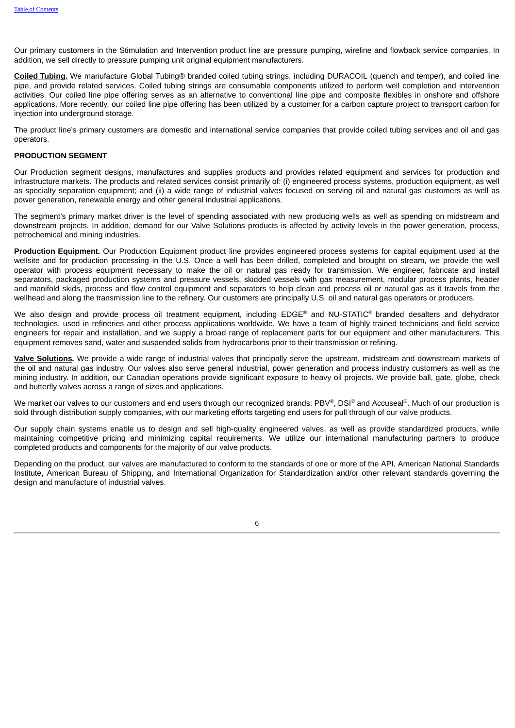Our primary customers in the Stimulation and Intervention product line are pressure pumping, wireline and flowback service companies. In addition, we sell directly to pressure pumping unit original equipment manufacturers.

**Coiled Tubing.** We manufacture Global Tubing® branded coiled tubing strings, including DURACOIL (quench and temper), and coiled line pipe, and provide related services. Coiled tubing strings are consumable components utilized to perform well completion and intervention activities. Our coiled line pipe offering serves as an alternative to conventional line pipe and composite flexibles in onshore and offshore applications. More recently, our coiled line pipe offering has been utilized by a customer for a carbon capture project to transport carbon for injection into underground storage.

The product line's primary customers are domestic and international service companies that provide coiled tubing services and oil and gas operators.

## **PRODUCTION SEGMENT**

Our Production segment designs, manufactures and supplies products and provides related equipment and services for production and infrastructure markets. The products and related services consist primarily of: (i) engineered process systems, production equipment, as well as specialty separation equipment; and (ii) a wide range of industrial valves focused on serving oil and natural gas customers as well as power generation, renewable energy and other general industrial applications.

The segment's primary market driver is the level of spending associated with new producing wells as well as spending on midstream and downstream projects. In addition, demand for our Valve Solutions products is affected by activity levels in the power generation, process, petrochemical and mining industries.

**Production Equipment***.* Our Production Equipment product line provides engineered process systems for capital equipment used at the wellsite and for production processing in the U.S. Once a well has been drilled, completed and brought on stream, we provide the well operator with process equipment necessary to make the oil or natural gas ready for transmission. We engineer, fabricate and install separators, packaged production systems and pressure vessels, skidded vessels with gas measurement, modular process plants, header and manifold skids, process and flow control equipment and separators to help clean and process oil or natural gas as it travels from the wellhead and along the transmission line to the refinery. Our customers are principally U.S. oil and natural gas operators or producers.

We also design and provide process oil treatment equipment, including EDGE® and NU-STATIC® branded desalters and dehydrator technologies, used in refineries and other process applications worldwide. We have a team of highly trained technicians and field service engineers for repair and installation, and we supply a broad range of replacement parts for our equipment and other manufacturers. This equipment removes sand, water and suspended solids from hydrocarbons prior to their transmission or refining.

**Valve Solutions***.* We provide a wide range of industrial valves that principally serve the upstream, midstream and downstream markets of the oil and natural gas industry. Our valves also serve general industrial, power generation and process industry customers as well as the mining industry. In addition, our Canadian operations provide significant exposure to heavy oil projects. We provide ball, gate, globe, check and butterfly valves across a range of sizes and applications.

We market our valves to our customers and end users through our recognized brands: PBV®, DSI® and Accuseal®. Much of our production is sold through distribution supply companies, with our marketing efforts targeting end users for pull through of our valve products.

Our supply chain systems enable us to design and sell high-quality engineered valves, as well as provide standardized products, while maintaining competitive pricing and minimizing capital requirements. We utilize our international manufacturing partners to produce completed products and components for the majority of our valve products.

Depending on the product, our valves are manufactured to conform to the standards of one or more of the API, American National Standards Institute, American Bureau of Shipping, and International Organization for Standardization and/or other relevant standards governing the design and manufacture of industrial valves.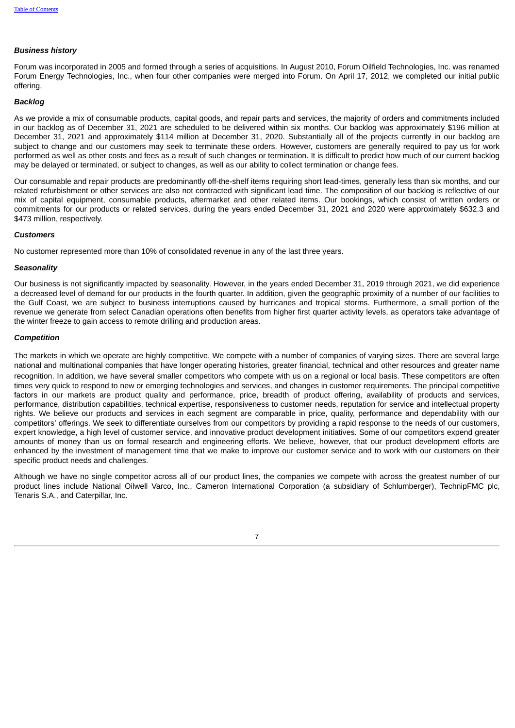## *Business history*

Forum was incorporated in 2005 and formed through a series of acquisitions. In August 2010, Forum Oilfield Technologies, Inc. was renamed Forum Energy Technologies, Inc., when four other companies were merged into Forum. On April 17, 2012, we completed our initial public offering.

#### *Backlog*

As we provide a mix of consumable products, capital goods, and repair parts and services, the majority of orders and commitments included in our backlog as of December 31, 2021 are scheduled to be delivered within six months. Our backlog was approximately \$196 million at December 31, 2021 and approximately \$114 million at December 31, 2020. Substantially all of the projects currently in our backlog are subject to change and our customers may seek to terminate these orders. However, customers are generally required to pay us for work performed as well as other costs and fees as a result of such changes or termination. It is difficult to predict how much of our current backlog may be delayed or terminated, or subject to changes, as well as our ability to collect termination or change fees.

Our consumable and repair products are predominantly off-the-shelf items requiring short lead-times, generally less than six months, and our related refurbishment or other services are also not contracted with significant lead time. The composition of our backlog is reflective of our mix of capital equipment, consumable products, aftermarket and other related items. Our bookings, which consist of written orders or commitments for our products or related services, during the years ended December 31, 2021 and 2020 were approximately \$632.3 and \$473 million, respectively.

#### *Customers*

No customer represented more than 10% of consolidated revenue in any of the last three years.

#### *Seasonality*

Our business is not significantly impacted by seasonality. However, in the years ended December 31, 2019 through 2021, we did experience a decreased level of demand for our products in the fourth quarter. In addition, given the geographic proximity of a number of our facilities to the Gulf Coast, we are subject to business interruptions caused by hurricanes and tropical storms. Furthermore, a small portion of the revenue we generate from select Canadian operations often benefits from higher first quarter activity levels, as operators take advantage of the winter freeze to gain access to remote drilling and production areas.

### *Competition*

The markets in which we operate are highly competitive. We compete with a number of companies of varying sizes. There are several large national and multinational companies that have longer operating histories, greater financial, technical and other resources and greater name recognition. In addition, we have several smaller competitors who compete with us on a regional or local basis. These competitors are often times very quick to respond to new or emerging technologies and services, and changes in customer requirements. The principal competitive factors in our markets are product quality and performance, price, breadth of product offering, availability of products and services, performance, distribution capabilities, technical expertise, responsiveness to customer needs, reputation for service and intellectual property rights. We believe our products and services in each segment are comparable in price, quality, performance and dependability with our competitors' offerings. We seek to differentiate ourselves from our competitors by providing a rapid response to the needs of our customers, expert knowledge, a high level of customer service, and innovative product development initiatives. Some of our competitors expend greater amounts of money than us on formal research and engineering efforts. We believe, however, that our product development efforts are enhanced by the investment of management time that we make to improve our customer service and to work with our customers on their specific product needs and challenges.

Although we have no single competitor across all of our product lines, the companies we compete with across the greatest number of our product lines include National Oilwell Varco, Inc., Cameron International Corporation (a subsidiary of Schlumberger), TechnipFMC plc, Tenaris S.A., and Caterpillar, Inc.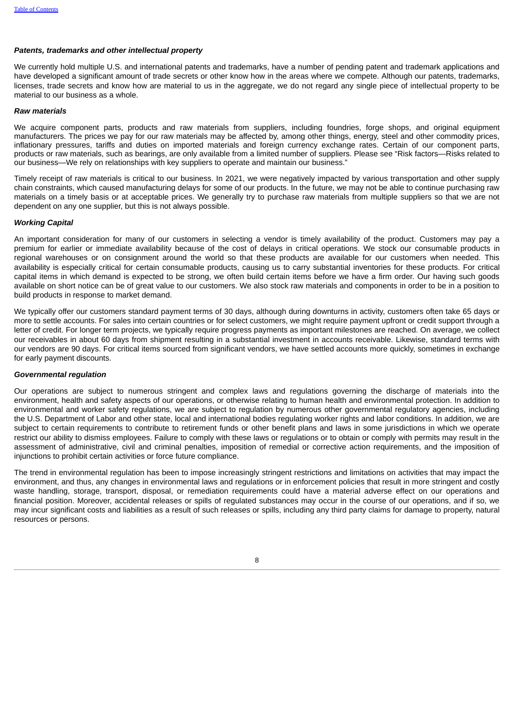## *Patents, trademarks and other intellectual property*

We currently hold multiple U.S. and international patents and trademarks, have a number of pending patent and trademark applications and have developed a significant amount of trade secrets or other know how in the areas where we compete. Although our patents, trademarks, licenses, trade secrets and know how are material to us in the aggregate, we do not regard any single piece of intellectual property to be material to our business as a whole.

## *Raw materials*

We acquire component parts, products and raw materials from suppliers, including foundries, forge shops, and original equipment manufacturers. The prices we pay for our raw materials may be affected by, among other things, energy, steel and other commodity prices, inflationary pressures, tariffs and duties on imported materials and foreign currency exchange rates. Certain of our component parts, products or raw materials, such as bearings, are only available from a limited number of suppliers. Please see "Risk factors—Risks related to our business—We rely on relationships with key suppliers to operate and maintain our business."

Timely receipt of raw materials is critical to our business. In 2021, we were negatively impacted by various transportation and other supply chain constraints, which caused manufacturing delays for some of our products. In the future, we may not be able to continue purchasing raw materials on a timely basis or at acceptable prices. We generally try to purchase raw materials from multiple suppliers so that we are not dependent on any one supplier, but this is not always possible.

## *Working Capital*

An important consideration for many of our customers in selecting a vendor is timely availability of the product. Customers may pay a premium for earlier or immediate availability because of the cost of delays in critical operations. We stock our consumable products in regional warehouses or on consignment around the world so that these products are available for our customers when needed. This availability is especially critical for certain consumable products, causing us to carry substantial inventories for these products. For critical capital items in which demand is expected to be strong, we often build certain items before we have a firm order. Our having such goods available on short notice can be of great value to our customers. We also stock raw materials and components in order to be in a position to build products in response to market demand.

We typically offer our customers standard payment terms of 30 days, although during downturns in activity, customers often take 65 days or more to settle accounts. For sales into certain countries or for select customers, we might require payment upfront or credit support through a letter of credit. For longer term projects, we typically require progress payments as important milestones are reached. On average, we collect our receivables in about 60 days from shipment resulting in a substantial investment in accounts receivable. Likewise, standard terms with our vendors are 90 days. For critical items sourced from significant vendors, we have settled accounts more quickly, sometimes in exchange for early payment discounts.

## *Governmental regulation*

Our operations are subject to numerous stringent and complex laws and regulations governing the discharge of materials into the environment, health and safety aspects of our operations, or otherwise relating to human health and environmental protection. In addition to environmental and worker safety regulations, we are subject to regulation by numerous other governmental regulatory agencies, including the U.S. Department of Labor and other state, local and international bodies regulating worker rights and labor conditions. In addition, we are subject to certain requirements to contribute to retirement funds or other benefit plans and laws in some jurisdictions in which we operate restrict our ability to dismiss employees. Failure to comply with these laws or regulations or to obtain or comply with permits may result in the assessment of administrative, civil and criminal penalties, imposition of remedial or corrective action requirements, and the imposition of injunctions to prohibit certain activities or force future compliance.

The trend in environmental regulation has been to impose increasingly stringent restrictions and limitations on activities that may impact the environment, and thus, any changes in environmental laws and regulations or in enforcement policies that result in more stringent and costly waste handling, storage, transport, disposal, or remediation requirements could have a material adverse effect on our operations and financial position. Moreover, accidental releases or spills of regulated substances may occur in the course of our operations, and if so, we may incur significant costs and liabilities as a result of such releases or spills, including any third party claims for damage to property, natural resources or persons.

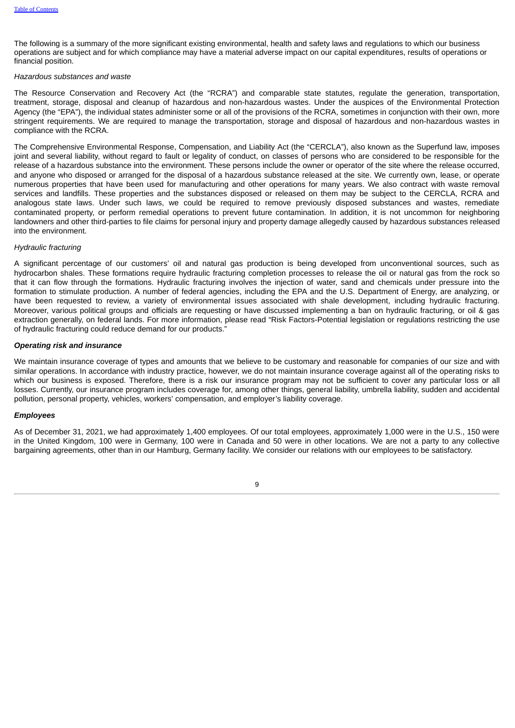The following is a summary of the more significant existing environmental, health and safety laws and regulations to which our business operations are subject and for which compliance may have a material adverse impact on our capital expenditures, results of operations or financial position.

#### *Hazardous substances and waste*

The Resource Conservation and Recovery Act (the "RCRA") and comparable state statutes, regulate the generation, transportation, treatment, storage, disposal and cleanup of hazardous and non-hazardous wastes. Under the auspices of the Environmental Protection Agency (the "EPA"), the individual states administer some or all of the provisions of the RCRA, sometimes in conjunction with their own, more stringent requirements. We are required to manage the transportation, storage and disposal of hazardous and non-hazardous wastes in compliance with the RCRA.

The Comprehensive Environmental Response, Compensation, and Liability Act (the "CERCLA"), also known as the Superfund law, imposes joint and several liability, without regard to fault or legality of conduct, on classes of persons who are considered to be responsible for the release of a hazardous substance into the environment. These persons include the owner or operator of the site where the release occurred, and anyone who disposed or arranged for the disposal of a hazardous substance released at the site. We currently own, lease, or operate numerous properties that have been used for manufacturing and other operations for many years. We also contract with waste removal services and landfills. These properties and the substances disposed or released on them may be subject to the CERCLA, RCRA and analogous state laws. Under such laws, we could be required to remove previously disposed substances and wastes, remediate contaminated property, or perform remedial operations to prevent future contamination. In addition, it is not uncommon for neighboring landowners and other third-parties to file claims for personal injury and property damage allegedly caused by hazardous substances released into the environment.

#### *Hydraulic fracturing*

A significant percentage of our customers' oil and natural gas production is being developed from unconventional sources, such as hydrocarbon shales. These formations require hydraulic fracturing completion processes to release the oil or natural gas from the rock so that it can flow through the formations. Hydraulic fracturing involves the injection of water, sand and chemicals under pressure into the formation to stimulate production. A number of federal agencies, including the EPA and the U.S. Department of Energy, are analyzing, or have been requested to review, a variety of environmental issues associated with shale development, including hydraulic fracturing. Moreover, various political groups and officials are requesting or have discussed implementing a ban on hydraulic fracturing, or oil & gas extraction generally, on federal lands. For more information, please read "Risk Factors-Potential legislation or regulations restricting the use of hydraulic fracturing could reduce demand for our products."

## *Operating risk and insurance*

We maintain insurance coverage of types and amounts that we believe to be customary and reasonable for companies of our size and with similar operations. In accordance with industry practice, however, we do not maintain insurance coverage against all of the operating risks to which our business is exposed. Therefore, there is a risk our insurance program may not be sufficient to cover any particular loss or all losses. Currently, our insurance program includes coverage for, among other things, general liability, umbrella liability, sudden and accidental pollution, personal property, vehicles, workers' compensation, and employer's liability coverage.

#### *Employees*

<span id="page-8-0"></span>As of December 31, 2021, we had approximately 1,400 employees. Of our total employees, approximately 1,000 were in the U.S., 150 were in the United Kingdom, 100 were in Germany, 100 were in Canada and 50 were in other locations. We are not a party to any collective bargaining agreements, other than in our Hamburg, Germany facility. We consider our relations with our employees to be satisfactory.

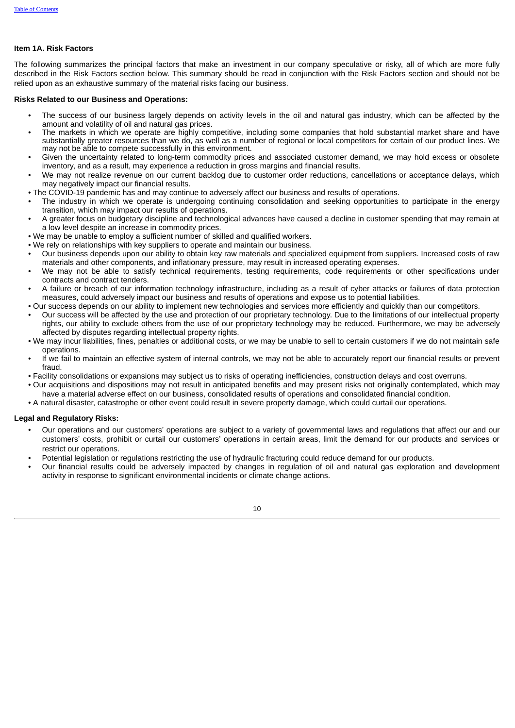## **Item 1A. Risk Factors**

The following summarizes the principal factors that make an investment in our company speculative or risky, all of which are more fully described in the Risk Factors section below. This summary should be read in conjunction with the Risk Factors section and should not be relied upon as an exhaustive summary of the material risks facing our business.

## **Risks Related to our Business and Operations:**

- The success of our business largely depends on activity levels in the oil and natural gas industry, which can be affected by the amount and volatility of oil and natural gas prices.
- The markets in which we operate are highly competitive, including some companies that hold substantial market share and have substantially greater resources than we do, as well as a number of regional or local competitors for certain of our product lines. We may not be able to compete successfully in this environment.
- Given the uncertainty related to long-term commodity prices and associated customer demand, we may hold excess or obsolete inventory, and as a result, may experience a reduction in gross margins and financial results.
- We may not realize revenue on our current backlog due to customer order reductions, cancellations or acceptance delays, which may negatively impact our financial results.
- The COVID-19 pandemic has and may continue to adversely affect our business and results of operations.
- The industry in which we operate is undergoing continuing consolidation and seeking opportunities to participate in the energy transition, which may impact our results of operations.
- A greater focus on budgetary discipline and technological advances have caused a decline in customer spending that may remain at a low level despite an increase in commodity prices.
- We may be unable to employ a sufficient number of skilled and qualified workers.
- We rely on relationships with key suppliers to operate and maintain our business.
- Our business depends upon our ability to obtain key raw materials and specialized equipment from suppliers. Increased costs of raw materials and other components, and inflationary pressure, may result in increased operating expenses.
- We may not be able to satisfy technical requirements, testing requirements, code requirements or other specifications under contracts and contract tenders.
- A failure or breach of our information technology infrastructure, including as a result of cyber attacks or failures of data protection measures, could adversely impact our business and results of operations and expose us to potential liabilities.
- Our success depends on our ability to implement new technologies and services more efficiently and quickly than our competitors.
- Our success will be affected by the use and protection of our proprietary technology. Due to the limitations of our intellectual property rights, our ability to exclude others from the use of our proprietary technology may be reduced. Furthermore, we may be adversely affected by disputes regarding intellectual property rights.
- We may incur liabilities, fines, penalties or additional costs, or we may be unable to sell to certain customers if we do not maintain safe operations.
- If we fail to maintain an effective system of internal controls, we may not be able to accurately report our financial results or prevent fraud.
- Facility consolidations or expansions may subject us to risks of operating inefficiencies, construction delays and cost overruns.
- Our acquisitions and dispositions may not result in anticipated benefits and may present risks not originally contemplated, which may have a material adverse effect on our business, consolidated results of operations and consolidated financial condition.
- A natural disaster, catastrophe or other event could result in severe property damage, which could curtail our operations.

#### **Legal and Regulatory Risks:**

- Our operations and our customers' operations are subject to a variety of governmental laws and regulations that affect our and our customers' costs, prohibit or curtail our customers' operations in certain areas, limit the demand for our products and services or restrict our operations.
- Potential legislation or regulations restricting the use of hydraulic fracturing could reduce demand for our products.
- Our financial results could be adversely impacted by changes in regulation of oil and natural gas exploration and development activity in response to significant environmental incidents or climate change actions.

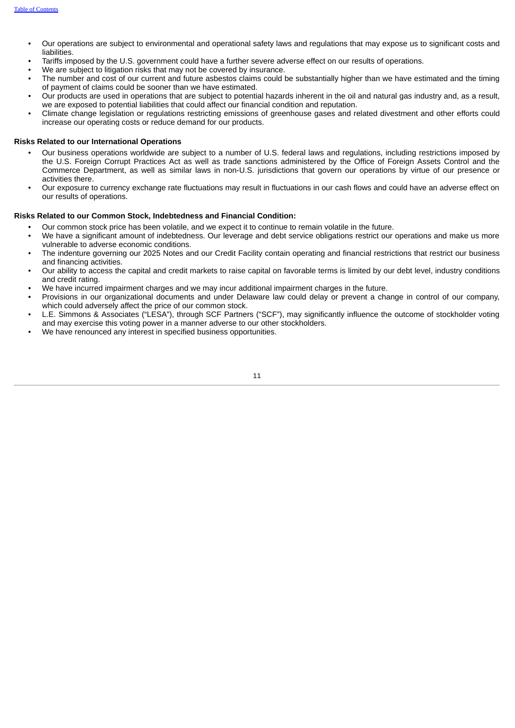- Our operations are subject to environmental and operational safety laws and regulations that may expose us to significant costs and liabilities.
- Tariffs imposed by the U.S. government could have a further severe adverse effect on our results of operations.
- We are subject to litigation risks that may not be covered by insurance.
- The number and cost of our current and future asbestos claims could be substantially higher than we have estimated and the timing of payment of claims could be sooner than we have estimated.
- Our products are used in operations that are subject to potential hazards inherent in the oil and natural gas industry and, as a result, we are exposed to potential liabilities that could affect our financial condition and reputation.
- Climate change legislation or regulations restricting emissions of greenhouse gases and related divestment and other efforts could increase our operating costs or reduce demand for our products.

#### **Risks Related to our International Operations**

- Our business operations worldwide are subject to a number of U.S. federal laws and regulations, including restrictions imposed by the U.S. Foreign Corrupt Practices Act as well as trade sanctions administered by the Office of Foreign Assets Control and the Commerce Department, as well as similar laws in non-U.S. jurisdictions that govern our operations by virtue of our presence or activities there.
- Our exposure to currency exchange rate fluctuations may result in fluctuations in our cash flows and could have an adverse effect on our results of operations.

#### **Risks Related to our Common Stock, Indebtedness and Financial Condition:**

- Our common stock price has been volatile, and we expect it to continue to remain volatile in the future.
- We have a significant amount of indebtedness. Our leverage and debt service obligations restrict our operations and make us more vulnerable to adverse economic conditions.
- The indenture governing our 2025 Notes and our Credit Facility contain operating and financial restrictions that restrict our business and financing activities.
- Our ability to access the capital and credit markets to raise capital on favorable terms is limited by our debt level, industry conditions and credit rating.
- We have incurred impairment charges and we may incur additional impairment charges in the future.
- Provisions in our organizational documents and under Delaware law could delay or prevent a change in control of our company, which could adversely affect the price of our common stock.
- L.E. Simmons & Associates ("LESA"), through SCF Partners ("SCF"), may significantly influence the outcome of stockholder voting and may exercise this voting power in a manner adverse to our other stockholders.
- We have renounced any interest in specified business opportunities.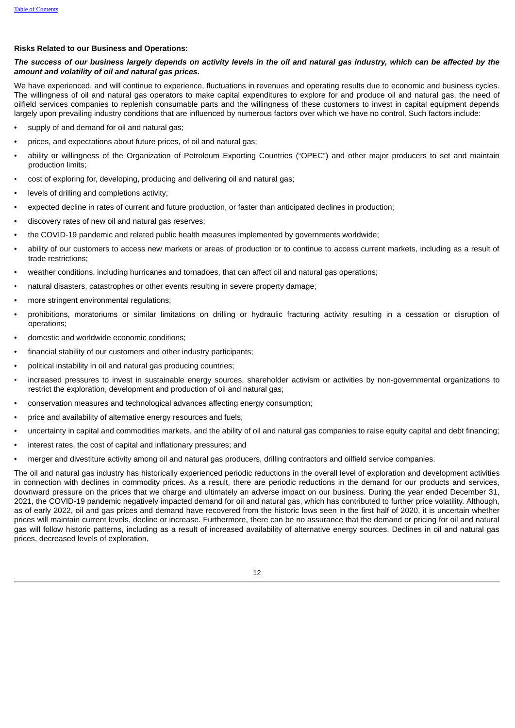## **Risks Related to our Business and Operations:**

## The success of our business largely depends on activity levels in the oil and natural gas industry, which can be affected by the *amount and volatility of oil and natural gas prices.*

We have experienced, and will continue to experience, fluctuations in revenues and operating results due to economic and business cycles. The willingness of oil and natural gas operators to make capital expenditures to explore for and produce oil and natural gas, the need of oilfield services companies to replenish consumable parts and the willingness of these customers to invest in capital equipment depends largely upon prevailing industry conditions that are influenced by numerous factors over which we have no control. Such factors include:

- supply of and demand for oil and natural gas;
- prices, and expectations about future prices, of oil and natural gas;
- ability or willingness of the Organization of Petroleum Exporting Countries ("OPEC") and other major producers to set and maintain production limits;
- cost of exploring for, developing, producing and delivering oil and natural gas;
- levels of drilling and completions activity;
- expected decline in rates of current and future production, or faster than anticipated declines in production;
- discovery rates of new oil and natural gas reserves;
- the COVID-19 pandemic and related public health measures implemented by governments worldwide;
- ability of our customers to access new markets or areas of production or to continue to access current markets, including as a result of trade restrictions;
- weather conditions, including hurricanes and tornadoes, that can affect oil and natural gas operations;
- natural disasters, catastrophes or other events resulting in severe property damage;
- more stringent environmental regulations;
- prohibitions, moratoriums or similar limitations on drilling or hydraulic fracturing activity resulting in a cessation or disruption of operations;
- domestic and worldwide economic conditions;
- financial stability of our customers and other industry participants;
- political instability in oil and natural gas producing countries;
- increased pressures to invest in sustainable energy sources, shareholder activism or activities by non-governmental organizations to restrict the exploration, development and production of oil and natural gas;
- conservation measures and technological advances affecting energy consumption;
- price and availability of alternative energy resources and fuels;
- uncertainty in capital and commodities markets, and the ability of oil and natural gas companies to raise equity capital and debt financing;
- interest rates, the cost of capital and inflationary pressures; and
- merger and divestiture activity among oil and natural gas producers, drilling contractors and oilfield service companies.

The oil and natural gas industry has historically experienced periodic reductions in the overall level of exploration and development activities in connection with declines in commodity prices. As a result, there are periodic reductions in the demand for our products and services, downward pressure on the prices that we charge and ultimately an adverse impact on our business. During the year ended December 31, 2021, the COVID-19 pandemic negatively impacted demand for oil and natural gas, which has contributed to further price volatility. Although, as of early 2022, oil and gas prices and demand have recovered from the historic lows seen in the first half of 2020, it is uncertain whether prices will maintain current levels, decline or increase. Furthermore, there can be no assurance that the demand or pricing for oil and natural gas will follow historic patterns, including as a result of increased availability of alternative energy sources. Declines in oil and natural gas prices, decreased levels of exploration,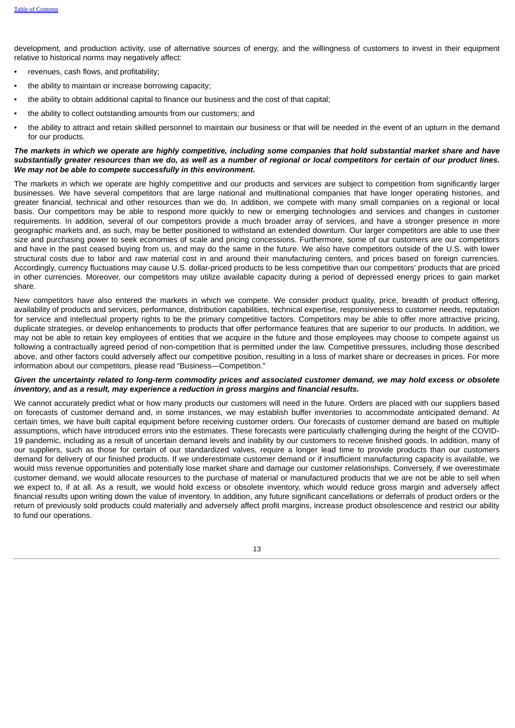development, and production activity, use of alternative sources of energy, and the willingness of customers to invest in their equipment relative to historical norms may negatively affect:

- revenues, cash flows, and profitability;
- the ability to maintain or increase borrowing capacity:
- the ability to obtain additional capital to finance our business and the cost of that capital;
- the ability to collect outstanding amounts from our customers; and
- the ability to attract and retain skilled personnel to maintain our business or that will be needed in the event of an upturn in the demand for our products.

## The markets in which we operate are highly competitive, including some companies that hold substantial market share and have substantially greater resources than we do, as well as a number of regional or local competitors for certain of our product lines. *We may not be able to compete successfully in this environment.*

The markets in which we operate are highly competitive and our products and services are subject to competition from significantly larger businesses. We have several competitors that are large national and multinational companies that have longer operating histories, and greater financial, technical and other resources than we do. In addition, we compete with many small companies on a regional or local basis. Our competitors may be able to respond more quickly to new or emerging technologies and services and changes in customer requirements. In addition, several of our competitors provide a much broader array of services, and have a stronger presence in more geographic markets and, as such, may be better positioned to withstand an extended downturn. Our larger competitors are able to use their size and purchasing power to seek economies of scale and pricing concessions. Furthermore, some of our customers are our competitors and have in the past ceased buying from us, and may do the same in the future. We also have competitors outside of the U.S. with lower structural costs due to labor and raw material cost in and around their manufacturing centers, and prices based on foreign currencies. Accordingly, currency fluctuations may cause U.S. dollar-priced products to be less competitive than our competitors' products that are priced in other currencies. Moreover, our competitors may utilize available capacity during a period of depressed energy prices to gain market share.

New competitors have also entered the markets in which we compete. We consider product quality, price, breadth of product offering, availability of products and services, performance, distribution capabilities, technical expertise, responsiveness to customer needs, reputation for service and intellectual property rights to be the primary competitive factors. Competitors may be able to offer more attractive pricing, duplicate strategies, or develop enhancements to products that offer performance features that are superior to our products. In addition, we may not be able to retain key employees of entities that we acquire in the future and those employees may choose to compete against us following a contractually agreed period of non-competition that is permitted under the law. Competitive pressures, including those described above, and other factors could adversely affect our competitive position, resulting in a loss of market share or decreases in prices. For more information about our competitors, please read "Business—Competition."

## Given the uncertainty related to long-term commodity prices and associated customer demand, we may hold excess or obsolete *inventory, and as a result, may experience a reduction in gross margins and financial results.*

We cannot accurately predict what or how many products our customers will need in the future. Orders are placed with our suppliers based on forecasts of customer demand and, in some instances, we may establish buffer inventories to accommodate anticipated demand. At certain times, we have built capital equipment before receiving customer orders. Our forecasts of customer demand are based on multiple assumptions, which have introduced errors into the estimates. These forecasts were particularly challenging during the height of the COVID-19 pandemic, including as a result of uncertain demand levels and inability by our customers to receive finished goods. In addition, many of our suppliers, such as those for certain of our standardized valves, require a longer lead time to provide products than our customers demand for delivery of our finished products. If we underestimate customer demand or if insufficient manufacturing capacity is available, we would miss revenue opportunities and potentially lose market share and damage our customer relationships. Conversely, if we overestimate customer demand, we would allocate resources to the purchase of material or manufactured products that we are not be able to sell when we expect to, if at all. As a result, we would hold excess or obsolete inventory, which would reduce gross margin and adversely affect financial results upon writing down the value of inventory. In addition, any future significant cancellations or deferrals of product orders or the return of previously sold products could materially and adversely affect profit margins, increase product obsolescence and restrict our ability to fund our operations.

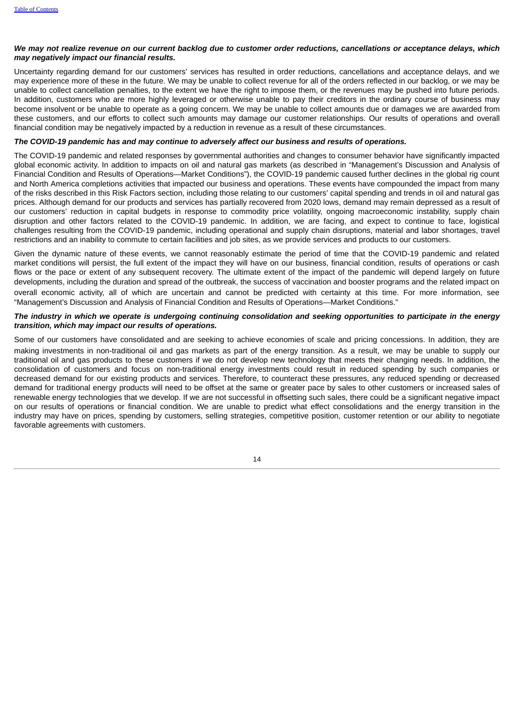## We may not realize revenue on our current backlog due to customer order reductions, cancellations or acceptance delays, which *may negatively impact our financial results.*

Uncertainty regarding demand for our customers' services has resulted in order reductions, cancellations and acceptance delays, and we may experience more of these in the future. We may be unable to collect revenue for all of the orders reflected in our backlog, or we may be unable to collect cancellation penalties, to the extent we have the right to impose them, or the revenues may be pushed into future periods. In addition, customers who are more highly leveraged or otherwise unable to pay their creditors in the ordinary course of business may become insolvent or be unable to operate as a going concern. We may be unable to collect amounts due or damages we are awarded from these customers, and our efforts to collect such amounts may damage our customer relationships. Our results of operations and overall financial condition may be negatively impacted by a reduction in revenue as a result of these circumstances.

## *The COVID-19 pandemic has and may continue to adversely affect our business and results of operations.*

The COVID-19 pandemic and related responses by governmental authorities and changes to consumer behavior have significantly impacted global economic activity. In addition to impacts on oil and natural gas markets (as described in "Management's Discussion and Analysis of Financial Condition and Results of Operations—Market Conditions"), the COVID-19 pandemic caused further declines in the global rig count and North America completions activities that impacted our business and operations. These events have compounded the impact from many of the risks described in this Risk Factors section, including those relating to our customers' capital spending and trends in oil and natural gas prices. Although demand for our products and services has partially recovered from 2020 lows, demand may remain depressed as a result of our customers' reduction in capital budgets in response to commodity price volatility, ongoing macroeconomic instability, supply chain disruption and other factors related to the COVID-19 pandemic. In addition, we are facing, and expect to continue to face, logistical challenges resulting from the COVID-19 pandemic, including operational and supply chain disruptions, material and labor shortages, travel restrictions and an inability to commute to certain facilities and job sites, as we provide services and products to our customers.

Given the dynamic nature of these events, we cannot reasonably estimate the period of time that the COVID-19 pandemic and related market conditions will persist, the full extent of the impact they will have on our business, financial condition, results of operations or cash flows or the pace or extent of any subsequent recovery. The ultimate extent of the impact of the pandemic will depend largely on future developments, including the duration and spread of the outbreak, the success of vaccination and booster programs and the related impact on overall economic activity, all of which are uncertain and cannot be predicted with certainty at this time. For more information, see "Management's Discussion and Analysis of Financial Condition and Results of Operations—Market Conditions."

## The industry in which we operate is undergoing continuing consolidation and seeking opportunities to participate in the energy *transition, which may impact our results of operations.*

Some of our customers have consolidated and are seeking to achieve economies of scale and pricing concessions. In addition, they are making investments in non-traditional oil and gas markets as part of the energy transition. As a result, we may be unable to supply our traditional oil and gas products to these customers if we do not develop new technology that meets their changing needs. In addition, the consolidation of customers and focus on non-traditional energy investments could result in reduced spending by such companies or decreased demand for our existing products and services. Therefore, to counteract these pressures, any reduced spending or decreased demand for traditional energy products will need to be offset at the same or greater pace by sales to other customers or increased sales of renewable energy technologies that we develop. If we are not successful in offsetting such sales, there could be a significant negative impact on our results of operations or financial condition. We are unable to predict what effect consolidations and the energy transition in the industry may have on prices, spending by customers, selling strategies, competitive position, customer retention or our ability to negotiate favorable agreements with customers.

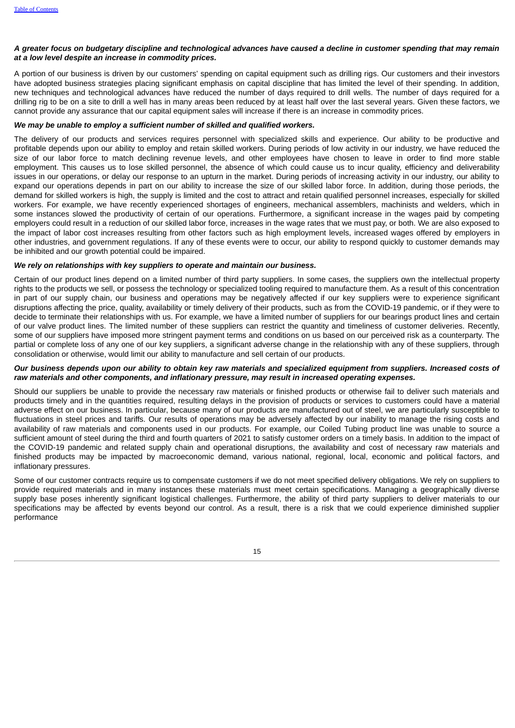## A greater focus on budgetary discipline and technological advances have caused a decline in customer spending that may remain *at a low level despite an increase in commodity prices.*

A portion of our business is driven by our customers' spending on capital equipment such as drilling rigs. Our customers and their investors have adopted business strategies placing significant emphasis on capital discipline that has limited the level of their spending. In addition, new techniques and technological advances have reduced the number of days required to drill wells. The number of days required for a drilling rig to be on a site to drill a well has in many areas been reduced by at least half over the last several years. Given these factors, we cannot provide any assurance that our capital equipment sales will increase if there is an increase in commodity prices.

## *We may be unable to employ a sufficient number of skilled and qualified workers.*

The delivery of our products and services requires personnel with specialized skills and experience. Our ability to be productive and profitable depends upon our ability to employ and retain skilled workers. During periods of low activity in our industry, we have reduced the size of our labor force to match declining revenue levels, and other employees have chosen to leave in order to find more stable employment. This causes us to lose skilled personnel, the absence of which could cause us to incur quality, efficiency and deliverability issues in our operations, or delay our response to an upturn in the market. During periods of increasing activity in our industry, our ability to expand our operations depends in part on our ability to increase the size of our skilled labor force. In addition, during those periods, the demand for skilled workers is high, the supply is limited and the cost to attract and retain qualified personnel increases, especially for skilled workers. For example, we have recently experienced shortages of engineers, mechanical assemblers, machinists and welders, which in some instances slowed the productivity of certain of our operations. Furthermore, a significant increase in the wages paid by competing employers could result in a reduction of our skilled labor force, increases in the wage rates that we must pay, or both. We are also exposed to the impact of labor cost increases resulting from other factors such as high employment levels, increased wages offered by employers in other industries, and government regulations. If any of these events were to occur, our ability to respond quickly to customer demands may be inhibited and our growth potential could be impaired.

#### *We rely on relationships with key suppliers to operate and maintain our business.*

Certain of our product lines depend on a limited number of third party suppliers. In some cases, the suppliers own the intellectual property rights to the products we sell, or possess the technology or specialized tooling required to manufacture them. As a result of this concentration in part of our supply chain, our business and operations may be negatively affected if our key suppliers were to experience significant disruptions affecting the price, quality, availability or timely delivery of their products, such as from the COVID-19 pandemic, or if they were to decide to terminate their relationships with us. For example, we have a limited number of suppliers for our bearings product lines and certain of our valve product lines. The limited number of these suppliers can restrict the quantity and timeliness of customer deliveries. Recently, some of our suppliers have imposed more stringent payment terms and conditions on us based on our perceived risk as a counterparty. The partial or complete loss of any one of our key suppliers, a significant adverse change in the relationship with any of these suppliers, through consolidation or otherwise, would limit our ability to manufacture and sell certain of our products.

## Our business depends upon our ability to obtain key raw materials and specialized equipment from suppliers. Increased costs of *raw materials and other components, and inflationary pressure, may result in increased operating expenses.*

Should our suppliers be unable to provide the necessary raw materials or finished products or otherwise fail to deliver such materials and products timely and in the quantities required, resulting delays in the provision of products or services to customers could have a material adverse effect on our business. In particular, because many of our products are manufactured out of steel, we are particularly susceptible to fluctuations in steel prices and tariffs. Our results of operations may be adversely affected by our inability to manage the rising costs and availability of raw materials and components used in our products. For example, our Coiled Tubing product line was unable to source a sufficient amount of steel during the third and fourth quarters of 2021 to satisfy customer orders on a timely basis. In addition to the impact of the COVID-19 pandemic and related supply chain and operational disruptions, the availability and cost of necessary raw materials and finished products may be impacted by macroeconomic demand, various national, regional, local, economic and political factors, and inflationary pressures.

Some of our customer contracts require us to compensate customers if we do not meet specified delivery obligations. We rely on suppliers to provide required materials and in many instances these materials must meet certain specifications. Managing a geographically diverse supply base poses inherently significant logistical challenges. Furthermore, the ability of third party suppliers to deliver materials to our specifications may be affected by events beyond our control. As a result, there is a risk that we could experience diminished supplier performance

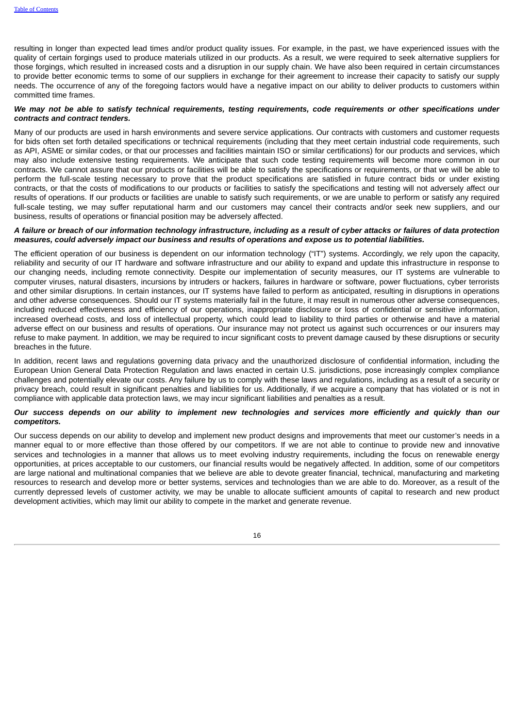resulting in longer than expected lead times and/or product quality issues. For example, in the past, we have experienced issues with the quality of certain forgings used to produce materials utilized in our products. As a result, we were required to seek alternative suppliers for those forgings, which resulted in increased costs and a disruption in our supply chain. We have also been required in certain circumstances to provide better economic terms to some of our suppliers in exchange for their agreement to increase their capacity to satisfy our supply needs. The occurrence of any of the foregoing factors would have a negative impact on our ability to deliver products to customers within committed time frames.

## We may not be able to satisfy technical requirements, testing requirements, code requirements or other specifications under *contracts and contract tenders.*

Many of our products are used in harsh environments and severe service applications. Our contracts with customers and customer requests for bids often set forth detailed specifications or technical requirements (including that they meet certain industrial code requirements, such as API, ASME or similar codes, or that our processes and facilities maintain ISO or similar certifications) for our products and services, which may also include extensive testing requirements. We anticipate that such code testing requirements will become more common in our contracts. We cannot assure that our products or facilities will be able to satisfy the specifications or requirements, or that we will be able to perform the full-scale testing necessary to prove that the product specifications are satisfied in future contract bids or under existing contracts, or that the costs of modifications to our products or facilities to satisfy the specifications and testing will not adversely affect our results of operations. If our products or facilities are unable to satisfy such requirements, or we are unable to perform or satisfy any required full-scale testing, we may suffer reputational harm and our customers may cancel their contracts and/or seek new suppliers, and our business, results of operations or financial position may be adversely affected.

#### A failure or breach of our information technology infrastructure, including as a result of cyber attacks or failures of data protection *measures, could adversely impact our business and results of operations and expose us to potential liabilities.*

The efficient operation of our business is dependent on our information technology ("IT") systems. Accordingly, we rely upon the capacity, reliability and security of our IT hardware and software infrastructure and our ability to expand and update this infrastructure in response to our changing needs, including remote connectivity. Despite our implementation of security measures, our IT systems are vulnerable to computer viruses, natural disasters, incursions by intruders or hackers, failures in hardware or software, power fluctuations, cyber terrorists and other similar disruptions. In certain instances, our IT systems have failed to perform as anticipated, resulting in disruptions in operations and other adverse consequences. Should our IT systems materially fail in the future, it may result in numerous other adverse consequences, including reduced effectiveness and efficiency of our operations, inappropriate disclosure or loss of confidential or sensitive information, increased overhead costs, and loss of intellectual property, which could lead to liability to third parties or otherwise and have a material adverse effect on our business and results of operations. Our insurance may not protect us against such occurrences or our insurers may refuse to make payment. In addition, we may be required to incur significant costs to prevent damage caused by these disruptions or security breaches in the future.

In addition, recent laws and regulations governing data privacy and the unauthorized disclosure of confidential information, including the European Union General Data Protection Regulation and laws enacted in certain U.S. jurisdictions, pose increasingly complex compliance challenges and potentially elevate our costs. Any failure by us to comply with these laws and regulations, including as a result of a security or privacy breach, could result in significant penalties and liabilities for us. Additionally, if we acquire a company that has violated or is not in compliance with applicable data protection laws, we may incur significant liabilities and penalties as a result.

## Our success depends on our ability to implement new technologies and services more efficiently and quickly than our *competitors.*

Our success depends on our ability to develop and implement new product designs and improvements that meet our customer's needs in a manner equal to or more effective than those offered by our competitors. If we are not able to continue to provide new and innovative services and technologies in a manner that allows us to meet evolving industry requirements, including the focus on renewable energy opportunities, at prices acceptable to our customers, our financial results would be negatively affected. In addition, some of our competitors are large national and multinational companies that we believe are able to devote greater financial, technical, manufacturing and marketing resources to research and develop more or better systems, services and technologies than we are able to do. Moreover, as a result of the currently depressed levels of customer activity, we may be unable to allocate sufficient amounts of capital to research and new product development activities, which may limit our ability to compete in the market and generate revenue.

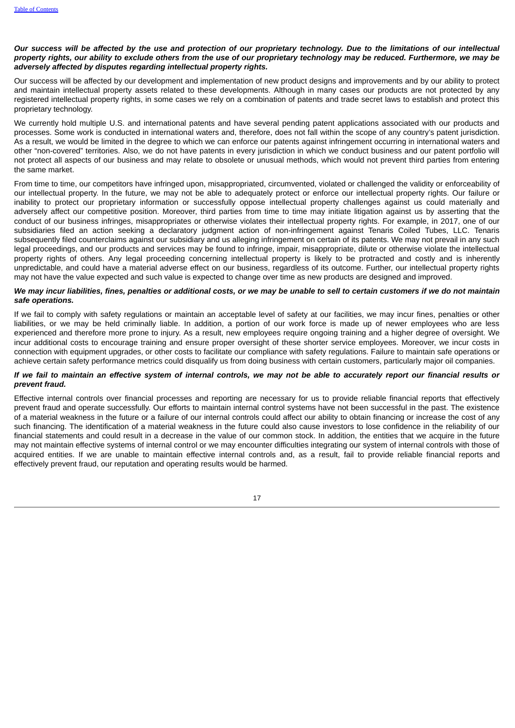## Our success will be affected by the use and protection of our proprietary technology. Due to the limitations of our intellectual property rights, our ability to exclude others from the use of our proprietary technology may be reduced. Furthermore, we may be *adversely affected by disputes regarding intellectual property rights.*

Our success will be affected by our development and implementation of new product designs and improvements and by our ability to protect and maintain intellectual property assets related to these developments. Although in many cases our products are not protected by any registered intellectual property rights, in some cases we rely on a combination of patents and trade secret laws to establish and protect this proprietary technology.

We currently hold multiple U.S. and international patents and have several pending patent applications associated with our products and processes. Some work is conducted in international waters and, therefore, does not fall within the scope of any country's patent jurisdiction. As a result, we would be limited in the degree to which we can enforce our patents against infringement occurring in international waters and other "non-covered" territories. Also, we do not have patents in every jurisdiction in which we conduct business and our patent portfolio will not protect all aspects of our business and may relate to obsolete or unusual methods, which would not prevent third parties from entering the same market.

From time to time, our competitors have infringed upon, misappropriated, circumvented, violated or challenged the validity or enforceability of our intellectual property. In the future, we may not be able to adequately protect or enforce our intellectual property rights. Our failure or inability to protect our proprietary information or successfully oppose intellectual property challenges against us could materially and adversely affect our competitive position. Moreover, third parties from time to time may initiate litigation against us by asserting that the conduct of our business infringes, misappropriates or otherwise violates their intellectual property rights. For example, in 2017, one of our subsidiaries filed an action seeking a declaratory judgment action of non-infringement against Tenaris Coiled Tubes, LLC. Tenaris subsequently filed counterclaims against our subsidiary and us alleging infringement on certain of its patents. We may not prevail in any such legal proceedings, and our products and services may be found to infringe, impair, misappropriate, dilute or otherwise violate the intellectual property rights of others. Any legal proceeding concerning intellectual property is likely to be protracted and costly and is inherently unpredictable, and could have a material adverse effect on our business, regardless of its outcome. Further, our intellectual property rights may not have the value expected and such value is expected to change over time as new products are designed and improved.

## We may incur liabilities, fines, penalties or additional costs, or we may be unable to sell to certain customers if we do not maintain *safe operations.*

If we fail to comply with safety regulations or maintain an acceptable level of safety at our facilities, we may incur fines, penalties or other liabilities, or we may be held criminally liable. In addition, a portion of our work force is made up of newer employees who are less experienced and therefore more prone to injury. As a result, new employees require ongoing training and a higher degree of oversight. We incur additional costs to encourage training and ensure proper oversight of these shorter service employees. Moreover, we incur costs in connection with equipment upgrades, or other costs to facilitate our compliance with safety regulations. Failure to maintain safe operations or achieve certain safety performance metrics could disqualify us from doing business with certain customers, particularly major oil companies.

## If we fail to maintain an effective system of internal controls, we may not be able to accurately report our financial results or *prevent fraud.*

Effective internal controls over financial processes and reporting are necessary for us to provide reliable financial reports that effectively prevent fraud and operate successfully. Our efforts to maintain internal control systems have not been successful in the past. The existence of a material weakness in the future or a failure of our internal controls could affect our ability to obtain financing or increase the cost of any such financing. The identification of a material weakness in the future could also cause investors to lose confidence in the reliability of our financial statements and could result in a decrease in the value of our common stock. In addition, the entities that we acquire in the future may not maintain effective systems of internal control or we may encounter difficulties integrating our system of internal controls with those of acquired entities. If we are unable to maintain effective internal controls and, as a result, fail to provide reliable financial reports and effectively prevent fraud, our reputation and operating results would be harmed.

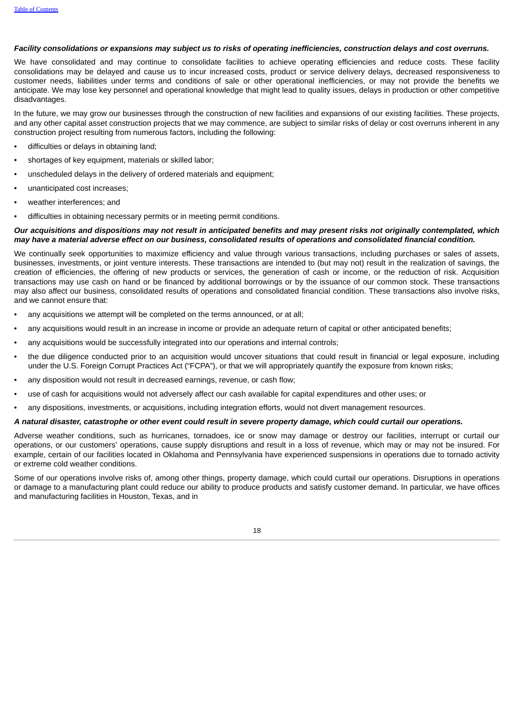#### Facility consolidations or expansions may subject us to risks of operating inefficiencies, construction delays and cost overruns.

We have consolidated and may continue to consolidate facilities to achieve operating efficiencies and reduce costs. These facility consolidations may be delayed and cause us to incur increased costs, product or service delivery delays, decreased responsiveness to customer needs, liabilities under terms and conditions of sale or other operational inefficiencies, or may not provide the benefits we anticipate. We may lose key personnel and operational knowledge that might lead to quality issues, delays in production or other competitive disadvantages.

In the future, we may grow our businesses through the construction of new facilities and expansions of our existing facilities. These projects, and any other capital asset construction projects that we may commence, are subject to similar risks of delay or cost overruns inherent in any construction project resulting from numerous factors, including the following:

- difficulties or delays in obtaining land;
- shortages of key equipment, materials or skilled labor;
- unscheduled delays in the delivery of ordered materials and equipment;
- unanticipated cost increases;
- weather interferences; and
- difficulties in obtaining necessary permits or in meeting permit conditions.

#### Our acquisitions and dispositions may not result in anticipated benefits and may present risks not originally contemplated, which may have a material adverse effect on our business, consolidated results of operations and consolidated financial condition.

We continually seek opportunities to maximize efficiency and value through various transactions, including purchases or sales of assets, businesses, investments, or joint venture interests. These transactions are intended to (but may not) result in the realization of savings, the creation of efficiencies, the offering of new products or services, the generation of cash or income, or the reduction of risk. Acquisition transactions may use cash on hand or be financed by additional borrowings or by the issuance of our common stock. These transactions may also affect our business, consolidated results of operations and consolidated financial condition. These transactions also involve risks, and we cannot ensure that:

- any acquisitions we attempt will be completed on the terms announced, or at all;
- any acquisitions would result in an increase in income or provide an adequate return of capital or other anticipated benefits;
- any acquisitions would be successfully integrated into our operations and internal controls;
- the due diligence conducted prior to an acquisition would uncover situations that could result in financial or legal exposure, including under the U.S. Foreign Corrupt Practices Act ("FCPA"), or that we will appropriately quantify the exposure from known risks;
- any disposition would not result in decreased earnings, revenue, or cash flow;
- use of cash for acquisitions would not adversely affect our cash available for capital expenditures and other uses; or
- any dispositions, investments, or acquisitions, including integration efforts, would not divert management resources.

## A natural disaster, catastrophe or other event could result in severe property damage, which could curtail our operations.

Adverse weather conditions, such as hurricanes, tornadoes, ice or snow may damage or destroy our facilities, interrupt or curtail our operations, or our customers' operations, cause supply disruptions and result in a loss of revenue, which may or may not be insured. For example, certain of our facilities located in Oklahoma and Pennsylvania have experienced suspensions in operations due to tornado activity or extreme cold weather conditions.

Some of our operations involve risks of, among other things, property damage, which could curtail our operations. Disruptions in operations or damage to a manufacturing plant could reduce our ability to produce products and satisfy customer demand. In particular, we have offices and manufacturing facilities in Houston, Texas, and in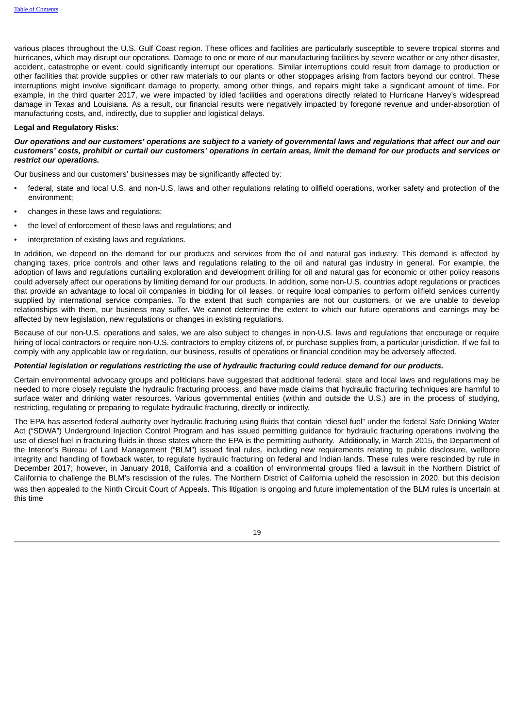various places throughout the U.S. Gulf Coast region. These offices and facilities are particularly susceptible to severe tropical storms and hurricanes, which may disrupt our operations. Damage to one or more of our manufacturing facilities by severe weather or any other disaster, accident, catastrophe or event, could significantly interrupt our operations. Similar interruptions could result from damage to production or other facilities that provide supplies or other raw materials to our plants or other stoppages arising from factors beyond our control. These interruptions might involve significant damage to property, among other things, and repairs might take a significant amount of time. For example, in the third quarter 2017, we were impacted by idled facilities and operations directly related to Hurricane Harvey's widespread damage in Texas and Louisiana. As a result, our financial results were negatively impacted by foregone revenue and under-absorption of manufacturing costs, and, indirectly, due to supplier and logistical delays.

#### **Legal and Regulatory Risks:**

## Our operations and our customers' operations are subject to a variety of governmental laws and regulations that affect our and our customers' costs, prohibit or curtail our customers' operations in certain areas, limit the demand for our products and services or *restrict our operations.*

Our business and our customers' businesses may be significantly affected by:

- federal, state and local U.S. and non-U.S. laws and other regulations relating to oilfield operations, worker safety and protection of the environment;
- changes in these laws and regulations;
- the level of enforcement of these laws and regulations; and
- interpretation of existing laws and regulations.

In addition, we depend on the demand for our products and services from the oil and natural gas industry. This demand is affected by changing taxes, price controls and other laws and regulations relating to the oil and natural gas industry in general. For example, the adoption of laws and regulations curtailing exploration and development drilling for oil and natural gas for economic or other policy reasons could adversely affect our operations by limiting demand for our products. In addition, some non-U.S. countries adopt regulations or practices that provide an advantage to local oil companies in bidding for oil leases, or require local companies to perform oilfield services currently supplied by international service companies. To the extent that such companies are not our customers, or we are unable to develop relationships with them, our business may suffer. We cannot determine the extent to which our future operations and earnings may be affected by new legislation, new regulations or changes in existing regulations.

Because of our non-U.S. operations and sales, we are also subject to changes in non-U.S. laws and regulations that encourage or require hiring of local contractors or require non-U.S. contractors to employ citizens of, or purchase supplies from, a particular jurisdiction. If we fail to comply with any applicable law or regulation, our business, results of operations or financial condition may be adversely affected.

## Potential legislation or regulations restricting the use of hydraulic fracturing could reduce demand for our products.

Certain environmental advocacy groups and politicians have suggested that additional federal, state and local laws and regulations may be needed to more closely regulate the hydraulic fracturing process, and have made claims that hydraulic fracturing techniques are harmful to surface water and drinking water resources. Various governmental entities (within and outside the U.S.) are in the process of studying, restricting, regulating or preparing to regulate hydraulic fracturing, directly or indirectly.

The EPA has asserted federal authority over hydraulic fracturing using fluids that contain "diesel fuel" under the federal Safe Drinking Water Act ("SDWA") Underground Injection Control Program and has issued permitting guidance for hydraulic fracturing operations involving the use of diesel fuel in fracturing fluids in those states where the EPA is the permitting authority. Additionally, in March 2015, the Department of the Interior's Bureau of Land Management ("BLM") issued final rules, including new requirements relating to public disclosure, wellbore integrity and handling of flowback water, to regulate hydraulic fracturing on federal and Indian lands. These rules were rescinded by rule in December 2017; however, in January 2018, California and a coalition of environmental groups filed a lawsuit in the Northern District of California to challenge the BLM's rescission of the rules. The Northern District of California upheld the rescission in 2020, but this decision was then appealed to the Ninth Circuit Court of Appeals. This litigation is ongoing and future implementation of the BLM rules is uncertain at this time

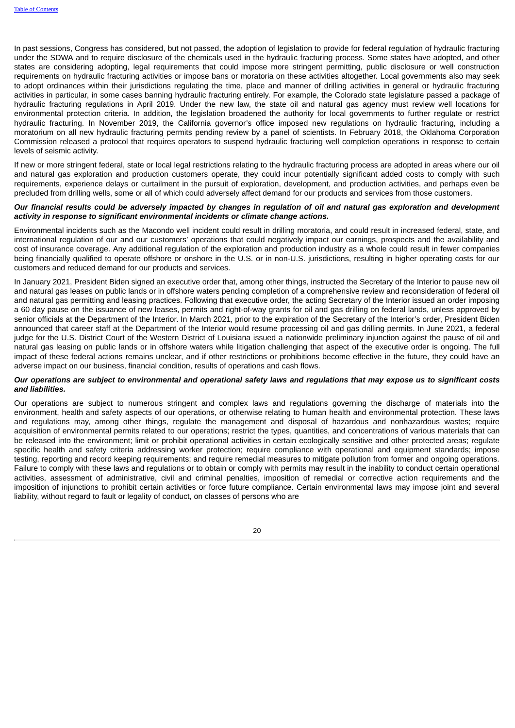In past sessions, Congress has considered, but not passed, the adoption of legislation to provide for federal regulation of hydraulic fracturing under the SDWA and to require disclosure of the chemicals used in the hydraulic fracturing process. Some states have adopted, and other states are considering adopting, legal requirements that could impose more stringent permitting, public disclosure or well construction requirements on hydraulic fracturing activities or impose bans or moratoria on these activities altogether. Local governments also may seek to adopt ordinances within their jurisdictions regulating the time, place and manner of drilling activities in general or hydraulic fracturing activities in particular, in some cases banning hydraulic fracturing entirely. For example, the Colorado state legislature passed a package of hydraulic fracturing regulations in April 2019. Under the new law, the state oil and natural gas agency must review well locations for environmental protection criteria. In addition, the legislation broadened the authority for local governments to further regulate or restrict hydraulic fracturing. In November 2019, the California governor's office imposed new regulations on hydraulic fracturing, including a moratorium on all new hydraulic fracturing permits pending review by a panel of scientists. In February 2018, the Oklahoma Corporation Commission released a protocol that requires operators to suspend hydraulic fracturing well completion operations in response to certain levels of seismic activity.

If new or more stringent federal, state or local legal restrictions relating to the hydraulic fracturing process are adopted in areas where our oil and natural gas exploration and production customers operate, they could incur potentially significant added costs to comply with such requirements, experience delays or curtailment in the pursuit of exploration, development, and production activities, and perhaps even be precluded from drilling wells, some or all of which could adversely affect demand for our products and services from those customers.

#### Our financial results could be adversely impacted by changes in regulation of oil and natural gas exploration and development *activity in response to significant environmental incidents or climate change actions.*

Environmental incidents such as the Macondo well incident could result in drilling moratoria, and could result in increased federal, state, and international regulation of our and our customers' operations that could negatively impact our earnings, prospects and the availability and cost of insurance coverage. Any additional regulation of the exploration and production industry as a whole could result in fewer companies being financially qualified to operate offshore or onshore in the U.S. or in non-U.S. jurisdictions, resulting in higher operating costs for our customers and reduced demand for our products and services.

In January 2021, President Biden signed an executive order that, among other things, instructed the Secretary of the Interior to pause new oil and natural gas leases on public lands or in offshore waters pending completion of a comprehensive review and reconsideration of federal oil and natural gas permitting and leasing practices. Following that executive order, the acting Secretary of the Interior issued an order imposing a 60 day pause on the issuance of new leases, permits and right-of-way grants for oil and gas drilling on federal lands, unless approved by senior officials at the Department of the Interior. In March 2021, prior to the expiration of the Secretary of the Interior's order, President Biden announced that career staff at the Department of the Interior would resume processing oil and gas drilling permits. In June 2021, a federal judge for the U.S. District Court of the Western District of Louisiana issued a nationwide preliminary injunction against the pause of oil and natural gas leasing on public lands or in offshore waters while litigation challenging that aspect of the executive order is ongoing. The full impact of these federal actions remains unclear, and if other restrictions or prohibitions become effective in the future, they could have an adverse impact on our business, financial condition, results of operations and cash flows.

## Our operations are subject to environmental and operational safety laws and regulations that may expose us to significant costs *and liabilities.*

Our operations are subject to numerous stringent and complex laws and regulations governing the discharge of materials into the environment, health and safety aspects of our operations, or otherwise relating to human health and environmental protection. These laws and regulations may, among other things, regulate the management and disposal of hazardous and nonhazardous wastes; require acquisition of environmental permits related to our operations; restrict the types, quantities, and concentrations of various materials that can be released into the environment; limit or prohibit operational activities in certain ecologically sensitive and other protected areas; regulate specific health and safety criteria addressing worker protection; require compliance with operational and equipment standards; impose testing, reporting and record keeping requirements; and require remedial measures to mitigate pollution from former and ongoing operations. Failure to comply with these laws and regulations or to obtain or comply with permits may result in the inability to conduct certain operational activities, assessment of administrative, civil and criminal penalties, imposition of remedial or corrective action requirements and the imposition of injunctions to prohibit certain activities or force future compliance. Certain environmental laws may impose joint and several liability, without regard to fault or legality of conduct, on classes of persons who are

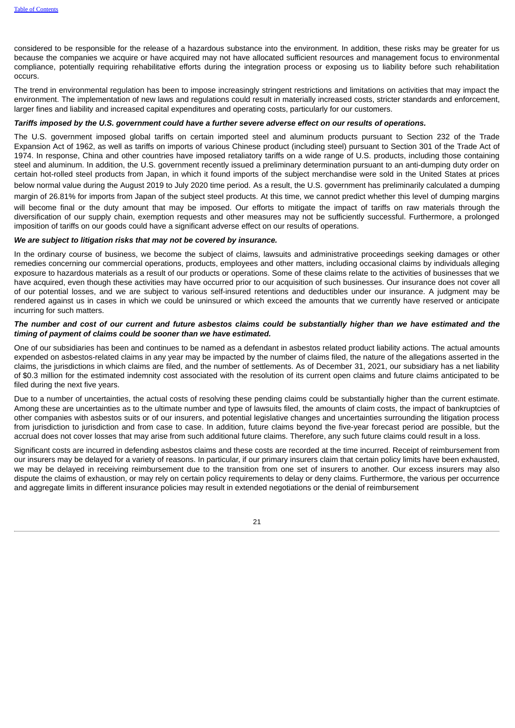considered to be responsible for the release of a hazardous substance into the environment. In addition, these risks may be greater for us because the companies we acquire or have acquired may not have allocated sufficient resources and management focus to environmental compliance, potentially requiring rehabilitative efforts during the integration process or exposing us to liability before such rehabilitation occurs.

The trend in environmental regulation has been to impose increasingly stringent restrictions and limitations on activities that may impact the environment. The implementation of new laws and regulations could result in materially increased costs, stricter standards and enforcement, larger fines and liability and increased capital expenditures and operating costs, particularly for our customers.

## Tariffs imposed by the U.S. government could have a further severe adverse effect on our results of operations.

The U.S. government imposed global tariffs on certain imported steel and aluminum products pursuant to Section 232 of the Trade Expansion Act of 1962, as well as tariffs on imports of various Chinese product (including steel) pursuant to Section 301 of the Trade Act of 1974. In response, China and other countries have imposed retaliatory tariffs on a wide range of U.S. products, including those containing steel and aluminum. In addition, the U.S. government recently issued a preliminary determination pursuant to an anti-dumping duty order on certain hot-rolled steel products from Japan, in which it found imports of the subject merchandise were sold in the United States at prices below normal value during the August 2019 to July 2020 time period. As a result, the U.S. government has preliminarily calculated a dumping margin of 26.81% for imports from Japan of the subject steel products. At this time, we cannot predict whether this level of dumping margins will become final or the duty amount that may be imposed. Our efforts to mitigate the impact of tariffs on raw materials through the diversification of our supply chain, exemption requests and other measures may not be sufficiently successful. Furthermore, a prolonged imposition of tariffs on our goods could have a significant adverse effect on our results of operations.

## *We are subject to litigation risks that may not be covered by insurance.*

In the ordinary course of business, we become the subject of claims, lawsuits and administrative proceedings seeking damages or other remedies concerning our commercial operations, products, employees and other matters, including occasional claims by individuals alleging exposure to hazardous materials as a result of our products or operations. Some of these claims relate to the activities of businesses that we have acquired, even though these activities may have occurred prior to our acquisition of such businesses. Our insurance does not cover all of our potential losses, and we are subject to various self-insured retentions and deductibles under our insurance. A judgment may be rendered against us in cases in which we could be uninsured or which exceed the amounts that we currently have reserved or anticipate incurring for such matters.

## The number and cost of our current and future asbestos claims could be substantially higher than we have estimated and the *timing of payment of claims could be sooner than we have estimated.*

One of our subsidiaries has been and continues to be named as a defendant in asbestos related product liability actions. The actual amounts expended on asbestos-related claims in any year may be impacted by the number of claims filed, the nature of the allegations asserted in the claims, the jurisdictions in which claims are filed, and the number of settlements. As of December 31, 2021, our subsidiary has a net liability of \$0.3 million for the estimated indemnity cost associated with the resolution of its current open claims and future claims anticipated to be filed during the next five years.

Due to a number of uncertainties, the actual costs of resolving these pending claims could be substantially higher than the current estimate. Among these are uncertainties as to the ultimate number and type of lawsuits filed, the amounts of claim costs, the impact of bankruptcies of other companies with asbestos suits or of our insurers, and potential legislative changes and uncertainties surrounding the litigation process from jurisdiction to jurisdiction and from case to case. In addition, future claims beyond the five-year forecast period are possible, but the accrual does not cover losses that may arise from such additional future claims. Therefore, any such future claims could result in a loss.

Significant costs are incurred in defending asbestos claims and these costs are recorded at the time incurred. Receipt of reimbursement from our insurers may be delayed for a variety of reasons. In particular, if our primary insurers claim that certain policy limits have been exhausted, we may be delayed in receiving reimbursement due to the transition from one set of insurers to another. Our excess insurers may also dispute the claims of exhaustion, or may rely on certain policy requirements to delay or deny claims. Furthermore, the various per occurrence and aggregate limits in different insurance policies may result in extended negotiations or the denial of reimbursement

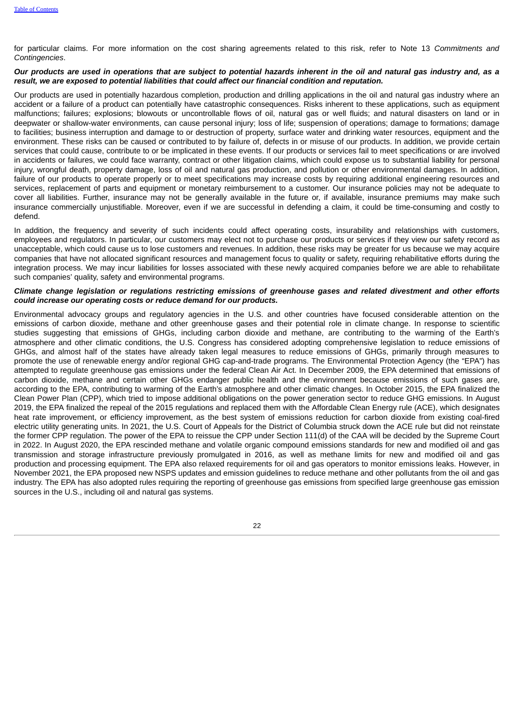for particular claims. For more information on the cost sharing agreements related to this risk, refer to Note 13 *Commitments and Contingencies*.

## Our products are used in operations that are subject to potential hazards inherent in the oil and natural gas industry and, as a *result, we are exposed to potential liabilities that could affect our financial condition and reputation.*

Our products are used in potentially hazardous completion, production and drilling applications in the oil and natural gas industry where an accident or a failure of a product can potentially have catastrophic consequences. Risks inherent to these applications, such as equipment malfunctions; failures; explosions; blowouts or uncontrollable flows of oil, natural gas or well fluids; and natural disasters on land or in deepwater or shallow-water environments, can cause personal injury; loss of life; suspension of operations; damage to formations; damage to facilities; business interruption and damage to or destruction of property, surface water and drinking water resources, equipment and the environment. These risks can be caused or contributed to by failure of, defects in or misuse of our products. In addition, we provide certain services that could cause, contribute to or be implicated in these events. If our products or services fail to meet specifications or are involved in accidents or failures, we could face warranty, contract or other litigation claims, which could expose us to substantial liability for personal injury, wrongful death, property damage, loss of oil and natural gas production, and pollution or other environmental damages. In addition, failure of our products to operate properly or to meet specifications may increase costs by requiring additional engineering resources and services, replacement of parts and equipment or monetary reimbursement to a customer. Our insurance policies may not be adequate to cover all liabilities. Further, insurance may not be generally available in the future or, if available, insurance premiums may make such insurance commercially unjustifiable. Moreover, even if we are successful in defending a claim, it could be time-consuming and costly to defend.

In addition, the frequency and severity of such incidents could affect operating costs, insurability and relationships with customers, employees and regulators. In particular, our customers may elect not to purchase our products or services if they view our safety record as unacceptable, which could cause us to lose customers and revenues. In addition, these risks may be greater for us because we may acquire companies that have not allocated significant resources and management focus to quality or safety, requiring rehabilitative efforts during the integration process. We may incur liabilities for losses associated with these newly acquired companies before we are able to rehabilitate such companies' quality, safety and environmental programs.

## Climate change legislation or regulations restricting emissions of greenhouse gases and related divestment and other efforts *could increase our operating costs or reduce demand for our products.*

Environmental advocacy groups and regulatory agencies in the U.S. and other countries have focused considerable attention on the emissions of carbon dioxide, methane and other greenhouse gases and their potential role in climate change. In response to scientific studies suggesting that emissions of GHGs, including carbon dioxide and methane, are contributing to the warming of the Earth's atmosphere and other climatic conditions, the U.S. Congress has considered adopting comprehensive legislation to reduce emissions of GHGs, and almost half of the states have already taken legal measures to reduce emissions of GHGs, primarily through measures to promote the use of renewable energy and/or regional GHG cap-and-trade programs. The Environmental Protection Agency (the "EPA") has attempted to regulate greenhouse gas emissions under the federal Clean Air Act. In December 2009, the EPA determined that emissions of carbon dioxide, methane and certain other GHGs endanger public health and the environment because emissions of such gases are, according to the EPA, contributing to warming of the Earth's atmosphere and other climatic changes. In October 2015, the EPA finalized the Clean Power Plan (CPP), which tried to impose additional obligations on the power generation sector to reduce GHG emissions. In August 2019, the EPA finalized the repeal of the 2015 regulations and replaced them with the Affordable Clean Energy rule (ACE), which designates heat rate improvement, or efficiency improvement, as the best system of emissions reduction for carbon dioxide from existing coal-fired electric utility generating units. In 2021, the U.S. Court of Appeals for the District of Columbia struck down the ACE rule but did not reinstate the former CPP regulation. The power of the EPA to reissue the CPP under Section 111(d) of the CAA will be decided by the Supreme Court in 2022. In August 2020, the EPA rescinded methane and volatile organic compound emissions standards for new and modified oil and gas transmission and storage infrastructure previously promulgated in 2016, as well as methane limits for new and modified oil and gas production and processing equipment. The EPA also relaxed requirements for oil and gas operators to monitor emissions leaks. However, in November 2021, the EPA proposed new NSPS updates and emission guidelines to reduce methane and other pollutants from the oil and gas industry. The EPA has also adopted rules requiring the reporting of greenhouse gas emissions from specified large greenhouse gas emission sources in the U.S., including oil and natural gas systems.

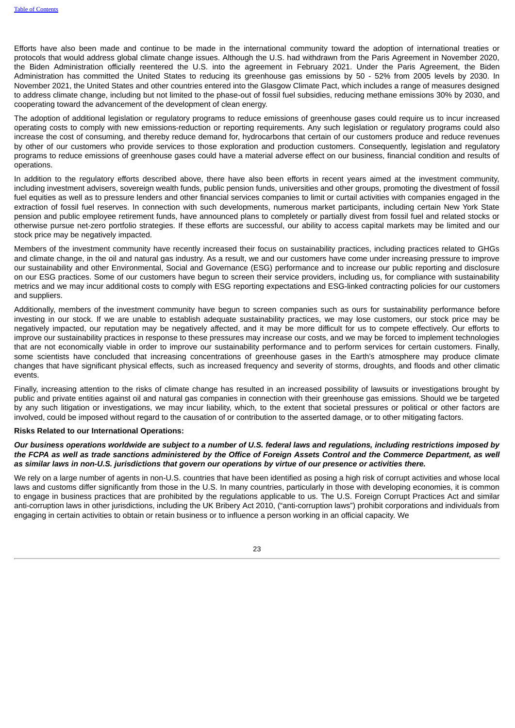Efforts have also been made and continue to be made in the international community toward the adoption of international treaties or protocols that would address global climate change issues. Although the U.S. had withdrawn from the Paris Agreement in November 2020, the Biden Administration officially reentered the U.S. into the agreement in February 2021. Under the Paris Agreement, the Biden Administration has committed the United States to reducing its greenhouse gas emissions by 50 - 52% from 2005 levels by 2030. In November 2021, the United States and other countries entered into the Glasgow Climate Pact, which includes a range of measures designed to address climate change, including but not limited to the phase-out of fossil fuel subsidies, reducing methane emissions 30% by 2030, and cooperating toward the advancement of the development of clean energy.

The adoption of additional legislation or regulatory programs to reduce emissions of greenhouse gases could require us to incur increased operating costs to comply with new emissions-reduction or reporting requirements. Any such legislation or regulatory programs could also increase the cost of consuming, and thereby reduce demand for, hydrocarbons that certain of our customers produce and reduce revenues by other of our customers who provide services to those exploration and production customers. Consequently, legislation and regulatory programs to reduce emissions of greenhouse gases could have a material adverse effect on our business, financial condition and results of operations.

In addition to the regulatory efforts described above, there have also been efforts in recent years aimed at the investment community, including investment advisers, sovereign wealth funds, public pension funds, universities and other groups, promoting the divestment of fossil fuel equities as well as to pressure lenders and other financial services companies to limit or curtail activities with companies engaged in the extraction of fossil fuel reserves. In connection with such developments, numerous market participants, including certain New York State pension and public employee retirement funds, have announced plans to completely or partially divest from fossil fuel and related stocks or otherwise pursue net-zero portfolio strategies. If these efforts are successful, our ability to access capital markets may be limited and our stock price may be negatively impacted.

Members of the investment community have recently increased their focus on sustainability practices, including practices related to GHGs and climate change, in the oil and natural gas industry. As a result, we and our customers have come under increasing pressure to improve our sustainability and other Environmental, Social and Governance (ESG) performance and to increase our public reporting and disclosure on our ESG practices. Some of our customers have begun to screen their service providers, including us, for compliance with sustainability metrics and we may incur additional costs to comply with ESG reporting expectations and ESG-linked contracting policies for our customers and suppliers.

Additionally, members of the investment community have begun to screen companies such as ours for sustainability performance before investing in our stock. If we are unable to establish adequate sustainability practices, we may lose customers, our stock price may be negatively impacted, our reputation may be negatively affected, and it may be more difficult for us to compete effectively. Our efforts to improve our sustainability practices in response to these pressures may increase our costs, and we may be forced to implement technologies that are not economically viable in order to improve our sustainability performance and to perform services for certain customers. Finally, some scientists have concluded that increasing concentrations of greenhouse gases in the Earth's atmosphere may produce climate changes that have significant physical effects, such as increased frequency and severity of storms, droughts, and floods and other climatic events.

Finally, increasing attention to the risks of climate change has resulted in an increased possibility of lawsuits or investigations brought by public and private entities against oil and natural gas companies in connection with their greenhouse gas emissions. Should we be targeted by any such litigation or investigations, we may incur liability, which, to the extent that societal pressures or political or other factors are involved, could be imposed without regard to the causation of or contribution to the asserted damage, or to other mitigating factors.

#### **Risks Related to our International Operations:**

## Our business operations worldwide are subject to a number of U.S. federal laws and regulations, including restrictions imposed by the FCPA as well as trade sanctions administered by the Office of Foreign Assets Control and the Commerce Department, as well as similar laws in non-U.S. jurisdictions that govern our operations by virtue of our presence or activities there.

We rely on a large number of agents in non-U.S. countries that have been identified as posing a high risk of corrupt activities and whose local laws and customs differ significantly from those in the U.S. In many countries, particularly in those with developing economies, it is common to engage in business practices that are prohibited by the regulations applicable to us. The U.S. Foreign Corrupt Practices Act and similar anti-corruption laws in other jurisdictions, including the UK Bribery Act 2010, ("anti-corruption laws") prohibit corporations and individuals from engaging in certain activities to obtain or retain business or to influence a person working in an official capacity. We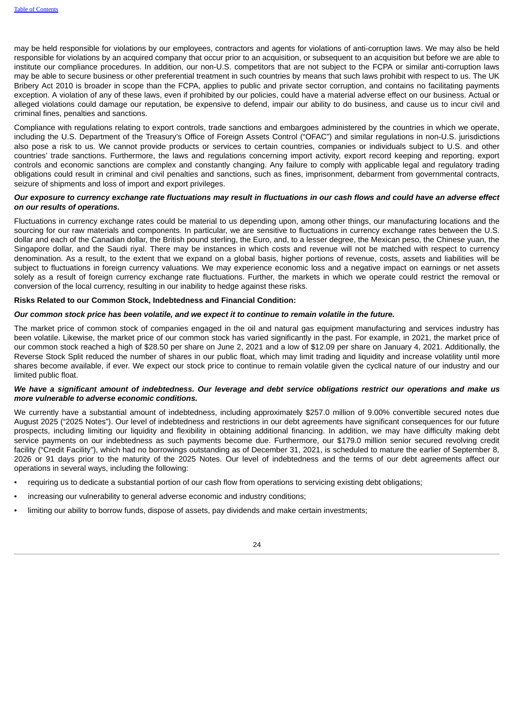may be held responsible for violations by our employees, contractors and agents for violations of anti-corruption laws. We may also be held responsible for violations by an acquired company that occur prior to an acquisition, or subsequent to an acquisition but before we are able to institute our compliance procedures. In addition, our non-U.S. competitors that are not subject to the FCPA or similar anti-corruption laws may be able to secure business or other preferential treatment in such countries by means that such laws prohibit with respect to us. The UK Bribery Act 2010 is broader in scope than the FCPA, applies to public and private sector corruption, and contains no facilitating payments exception. A violation of any of these laws, even if prohibited by our policies, could have a material adverse effect on our business. Actual or alleged violations could damage our reputation, be expensive to defend, impair our ability to do business, and cause us to incur civil and criminal fines, penalties and sanctions.

Compliance with regulations relating to export controls, trade sanctions and embargoes administered by the countries in which we operate, including the U.S. Department of the Treasury's Office of Foreign Assets Control ("OFAC") and similar regulations in non-U.S. jurisdictions also pose a risk to us. We cannot provide products or services to certain countries, companies or individuals subject to U.S. and other countries' trade sanctions. Furthermore, the laws and regulations concerning import activity, export record keeping and reporting, export controls and economic sanctions are complex and constantly changing. Any failure to comply with applicable legal and regulatory trading obligations could result in criminal and civil penalties and sanctions, such as fines, imprisonment, debarment from governmental contracts, seizure of shipments and loss of import and export privileges.

## Our exposure to currency exchange rate fluctuations may result in fluctuations in our cash flows and could have an adverse effect *on our results of operations.*

Fluctuations in currency exchange rates could be material to us depending upon, among other things, our manufacturing locations and the sourcing for our raw materials and components. In particular, we are sensitive to fluctuations in currency exchange rates between the U.S. dollar and each of the Canadian dollar, the British pound sterling, the Euro, and, to a lesser degree, the Mexican peso, the Chinese yuan, the Singapore dollar, and the Saudi riyal. There may be instances in which costs and revenue will not be matched with respect to currency denomination. As a result, to the extent that we expand on a global basis, higher portions of revenue, costs, assets and liabilities will be subject to fluctuations in foreign currency valuations. We may experience economic loss and a negative impact on earnings or net assets solely as a result of foreign currency exchange rate fluctuations. Further, the markets in which we operate could restrict the removal or conversion of the local currency, resulting in our inability to hedge against these risks.

#### **Risks Related to our Common Stock, Indebtedness and Financial Condition:**

#### Our common stock price has been volatile, and we expect it to continue to remain volatile in the future.

The market price of common stock of companies engaged in the oil and natural gas equipment manufacturing and services industry has been volatile. Likewise, the market price of our common stock has varied significantly in the past. For example, in 2021, the market price of our common stock reached a high of \$28.50 per share on June 2, 2021 and a low of \$12.09 per share on January 4, 2021. Additionally, the Reverse Stock Split reduced the number of shares in our public float, which may limit trading and liquidity and increase volatility until more shares become available, if ever. We expect our stock price to continue to remain volatile given the cyclical nature of our industry and our limited public float.

## We have a significant amount of indebtedness. Our leverage and debt service obligations restrict our operations and make us *more vulnerable to adverse economic conditions.*

We currently have a substantial amount of indebtedness, including approximately \$257.0 million of 9.00% convertible secured notes due August 2025 ("2025 Notes"). Our level of indebtedness and restrictions in our debt agreements have significant consequences for our future prospects, including limiting our liquidity and flexibility in obtaining additional financing. In addition, we may have difficulty making debt service payments on our indebtedness as such payments become due. Furthermore, our \$179.0 million senior secured revolving credit facility ("Credit Facility"), which had no borrowings outstanding as of December 31, 2021, is scheduled to mature the earlier of September 8, 2026 or 91 days prior to the maturity of the 2025 Notes. Our level of indebtedness and the terms of our debt agreements affect our operations in several ways, including the following:

- requiring us to dedicate a substantial portion of our cash flow from operations to servicing existing debt obligations;
- increasing our vulnerability to general adverse economic and industry conditions;
- limiting our ability to borrow funds, dispose of assets, pay dividends and make certain investments;

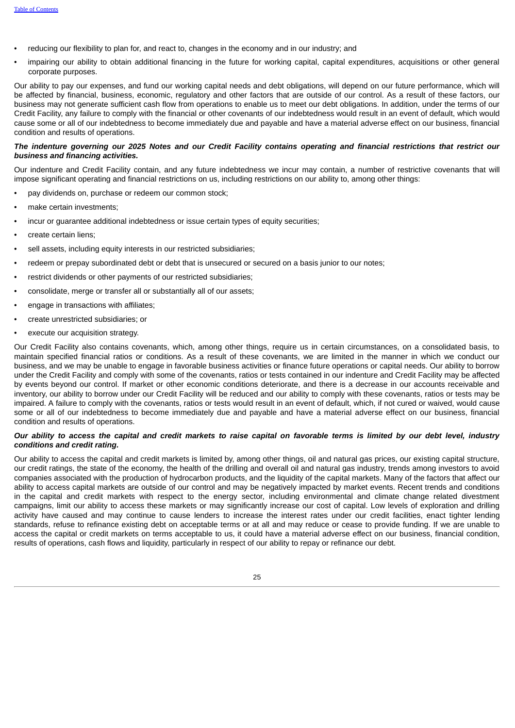- reducing our flexibility to plan for, and react to, changes in the economy and in our industry; and
- impairing our ability to obtain additional financing in the future for working capital, capital expenditures, acquisitions or other general corporate purposes.

Our ability to pay our expenses, and fund our working capital needs and debt obligations, will depend on our future performance, which will be affected by financial, business, economic, regulatory and other factors that are outside of our control. As a result of these factors, our business may not generate sufficient cash flow from operations to enable us to meet our debt obligations. In addition, under the terms of our Credit Facility, any failure to comply with the financial or other covenants of our indebtedness would result in an event of default, which would cause some or all of our indebtedness to become immediately due and payable and have a material adverse effect on our business, financial condition and results of operations.

## The indenture governing our 2025 Notes and our Credit Facility contains operating and financial restrictions that restrict our *business and financing activities.*

Our indenture and Credit Facility contain, and any future indebtedness we incur may contain, a number of restrictive covenants that will impose significant operating and financial restrictions on us, including restrictions on our ability to, among other things:

- pay dividends on, purchase or redeem our common stock;
- make certain investments:
- incur or guarantee additional indebtedness or issue certain types of equity securities;
- create certain liens;
- sell assets, including equity interests in our restricted subsidiaries;
- redeem or prepay subordinated debt or debt that is unsecured or secured on a basis junior to our notes;
- restrict dividends or other payments of our restricted subsidiaries;
- consolidate, merge or transfer all or substantially all of our assets;
- engage in transactions with affiliates;
- create unrestricted subsidiaries; or
- execute our acquisition strategy.

Our Credit Facility also contains covenants, which, among other things, require us in certain circumstances, on a consolidated basis, to maintain specified financial ratios or conditions. As a result of these covenants, we are limited in the manner in which we conduct our business, and we may be unable to engage in favorable business activities or finance future operations or capital needs. Our ability to borrow under the Credit Facility and comply with some of the covenants, ratios or tests contained in our indenture and Credit Facility may be affected by events beyond our control. If market or other economic conditions deteriorate, and there is a decrease in our accounts receivable and inventory, our ability to borrow under our Credit Facility will be reduced and our ability to comply with these covenants, ratios or tests may be impaired. A failure to comply with the covenants, ratios or tests would result in an event of default, which, if not cured or waived, would cause some or all of our indebtedness to become immediately due and payable and have a material adverse effect on our business, financial condition and results of operations.

## Our ability to access the capital and credit markets to raise capital on favorable terms is limited by our debt level, industry *conditions and credit rating.*

Our ability to access the capital and credit markets is limited by, among other things, oil and natural gas prices, our existing capital structure, our credit ratings, the state of the economy, the health of the drilling and overall oil and natural gas industry, trends among investors to avoid companies associated with the production of hydrocarbon products, and the liquidity of the capital markets. Many of the factors that affect our ability to access capital markets are outside of our control and may be negatively impacted by market events. Recent trends and conditions in the capital and credit markets with respect to the energy sector, including environmental and climate change related divestment campaigns, limit our ability to access these markets or may significantly increase our cost of capital. Low levels of exploration and drilling activity have caused and may continue to cause lenders to increase the interest rates under our credit facilities, enact tighter lending standards, refuse to refinance existing debt on acceptable terms or at all and may reduce or cease to provide funding. If we are unable to access the capital or credit markets on terms acceptable to us, it could have a material adverse effect on our business, financial condition, results of operations, cash flows and liquidity, particularly in respect of our ability to repay or refinance our debt.

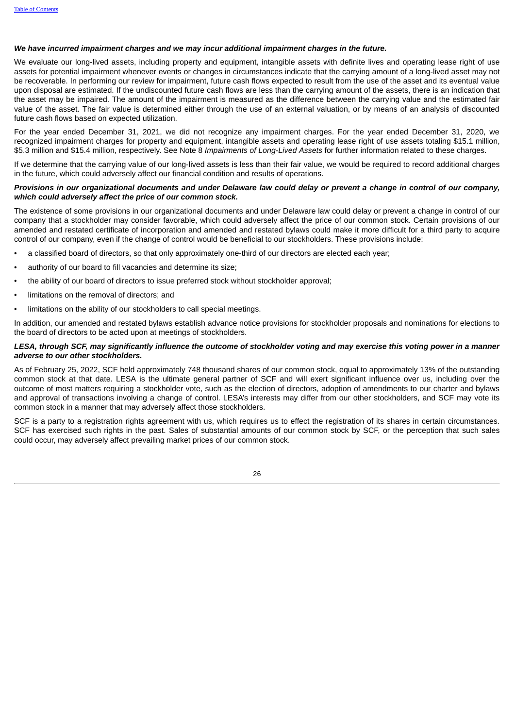## *We have incurred impairment charges and we may incur additional impairment charges in the future.*

We evaluate our long-lived assets, including property and equipment, intangible assets with definite lives and operating lease right of use assets for potential impairment whenever events or changes in circumstances indicate that the carrying amount of a long-lived asset may not be recoverable. In performing our review for impairment, future cash flows expected to result from the use of the asset and its eventual value upon disposal are estimated. If the undiscounted future cash flows are less than the carrying amount of the assets, there is an indication that the asset may be impaired. The amount of the impairment is measured as the difference between the carrying value and the estimated fair value of the asset. The fair value is determined either through the use of an external valuation, or by means of an analysis of discounted future cash flows based on expected utilization.

For the year ended December 31, 2021, we did not recognize any impairment charges. For the year ended December 31, 2020, we recognized impairment charges for property and equipment, intangible assets and operating lease right of use assets totaling \$15.1 million, \$5.3 million and \$15.4 million, respectively. See Note 8 *Impairments of Long-Lived Assets* for further information related to these charges.

If we determine that the carrying value of our long-lived assets is less than their fair value, we would be required to record additional charges in the future, which could adversely affect our financial condition and results of operations.

## Provisions in our organizational documents and under Delaware law could delay or prevent a change in control of our company, *which could adversely affect the price of our common stock.*

The existence of some provisions in our organizational documents and under Delaware law could delay or prevent a change in control of our company that a stockholder may consider favorable, which could adversely affect the price of our common stock. Certain provisions of our amended and restated certificate of incorporation and amended and restated bylaws could make it more difficult for a third party to acquire control of our company, even if the change of control would be beneficial to our stockholders. These provisions include:

- a classified board of directors, so that only approximately one-third of our directors are elected each year;
- authority of our board to fill vacancies and determine its size;
- the ability of our board of directors to issue preferred stock without stockholder approval;
- limitations on the removal of directors; and
- limitations on the ability of our stockholders to call special meetings.

In addition, our amended and restated bylaws establish advance notice provisions for stockholder proposals and nominations for elections to the board of directors to be acted upon at meetings of stockholders.

## LESA, through SCF, may significantly influence the outcome of stockholder voting and may exercise this voting power in a manner *adverse to our other stockholders.*

As of February 25, 2022, SCF held approximately 748 thousand shares of our common stock, equal to approximately 13% of the outstanding common stock at that date. LESA is the ultimate general partner of SCF and will exert significant influence over us, including over the outcome of most matters requiring a stockholder vote, such as the election of directors, adoption of amendments to our charter and bylaws and approval of transactions involving a change of control. LESA's interests may differ from our other stockholders, and SCF may vote its common stock in a manner that may adversely affect those stockholders.

SCF is a party to a registration rights agreement with us, which requires us to effect the registration of its shares in certain circumstances. SCF has exercised such rights in the past. Sales of substantial amounts of our common stock by SCF, or the perception that such sales could occur, may adversely affect prevailing market prices of our common stock.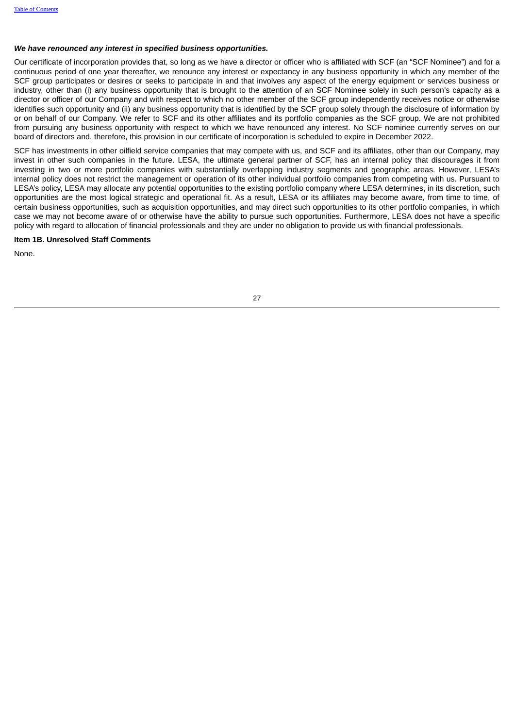### *We have renounced any interest in specified business opportunities.*

Our certificate of incorporation provides that, so long as we have a director or officer who is affiliated with SCF (an "SCF Nominee") and for a continuous period of one year thereafter, we renounce any interest or expectancy in any business opportunity in which any member of the SCF group participates or desires or seeks to participate in and that involves any aspect of the energy equipment or services business or industry, other than (i) any business opportunity that is brought to the attention of an SCF Nominee solely in such person's capacity as a director or officer of our Company and with respect to which no other member of the SCF group independently receives notice or otherwise identifies such opportunity and (ii) any business opportunity that is identified by the SCF group solely through the disclosure of information by or on behalf of our Company. We refer to SCF and its other affiliates and its portfolio companies as the SCF group. We are not prohibited from pursuing any business opportunity with respect to which we have renounced any interest. No SCF nominee currently serves on our board of directors and, therefore, this provision in our certificate of incorporation is scheduled to expire in December 2022.

SCF has investments in other oilfield service companies that may compete with us, and SCF and its affiliates, other than our Company, may invest in other such companies in the future. LESA, the ultimate general partner of SCF, has an internal policy that discourages it from investing in two or more portfolio companies with substantially overlapping industry segments and geographic areas. However, LESA's internal policy does not restrict the management or operation of its other individual portfolio companies from competing with us. Pursuant to LESA's policy, LESA may allocate any potential opportunities to the existing portfolio company where LESA determines, in its discretion, such opportunities are the most logical strategic and operational fit. As a result, LESA or its affiliates may become aware, from time to time, of certain business opportunities, such as acquisition opportunities, and may direct such opportunities to its other portfolio companies, in which case we may not become aware of or otherwise have the ability to pursue such opportunities. Furthermore, LESA does not have a specific policy with regard to allocation of financial professionals and they are under no obligation to provide us with financial professionals.

#### <span id="page-26-0"></span>**Item 1B. Unresolved Staff Comments**

<span id="page-26-1"></span>None.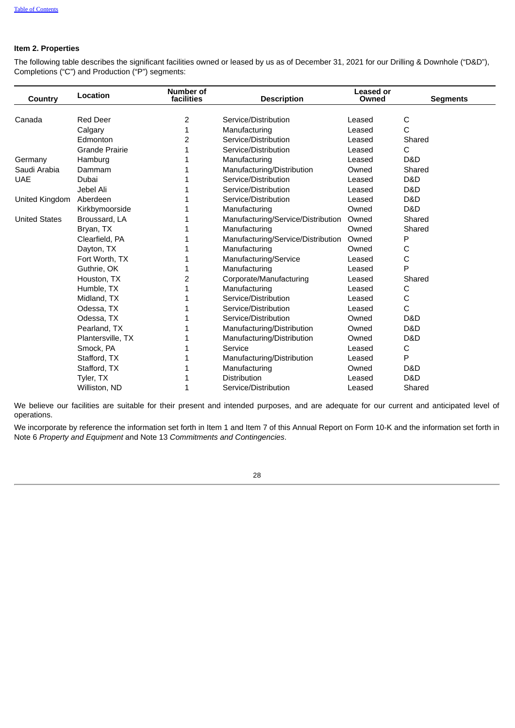## **Item 2. Properties**

The following table describes the significant facilities owned or leased by us as of December 31, 2021 for our Drilling & Downhole ("D&D"), Completions ("C") and Production ("P") segments:

| Location<br><b>Country</b> |                       | Number of<br>facilities | <b>Description</b>                 | <b>Leased or</b><br>Owned | <b>Segments</b> |
|----------------------------|-----------------------|-------------------------|------------------------------------|---------------------------|-----------------|
|                            |                       |                         |                                    |                           |                 |
| Canada                     | <b>Red Deer</b>       | 2                       | Service/Distribution               | Leased                    | С               |
|                            | Calgary               | 1                       | Manufacturing                      | Leased                    | C               |
|                            | Edmonton              | 2                       | Service/Distribution               | Leased                    | Shared          |
|                            | <b>Grande Prairie</b> | 1                       | Service/Distribution               | Leased                    | С               |
| Germany                    | Hamburg               | 1                       | Manufacturing                      | Leased                    | D&D             |
| Saudi Arabia               | Dammam                | 1                       | Manufacturing/Distribution         | Owned                     | Shared          |
| <b>UAE</b>                 | Dubai                 | 1                       | Service/Distribution               | Leased                    | D&D             |
|                            | Jebel Ali             | 1                       | Service/Distribution               | Leased                    | <b>D&amp;D</b>  |
| United Kingdom             | Aberdeen              | 1                       | Service/Distribution               | Leased                    | D&D             |
|                            | Kirkbymoorside        | 1                       | Manufacturing                      | Owned                     | D&D             |
| <b>United States</b>       | Broussard, LA         |                         | Manufacturing/Service/Distribution | Owned                     | Shared          |
|                            | Bryan, TX             | 1                       | Manufacturing                      | Owned                     | Shared          |
|                            | Clearfield, PA        | 1                       | Manufacturing/Service/Distribution | Owned                     | P               |
|                            | Dayton, TX            | 1                       | Manufacturing                      | Owned                     | С               |
|                            | Fort Worth, TX        | 1                       | Manufacturing/Service              | Leased                    | С               |
|                            | Guthrie, OK           | 1                       | Manufacturing                      | Leased                    | P               |
|                            | Houston, TX           | 2                       | Corporate/Manufacturing            | Leased                    | Shared          |
|                            | Humble, TX            | 1                       | Manufacturing                      | Leased                    | $\mathsf C$     |
|                            | Midland, TX           | 1                       | Service/Distribution               | Leased                    | $\mathsf C$     |
|                            | Odessa, TX            | 1                       | Service/Distribution               | Leased                    | C               |
|                            | Odessa, TX            | 1                       | Service/Distribution               | Owned                     | D&D             |
|                            | Pearland, TX          | 1                       | Manufacturing/Distribution         | Owned                     | <b>D&amp;D</b>  |
|                            | Plantersville, TX     | 1                       | Manufacturing/Distribution         | Owned                     | D&D             |
|                            | Smock, PA             | 1                       | Service                            | Leased                    | C               |
|                            | Stafford, TX          | 1                       | Manufacturing/Distribution         | Leased                    | P               |
|                            | Stafford, TX          |                         | Manufacturing                      | Owned                     | D&D             |
|                            | Tyler, TX             | 1                       | <b>Distribution</b>                | Leased                    | D&D             |
|                            | Williston, ND         | 1                       | Service/Distribution               | Leased                    | Shared          |

We believe our facilities are suitable for their present and intended purposes, and are adequate for our current and anticipated level of operations.

<span id="page-27-0"></span>We incorporate by reference the information set forth in Item 1 and Item 7 of this Annual Report on Form 10-K and the information set forth in Note 6 *Property and Equipment* and Note 13 *Commitments and Contingencies*.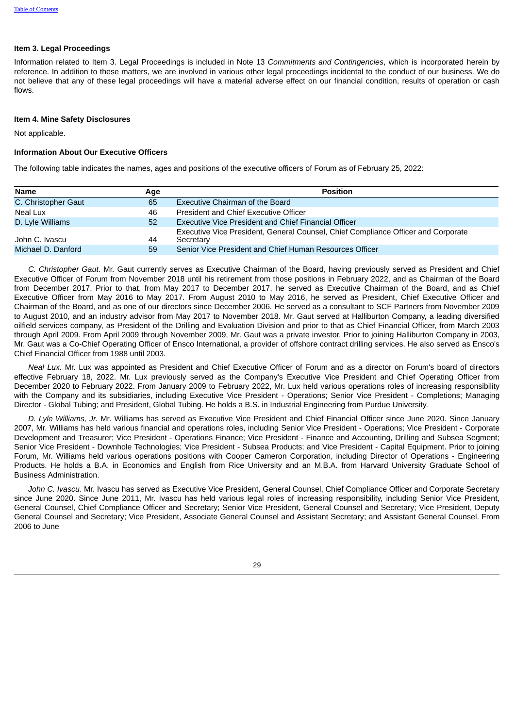## **Item 3. Legal Proceedings**

Information related to Item 3. Legal Proceedings is included in Note 13 *Commitments and Contingencies*, which is incorporated herein by reference. In addition to these matters, we are involved in various other legal proceedings incidental to the conduct of our business. We do not believe that any of these legal proceedings will have a material adverse effect on our financial condition, results of operation or cash flows.

#### <span id="page-28-0"></span>**Item 4. Mine Safety Disclosures**

Not applicable.

## **Information About Our Executive Officers**

The following table indicates the names, ages and positions of the executive officers of Forum as of February 25, 2022:

| <b>Name</b>         | Age | <b>Position</b>                                                                                |
|---------------------|-----|------------------------------------------------------------------------------------------------|
| C. Christopher Gaut | 65  | Executive Chairman of the Board                                                                |
| Neal Lux            | 46  | President and Chief Executive Officer                                                          |
| D. Lyle Williams    | 52  | Executive Vice President and Chief Financial Officer                                           |
| John C. Ivascu      | 44  | Executive Vice President, General Counsel, Chief Compliance Officer and Corporate<br>Secretary |
| Michael D. Danford  | 59  | Senior Vice President and Chief Human Resources Officer                                        |

*C. Christopher Gaut*. Mr. Gaut currently serves as Executive Chairman of the Board, having previously served as President and Chief Executive Officer of Forum from November 2018 until his retirement from those positions in February 2022, and as Chairman of the Board from December 2017. Prior to that, from May 2017 to December 2017, he served as Executive Chairman of the Board, and as Chief Executive Officer from May 2016 to May 2017. From August 2010 to May 2016, he served as President, Chief Executive Officer and Chairman of the Board, and as one of our directors since December 2006. He served as a consultant to SCF Partners from November 2009 to August 2010, and an industry advisor from May 2017 to November 2018. Mr. Gaut served at Halliburton Company, a leading diversified oilfield services company, as President of the Drilling and Evaluation Division and prior to that as Chief Financial Officer, from March 2003 through April 2009. From April 2009 through November 2009, Mr. Gaut was a private investor. Prior to joining Halliburton Company in 2003, Mr. Gaut was a Co-Chief Operating Officer of Ensco International, a provider of offshore contract drilling services. He also served as Ensco's Chief Financial Officer from 1988 until 2003.

*Neal Lux.* Mr. Lux was appointed as President and Chief Executive Officer of Forum and as a director on Forum's board of directors effective February 18, 2022. Mr. Lux previously served as the Company's Executive Vice President and Chief Operating Officer from December 2020 to February 2022. From January 2009 to February 2022, Mr. Lux held various operations roles of increasing responsibility with the Company and its subsidiaries, including Executive Vice President - Operations; Senior Vice President - Completions; Managing Director - Global Tubing; and President, Global Tubing. He holds a B.S. in Industrial Engineering from Purdue University.

*D. Lyle Williams, Jr.* Mr. Williams has served as Executive Vice President and Chief Financial Officer since June 2020. Since January 2007, Mr. Williams has held various financial and operations roles, including Senior Vice President - Operations; Vice President - Corporate Development and Treasurer; Vice President - Operations Finance; Vice President - Finance and Accounting, Drilling and Subsea Segment; Senior Vice President - Downhole Technologies; Vice President - Subsea Products; and Vice President - Capital Equipment. Prior to joining Forum, Mr. Williams held various operations positions with Cooper Cameron Corporation, including Director of Operations - Engineering Products. He holds a B.A. in Economics and English from Rice University and an M.B.A. from Harvard University Graduate School of Business Administration.

*John C. Ivascu*. Mr. Ivascu has served as Executive Vice President, General Counsel, Chief Compliance Officer and Corporate Secretary since June 2020. Since June 2011, Mr. Ivascu has held various legal roles of increasing responsibility, including Senior Vice President, General Counsel, Chief Compliance Officer and Secretary; Senior Vice President, General Counsel and Secretary; Vice President, Deputy General Counsel and Secretary; Vice President, Associate General Counsel and Assistant Secretary; and Assistant General Counsel. From 2006 to June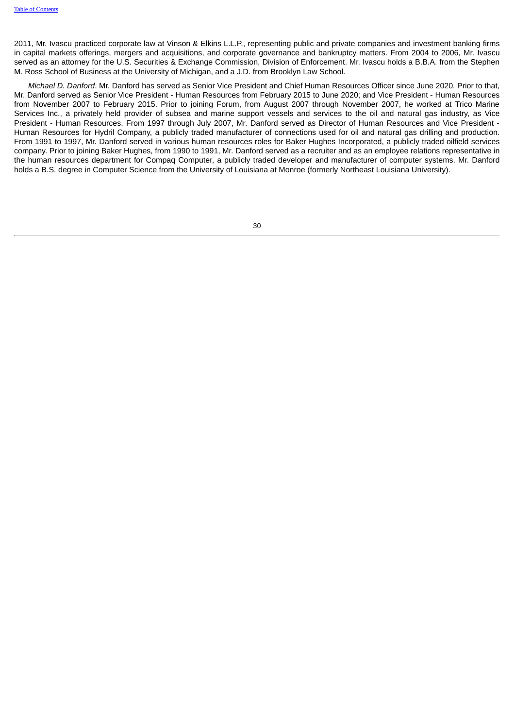2011, Mr. Ivascu practiced corporate law at Vinson & Elkins L.L.P., representing public and private companies and investment banking firms in capital markets offerings, mergers and acquisitions, and corporate governance and bankruptcy matters. From 2004 to 2006, Mr. Ivascu served as an attorney for the U.S. Securities & Exchange Commission, Division of Enforcement. Mr. Ivascu holds a B.B.A. from the Stephen M. Ross School of Business at the University of Michigan, and a J.D. from Brooklyn Law School.

<span id="page-29-0"></span>*Michael D. Danford*. Mr. Danford has served as Senior Vice President and Chief Human Resources Officer since June 2020. Prior to that, Mr. Danford served as Senior Vice President - Human Resources from February 2015 to June 2020; and Vice President - Human Resources from November 2007 to February 2015. Prior to joining Forum, from August 2007 through November 2007, he worked at Trico Marine Services Inc., a privately held provider of subsea and marine support vessels and services to the oil and natural gas industry, as Vice President - Human Resources. From 1997 through July 2007, Mr. Danford served as Director of Human Resources and Vice President - Human Resources for Hydril Company, a publicly traded manufacturer of connections used for oil and natural gas drilling and production. From 1991 to 1997, Mr. Danford served in various human resources roles for Baker Hughes Incorporated, a publicly traded oilfield services company. Prior to joining Baker Hughes, from 1990 to 1991, Mr. Danford served as a recruiter and as an employee relations representative in the human resources department for Compaq Computer, a publicly traded developer and manufacturer of computer systems. Mr. Danford holds a B.S. degree in Computer Science from the University of Louisiana at Monroe (formerly Northeast Louisiana University).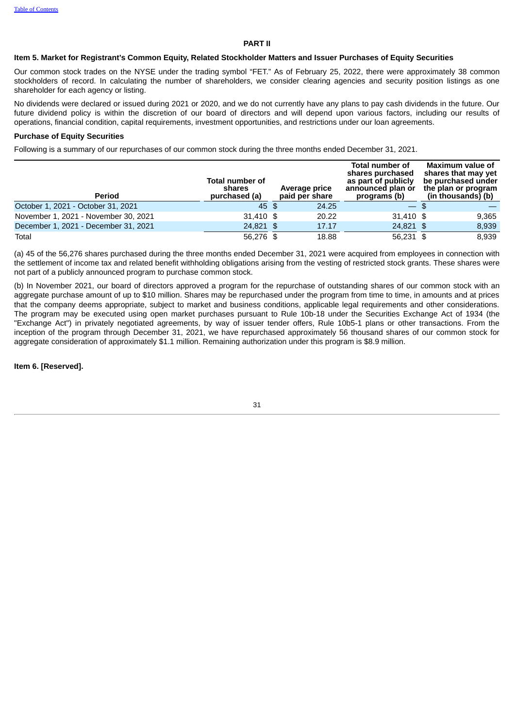#### **PART II**

#### Item 5. Market for Registrant's Common Equity, Related Stockholder Matters and Issuer Purchases of Equity Securities

Our common stock trades on the NYSE under the trading symbol "FET." As of February 25, 2022, there were approximately 38 common stockholders of record. In calculating the number of shareholders, we consider clearing agencies and security position listings as one shareholder for each agency or listing.

No dividends were declared or issued during 2021 or 2020, and we do not currently have any plans to pay cash dividends in the future. Our future dividend policy is within the discretion of our board of directors and will depend upon various factors, including our results of operations, financial condition, capital requirements, investment opportunities, and restrictions under our loan agreements.

## **Purchase of Equity Securities**

Following is a summary of our repurchases of our common stock during the three months ended December 31, 2021.

| <b>Period</b>                        | <b>Total number of</b><br>shares<br>purchased (a) | Average price<br>paid per share |       | Total number of<br>shares purchased<br>as part of publicly<br>announced plan or<br>programs (b) |  | <b>Maximum value of</b><br>shares that may yet<br>be purchased under<br>the plan or program<br>(in thousands) (b) |  |
|--------------------------------------|---------------------------------------------------|---------------------------------|-------|-------------------------------------------------------------------------------------------------|--|-------------------------------------------------------------------------------------------------------------------|--|
| October 1, 2021 - October 31, 2021   | 45 \$                                             |                                 | 24.25 | $-$ \$                                                                                          |  |                                                                                                                   |  |
| November 1, 2021 - November 30, 2021 | $31,410$ \$                                       |                                 | 20.22 | 31.410 \$                                                                                       |  | 9,365                                                                                                             |  |
| December 1, 2021 - December 31, 2021 | 24,821 \$                                         |                                 | 17.17 | 24,821 \$                                                                                       |  | 8,939                                                                                                             |  |
| Total                                | 56.276 \$                                         |                                 | 18.88 | 56,231 \$                                                                                       |  | 8.939                                                                                                             |  |

(a) 45 of the 56,276 shares purchased during the three months ended December 31, 2021 were acquired from employees in connection with the settlement of income tax and related benefit withholding obligations arising from the vesting of restricted stock grants. These shares were not part of a publicly announced program to purchase common stock.

(b) In November 2021, our board of directors approved a program for the repurchase of outstanding shares of our common stock with an aggregate purchase amount of up to \$10 million. Shares may be repurchased under the program from time to time, in amounts and at prices that the company deems appropriate, subject to market and business conditions, applicable legal requirements and other considerations. The program may be executed using open market purchases pursuant to Rule 10b-18 under the Securities Exchange Act of 1934 (the "Exchange Act") in privately negotiated agreements, by way of issuer tender offers, Rule 10b5-1 plans or other transactions. From the inception of the program through December 31, 2021, we have repurchased approximately 56 thousand shares of our common stock for aggregate consideration of approximately \$1.1 million. Remaining authorization under this program is \$8.9 million.

<span id="page-30-1"></span><span id="page-30-0"></span>**Item 6. [Reserved].**

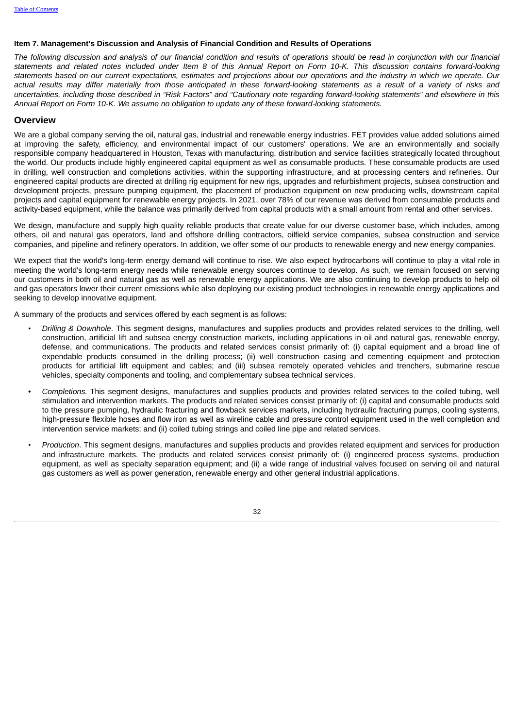## **Item 7. Management's Discussion and Analysis of Financial Condition and Results of Operations**

The following discussion and analysis of our financial condition and results of operations should be read in conjunction with our financial statements and related notes included under Item 8 of this Annual Report on Form 10-K. This discussion contains forward-looking statements based on our current expectations, estimates and projections about our operations and the industry in which we operate. Our actual results may differ materially from those anticipated in these forward-looking statements as a result of a variety of risks and uncertainties, including those described in "Risk Factors" and "Cautionary note regarding forward-looking statements" and elsewhere in this *Annual Report on Form 10-K. We assume no obligation to update any of these forward-looking statements.*

## **Overview**

We are a global company serving the oil, natural gas, industrial and renewable energy industries. FET provides value added solutions aimed at improving the safety, efficiency, and environmental impact of our customers' operations. We are an environmentally and socially responsible company headquartered in Houston, Texas with manufacturing, distribution and service facilities strategically located throughout the world. Our products include highly engineered capital equipment as well as consumable products. These consumable products are used in drilling, well construction and completions activities, within the supporting infrastructure, and at processing centers and refineries. Our engineered capital products are directed at drilling rig equipment for new rigs, upgrades and refurbishment projects, subsea construction and development projects, pressure pumping equipment, the placement of production equipment on new producing wells, downstream capital projects and capital equipment for renewable energy projects. In 2021, over 78% of our revenue was derived from consumable products and activity-based equipment, while the balance was primarily derived from capital products with a small amount from rental and other services.

We design, manufacture and supply high quality reliable products that create value for our diverse customer base, which includes, among others, oil and natural gas operators, land and offshore drilling contractors, oilfield service companies, subsea construction and service companies, and pipeline and refinery operators. In addition, we offer some of our products to renewable energy and new energy companies.

We expect that the world's long-term energy demand will continue to rise. We also expect hydrocarbons will continue to play a vital role in meeting the world's long-term energy needs while renewable energy sources continue to develop. As such, we remain focused on serving our customers in both oil and natural gas as well as renewable energy applications. We are also continuing to develop products to help oil and gas operators lower their current emissions while also deploying our existing product technologies in renewable energy applications and seeking to develop innovative equipment.

A summary of the products and services offered by each segment is as follows:

- *Drilling & Downhole*. This segment designs, manufactures and supplies products and provides related services to the drilling, well construction, artificial lift and subsea energy construction markets, including applications in oil and natural gas, renewable energy, defense, and communications. The products and related services consist primarily of: (i) capital equipment and a broad line of expendable products consumed in the drilling process; (ii) well construction casing and cementing equipment and protection products for artificial lift equipment and cables; and (iii) subsea remotely operated vehicles and trenchers, submarine rescue vehicles, specialty components and tooling, and complementary subsea technical services.
- *Completions.* This segment designs, manufactures and supplies products and provides related services to the coiled tubing, well stimulation and intervention markets. The products and related services consist primarily of: (i) capital and consumable products sold to the pressure pumping, hydraulic fracturing and flowback services markets, including hydraulic fracturing pumps, cooling systems, high-pressure flexible hoses and flow iron as well as wireline cable and pressure control equipment used in the well completion and intervention service markets; and (ii) coiled tubing strings and coiled line pipe and related services.
- *Production*. This segment designs, manufactures and supplies products and provides related equipment and services for production and infrastructure markets. The products and related services consist primarily of: (i) engineered process systems, production equipment, as well as specialty separation equipment; and (ii) a wide range of industrial valves focused on serving oil and natural gas customers as well as power generation, renewable energy and other general industrial applications.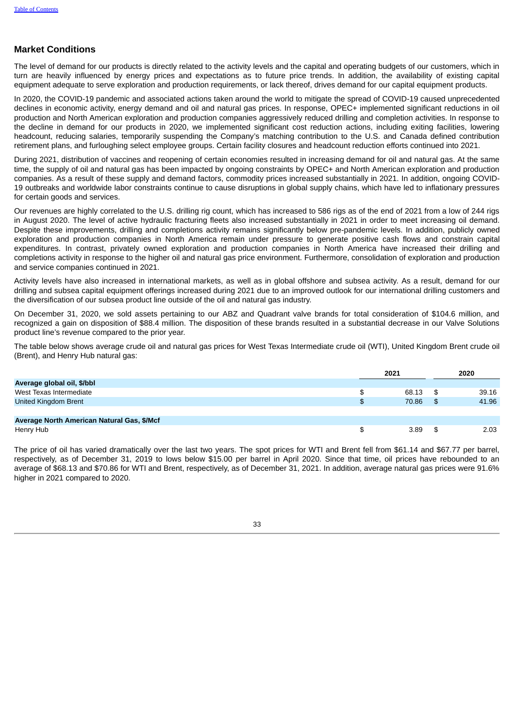## **Market Conditions**

The level of demand for our products is directly related to the activity levels and the capital and operating budgets of our customers, which in turn are heavily influenced by energy prices and expectations as to future price trends. In addition, the availability of existing capital equipment adequate to serve exploration and production requirements, or lack thereof, drives demand for our capital equipment products.

In 2020, the COVID-19 pandemic and associated actions taken around the world to mitigate the spread of COVID-19 caused unprecedented declines in economic activity, energy demand and oil and natural gas prices. In response, OPEC+ implemented significant reductions in oil production and North American exploration and production companies aggressively reduced drilling and completion activities. In response to the decline in demand for our products in 2020, we implemented significant cost reduction actions, including exiting facilities, lowering headcount, reducing salaries, temporarily suspending the Company's matching contribution to the U.S. and Canada defined contribution retirement plans, and furloughing select employee groups. Certain facility closures and headcount reduction efforts continued into 2021.

During 2021, distribution of vaccines and reopening of certain economies resulted in increasing demand for oil and natural gas. At the same time, the supply of oil and natural gas has been impacted by ongoing constraints by OPEC+ and North American exploration and production companies. As a result of these supply and demand factors, commodity prices increased substantially in 2021. In addition, ongoing COVID-19 outbreaks and worldwide labor constraints continue to cause disruptions in global supply chains, which have led to inflationary pressures for certain goods and services.

Our revenues are highly correlated to the U.S. drilling rig count, which has increased to 586 rigs as of the end of 2021 from a low of 244 rigs in August 2020. The level of active hydraulic fracturing fleets also increased substantially in 2021 in order to meet increasing oil demand. Despite these improvements, drilling and completions activity remains significantly below pre-pandemic levels. In addition, publicly owned exploration and production companies in North America remain under pressure to generate positive cash flows and constrain capital expenditures. In contrast, privately owned exploration and production companies in North America have increased their drilling and completions activity in response to the higher oil and natural gas price environment. Furthermore, consolidation of exploration and production and service companies continued in 2021.

Activity levels have also increased in international markets, as well as in global offshore and subsea activity. As a result, demand for our drilling and subsea capital equipment offerings increased during 2021 due to an improved outlook for our international drilling customers and the diversification of our subsea product line outside of the oil and natural gas industry.

On December 31, 2020, we sold assets pertaining to our ABZ and Quadrant valve brands for total consideration of \$104.6 million, and recognized a gain on disposition of \$88.4 million. The disposition of these brands resulted in a substantial decrease in our Valve Solutions product line's revenue compared to the prior year.

The table below shows average crude oil and natural gas prices for West Texas Intermediate crude oil (WTI), United Kingdom Brent crude oil (Brent), and Henry Hub natural gas:

|                                            | 2021 |       |    | 2020  |  |
|--------------------------------------------|------|-------|----|-------|--|
| Average global oil, \$/bbl                 |      |       |    |       |  |
| West Texas Intermediate                    | \$   | 68.13 |    | 39.16 |  |
| United Kingdom Brent                       | \$   | 70.86 | \$ | 41.96 |  |
|                                            |      |       |    |       |  |
| Average North American Natural Gas, \$/Mcf |      |       |    |       |  |
| Henry Hub                                  | \$   | 3.89  |    | 2.03  |  |

The price of oil has varied dramatically over the last two years. The spot prices for WTI and Brent fell from \$61.14 and \$67.77 per barrel, respectively, as of December 31, 2019 to lows below \$15.00 per barrel in April 2020. Since that time, oil prices have rebounded to an average of \$68.13 and \$70.86 for WTI and Brent, respectively, as of December 31, 2021. In addition, average natural gas prices were 91.6% higher in 2021 compared to 2020.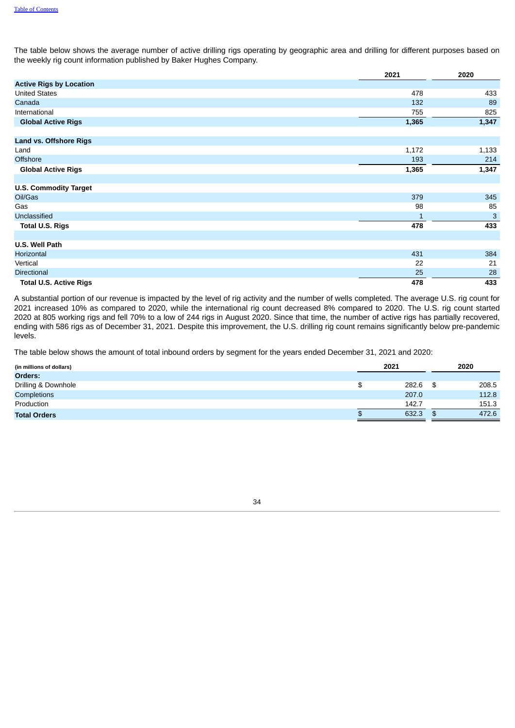The table below shows the average number of active drilling rigs operating by geographic area and drilling for different purposes based on the weekly rig count information published by Baker Hughes Company.

|                                | 2021         | 2020  |
|--------------------------------|--------------|-------|
| <b>Active Rigs by Location</b> |              |       |
| <b>United States</b>           | 478          | 433   |
| Canada                         | 132          | 89    |
| International                  | 755          | 825   |
| <b>Global Active Rigs</b>      | 1,365        | 1,347 |
| Land vs. Offshore Rigs         |              |       |
| Land                           | 1,172        | 1,133 |
| <b>Offshore</b>                | 193          | 214   |
| <b>Global Active Rigs</b>      | 1,365        | 1,347 |
|                                |              |       |
| <b>U.S. Commodity Target</b>   |              |       |
| Oil/Gas                        | 379          | 345   |
| Gas                            | 98           | 85    |
| Unclassified                   | $\mathbf{1}$ | 3     |
| Total U.S. Rigs                | 478          | 433   |
| U.S. Well Path                 |              |       |
| Horizontal                     | 431          | 384   |
| Vertical                       | 22           | 21    |
| <b>Directional</b>             | 25           | 28    |
| <b>Total U.S. Active Rigs</b>  | 478          | 433   |

A substantial portion of our revenue is impacted by the level of rig activity and the number of wells completed. The average U.S. rig count for 2021 increased 10% as compared to 2020, while the international rig count decreased 8% compared to 2020. The U.S. rig count started 2020 at 805 working rigs and fell 70% to a low of 244 rigs in August 2020. Since that time, the number of active rigs has partially recovered, ending with 586 rigs as of December 31, 2021. Despite this improvement, the U.S. drilling rig count remains significantly below pre-pandemic levels.

The table below shows the amount of total inbound orders by segment for the years ended December 31, 2021 and 2020:

| (in millions of dollars) | 2021 |       | 2020 |       |
|--------------------------|------|-------|------|-------|
| Orders:                  |      |       |      |       |
| Drilling & Downhole      | \$   | 282.6 | - \$ | 208.5 |
| Completions              |      | 207.0 |      | 112.8 |
| Production               |      | 142.7 |      | 151.3 |
| <b>Total Orders</b>      |      | 632.3 |      | 472.6 |

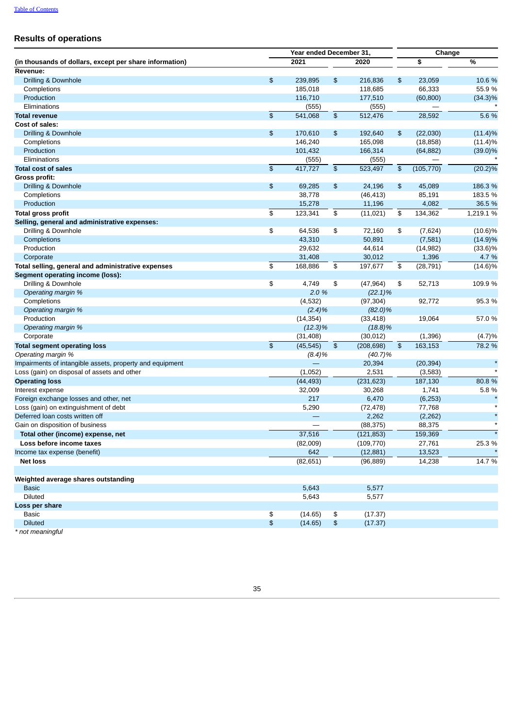# **Results of operations**

|                                                               |                | Year ended December 31,  |                  |                    |                | Change           |            |
|---------------------------------------------------------------|----------------|--------------------------|------------------|--------------------|----------------|------------------|------------|
| (in thousands of dollars, except per share information)       |                | 2021                     |                  | 2020               |                | \$               | %          |
| Revenue:                                                      |                |                          |                  |                    |                |                  |            |
| Drilling & Downhole                                           | \$             | 239,895                  | $\frac{2}{3}$    | 216,836            | \$             | 23,059           | 10.6 %     |
| Completions                                                   |                | 185,018                  |                  | 118,685            |                | 66,333           | 55.9 %     |
| Production                                                    |                | 116.710                  |                  | 177,510            |                | (60, 800)        | $(34.3)\%$ |
| Eliminations                                                  |                | (555)                    |                  | (555)              |                |                  |            |
| <b>Total revenue</b>                                          | $\frac{1}{2}$  | 541,068                  | $\frac{1}{2}$    | 512,476            |                | 28,592           | 5.6 %      |
| Cost of sales:                                                |                |                          |                  |                    |                |                  |            |
| Drilling & Downhole                                           | $\frac{2}{3}$  | 170,610                  | $\frac{2}{3}$    | 192,640            | \$             | (22,030)         | $(11.4)\%$ |
| Completions                                                   |                | 146,240                  |                  | 165,098            |                | (18, 858)        | $(11.4)\%$ |
| Production                                                    |                | 101,432                  |                  | 166,314            |                | (64, 882)        | $(39.0)\%$ |
| Eliminations                                                  |                | (555)                    |                  | (555)              |                |                  |            |
| <b>Total cost of sales</b>                                    | $\mathfrak{P}$ | 417,727                  | $$\mathfrak{F}$$ | 523,497            | $\frac{2}{3}$  | (105, 770)       | $(20.2)\%$ |
| Gross profit:                                                 |                |                          |                  |                    |                |                  |            |
| Drilling & Downhole                                           | $\frac{2}{3}$  | 69,285                   | \$               | 24,196             | $\frac{2}{3}$  | 45,089           | 186.3 %    |
| Completions                                                   |                | 38,778                   |                  | (46, 413)          |                | 85,191           | 183.5 %    |
| Production                                                    |                | 15,278                   |                  | 11,196             |                | 4,082            | 36.5 %     |
| <b>Total gross profit</b>                                     | \$             | 123,341                  | \$               | (11, 021)          | \$             | 134,362          | 1,219.1 %  |
| Selling, general and administrative expenses:                 |                |                          |                  |                    |                |                  |            |
| Drilling & Downhole                                           | \$             | 64,536                   | \$               | 72,160             | \$             | (7,624)          | $(10.6)\%$ |
| Completions                                                   |                | 43,310                   |                  | 50,891             |                | (7,581)          | $(14.9)\%$ |
| Production                                                    |                | 29,632                   |                  | 44,614             |                | (14, 982)        | $(33.6)\%$ |
| Corporate                                                     |                | 31,408                   |                  | 30,012             |                | 1,396            | 4.7 %      |
| Total selling, general and administrative expenses            | \$             | 168,886                  | \$               | 197,677            | \$             | (28, 791)        | $(14.6)\%$ |
| Segment operating income (loss):                              |                |                          |                  |                    |                |                  |            |
| Drilling & Downhole                                           | \$             | 4,749                    | \$               | (47, 964)          | \$             | 52,713           | 109.9 %    |
| Operating margin %                                            |                | 2.0 %                    |                  | $(22.1)\%$         |                |                  |            |
| Completions                                                   |                | (4,532)                  |                  | (97, 304)          |                | 92,772           | 95.3 %     |
| Operating margin %                                            |                | $(2.4)\%$                |                  | $(82.0)\%$         |                |                  |            |
| Production                                                    |                | (14, 354)                |                  | (33, 418)          |                | 19,064           | 57.0 %     |
| Operating margin %                                            |                | $(12.3)\%$               |                  | $(18.8)\%$         |                |                  |            |
| Corporate                                                     |                | (31, 408)                |                  | (30, 012)          |                | (1, 396)         | (4.7)%     |
| <b>Total segment operating loss</b>                           | $\mathfrak{s}$ | (45, 545)                | $\frac{1}{2}$    | (208, 698)         | $\mathfrak{S}$ | 163,153          | 78.2 %     |
| Operating margin %                                            |                | (8.4)%                   |                  | (40.7)%            |                |                  |            |
| Impairments of intangible assets, property and equipment      |                | $\overline{\phantom{0}}$ |                  | 20,394             |                | (20, 394)        | $\star$    |
| Loss (gain) on disposal of assets and other                   |                | (1,052)                  |                  | 2,531              |                | (3,583)          | $\star$    |
| <b>Operating loss</b>                                         |                | (44, 493)                |                  | (231, 623)         |                | 187,130          | 80.8 %     |
|                                                               |                | 32,009                   |                  | 30,268             |                | 1,741            | 5.8 %      |
| Interest expense<br>Foreign exchange losses and other, net    |                | 217                      |                  | 6,470              |                | (6, 253)         |            |
| Loss (gain) on extinguishment of debt                         |                | 5,290                    |                  |                    |                | 77,768           | $\star$    |
| Deferred loan costs written off                               |                |                          |                  | (72, 478)<br>2,262 |                | (2, 262)         | $\star$    |
| Gain on disposition of business                               |                |                          |                  | (88, 375)          |                | 88,375           | $\star$    |
|                                                               |                | 37.516                   |                  |                    |                | 159,369          | $\star$    |
| Total other (income) expense, net<br>Loss before income taxes |                |                          |                  | (121, 853)         |                |                  | 25.3 %     |
|                                                               |                | (82,009)<br>642          |                  | (109, 770)         |                | 27,761<br>13,523 |            |
| Income tax expense (benefit)                                  |                |                          |                  | (12, 881)          |                |                  |            |
| <b>Net loss</b>                                               |                | (82, 651)                |                  | (96, 889)          |                | 14,238           | 14.7 %     |
| Weighted average shares outstanding                           |                |                          |                  |                    |                |                  |            |
| <b>Basic</b>                                                  |                | 5,643                    |                  | 5,577              |                |                  |            |
| <b>Diluted</b>                                                |                | 5,643                    |                  | 5,577              |                |                  |            |
| Loss per share                                                |                |                          |                  |                    |                |                  |            |
| <b>Basic</b>                                                  | \$             | (14.65)                  | \$               | (17.37)            |                |                  |            |
| <b>Diluted</b>                                                | \$             | (14.65)                  | $\,$             | (17.37)            |                |                  |            |
| * not meaningful                                              |                |                          |                  |                    |                |                  |            |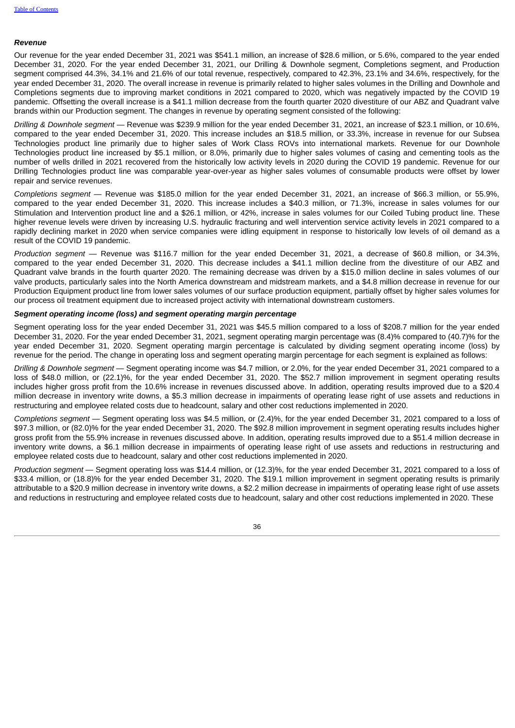## *Revenue*

Our revenue for the year ended December 31, 2021 was \$541.1 million, an increase of \$28.6 million, or 5.6%, compared to the year ended December 31, 2020. For the year ended December 31, 2021, our Drilling & Downhole segment, Completions segment, and Production segment comprised 44.3%, 34.1% and 21.6% of our total revenue, respectively, compared to 42.3%, 23.1% and 34.6%, respectively, for the year ended December 31, 2020. The overall increase in revenue is primarily related to higher sales volumes in the Drilling and Downhole and Completions segments due to improving market conditions in 2021 compared to 2020, which was negatively impacted by the COVID 19 pandemic. Offsetting the overall increase is a \$41.1 million decrease from the fourth quarter 2020 divestiture of our ABZ and Quadrant valve brands within our Production segment. The changes in revenue by operating segment consisted of the following:

*Drilling & Downhole segment* — Revenue was \$239.9 million for the year ended December 31, 2021, an increase of \$23.1 million, or 10.6%, compared to the year ended December 31, 2020. This increase includes an \$18.5 million, or 33.3%, increase in revenue for our Subsea Technologies product line primarily due to higher sales of Work Class ROVs into international markets. Revenue for our Downhole Technologies product line increased by \$5.1 million, or 8.0%, primarily due to higher sales volumes of casing and cementing tools as the number of wells drilled in 2021 recovered from the historically low activity levels in 2020 during the COVID 19 pandemic. Revenue for our Drilling Technologies product line was comparable year-over-year as higher sales volumes of consumable products were offset by lower repair and service revenues.

*Completions segment* — Revenue was \$185.0 million for the year ended December 31, 2021, an increase of \$66.3 million, or 55.9%, compared to the year ended December 31, 2020. This increase includes a \$40.3 million, or 71.3%, increase in sales volumes for our Stimulation and Intervention product line and a \$26.1 million, or 42%, increase in sales volumes for our Coiled Tubing product line. These higher revenue levels were driven by increasing U.S. hydraulic fracturing and well intervention service activity levels in 2021 compared to a rapidly declining market in 2020 when service companies were idling equipment in response to historically low levels of oil demand as a result of the COVID 19 pandemic.

*Production segment* — Revenue was \$116.7 million for the year ended December 31, 2021, a decrease of \$60.8 million, or 34.3%, compared to the year ended December 31, 2020. This decrease includes a \$41.1 million decline from the divestiture of our ABZ and Quadrant valve brands in the fourth quarter 2020. The remaining decrease was driven by a \$15.0 million decline in sales volumes of our valve products, particularly sales into the North America downstream and midstream markets, and a \$4.8 million decrease in revenue for our Production Equipment product line from lower sales volumes of our surface production equipment, partially offset by higher sales volumes for our process oil treatment equipment due to increased project activity with international downstream customers.

#### *Segment operating income (loss) and segment operating margin percentage*

Segment operating loss for the year ended December 31, 2021 was \$45.5 million compared to a loss of \$208.7 million for the year ended December 31, 2020. For the year ended December 31, 2021, segment operating margin percentage was (8.4)% compared to (40.7)% for the year ended December 31, 2020. Segment operating margin percentage is calculated by dividing segment operating income (loss) by revenue for the period. The change in operating loss and segment operating margin percentage for each segment is explained as follows:

*Drilling & Downhole segment* — Segment operating income was \$4.7 million, or 2.0%, for the year ended December 31, 2021 compared to a loss of \$48.0 million, or (22.1)%, for the year ended December 31, 2020. The \$52.7 million improvement in segment operating results includes higher gross profit from the 10.6% increase in revenues discussed above. In addition, operating results improved due to a \$20.4 million decrease in inventory write downs, a \$5.3 million decrease in impairments of operating lease right of use assets and reductions in restructuring and employee related costs due to headcount, salary and other cost reductions implemented in 2020.

*Completions segment* — Segment operating loss was \$4.5 million, or (2.4)%, for the year ended December 31, 2021 compared to a loss of \$97.3 million, or (82.0)% for the year ended December 31, 2020. The \$92.8 million improvement in segment operating results includes higher gross profit from the 55.9% increase in revenues discussed above. In addition, operating results improved due to a \$51.4 million decrease in inventory write downs, a \$6.1 million decrease in impairments of operating lease right of use assets and reductions in restructuring and employee related costs due to headcount, salary and other cost reductions implemented in 2020.

*Production segment* — Segment operating loss was \$14.4 million, or (12.3)%, for the year ended December 31, 2021 compared to a loss of \$33.4 million, or (18.8)% for the year ended December 31, 2020. The \$19.1 million improvement in segment operating results is primarily attributable to a \$20.9 million decrease in inventory write downs, a \$2.2 million decrease in impairments of operating lease right of use assets and reductions in restructuring and employee related costs due to headcount, salary and other cost reductions implemented in 2020. These

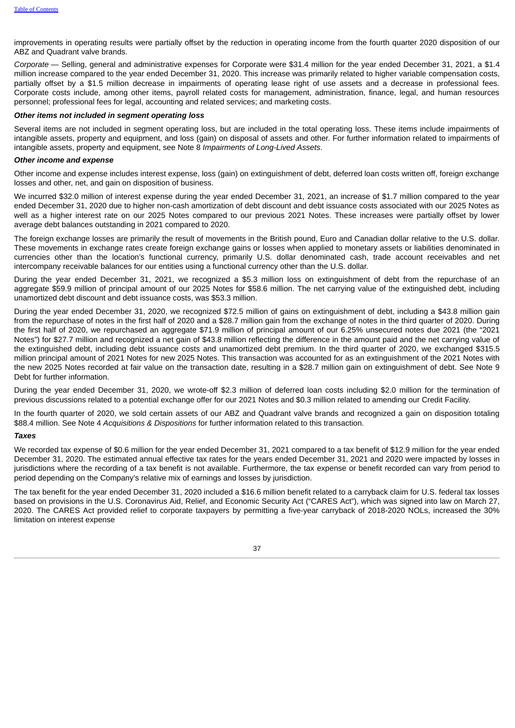improvements in operating results were partially offset by the reduction in operating income from the fourth quarter 2020 disposition of our ABZ and Quadrant valve brands.

*Corporate* — Selling, general and administrative expenses for Corporate were \$31.4 million for the year ended December 31, 2021, a \$1.4 million increase compared to the year ended December 31, 2020. This increase was primarily related to higher variable compensation costs, partially offset by a \$1.5 million decrease in impairments of operating lease right of use assets and a decrease in professional fees. Corporate costs include, among other items, payroll related costs for management, administration, finance, legal, and human resources personnel; professional fees for legal, accounting and related services; and marketing costs.

#### *Other items not included in segment operating loss*

Several items are not included in segment operating loss, but are included in the total operating loss. These items include impairments of intangible assets, property and equipment, and loss (gain) on disposal of assets and other. For further information related to impairments of intangible assets, property and equipment, see Note 8 *Impairments of Long-Lived Assets*.

#### *Other income and expense*

Other income and expense includes interest expense, loss (gain) on extinguishment of debt, deferred loan costs written off, foreign exchange losses and other, net, and gain on disposition of business.

We incurred \$32.0 million of interest expense during the year ended December 31, 2021, an increase of \$1.7 million compared to the year ended December 31, 2020 due to higher non-cash amortization of debt discount and debt issuance costs associated with our 2025 Notes as well as a higher interest rate on our 2025 Notes compared to our previous 2021 Notes. These increases were partially offset by lower average debt balances outstanding in 2021 compared to 2020.

The foreign exchange losses are primarily the result of movements in the British pound, Euro and Canadian dollar relative to the U.S. dollar. These movements in exchange rates create foreign exchange gains or losses when applied to monetary assets or liabilities denominated in currencies other than the location's functional currency, primarily U.S. dollar denominated cash, trade account receivables and net intercompany receivable balances for our entities using a functional currency other than the U.S. dollar.

During the year ended December 31, 2021, we recognized a \$5.3 million loss on extinguishment of debt from the repurchase of an aggregate \$59.9 million of principal amount of our 2025 Notes for \$58.6 million. The net carrying value of the extinguished debt, including unamortized debt discount and debt issuance costs, was \$53.3 million.

During the year ended December 31, 2020, we recognized \$72.5 million of gains on extinguishment of debt, including a \$43.8 million gain from the repurchase of notes in the first half of 2020 and a \$28.7 million gain from the exchange of notes in the third quarter of 2020. During the first half of 2020, we repurchased an aggregate \$71.9 million of principal amount of our 6.25% unsecured notes due 2021 (the "2021 Notes") for \$27.7 million and recognized a net gain of \$43.8 million reflecting the difference in the amount paid and the net carrying value of the extinguished debt, including debt issuance costs and unamortized debt premium. In the third quarter of 2020, we exchanged \$315.5 million principal amount of 2021 Notes for new 2025 Notes. This transaction was accounted for as an extinguishment of the 2021 Notes with the new 2025 Notes recorded at fair value on the transaction date, resulting in a \$28.7 million gain on extinguishment of debt. See Note 9 Debt for further information.

During the year ended December 31, 2020, we wrote-off \$2.3 million of deferred loan costs including \$2.0 million for the termination of previous discussions related to a potential exchange offer for our 2021 Notes and \$0.3 million related to amending our Credit Facility.

In the fourth quarter of 2020, we sold certain assets of our ABZ and Quadrant valve brands and recognized a gain on disposition totaling \$88.4 million. See Note 4 *Acquisitions & Dispositions* for further information related to this transaction.

## *Taxes*

We recorded tax expense of \$0.6 million for the year ended December 31, 2021 compared to a tax benefit of \$12.9 million for the year ended December 31, 2020. The estimated annual effective tax rates for the years ended December 31, 2021 and 2020 were impacted by losses in jurisdictions where the recording of a tax benefit is not available. Furthermore, the tax expense or benefit recorded can vary from period to period depending on the Company's relative mix of earnings and losses by jurisdiction.

The tax benefit for the year ended December 31, 2020 included a \$16.6 million benefit related to a carryback claim for U.S. federal tax losses based on provisions in the U.S. Coronavirus Aid, Relief, and Economic Security Act ("CARES Act"), which was signed into law on March 27, 2020. The CARES Act provided relief to corporate taxpayers by permitting a five-year carryback of 2018-2020 NOLs, increased the 30% limitation on interest expense

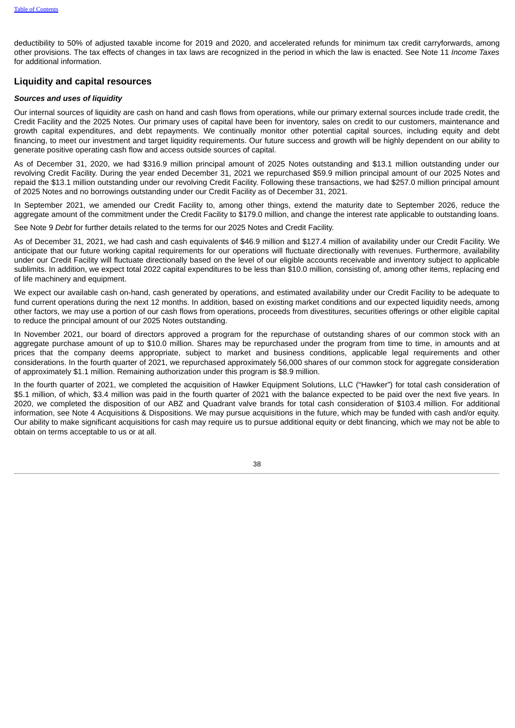deductibility to 50% of adjusted taxable income for 2019 and 2020, and accelerated refunds for minimum tax credit carryforwards, among other provisions. The tax effects of changes in tax laws are recognized in the period in which the law is enacted. See Note 11 *Income Taxes* for additional information.

## **Liquidity and capital resources**

#### *Sources and uses of liquidity*

Our internal sources of liquidity are cash on hand and cash flows from operations, while our primary external sources include trade credit, the Credit Facility and the 2025 Notes. Our primary uses of capital have been for inventory, sales on credit to our customers, maintenance and growth capital expenditures, and debt repayments. We continually monitor other potential capital sources, including equity and debt financing, to meet our investment and target liquidity requirements. Our future success and growth will be highly dependent on our ability to generate positive operating cash flow and access outside sources of capital.

As of December 31, 2020, we had \$316.9 million principal amount of 2025 Notes outstanding and \$13.1 million outstanding under our revolving Credit Facility. During the year ended December 31, 2021 we repurchased \$59.9 million principal amount of our 2025 Notes and repaid the \$13.1 million outstanding under our revolving Credit Facility. Following these transactions, we had \$257.0 million principal amount of 2025 Notes and no borrowings outstanding under our Credit Facility as of December 31, 2021.

In September 2021, we amended our Credit Facility to, among other things, extend the maturity date to September 2026, reduce the aggregate amount of the commitment under the Credit Facility to \$179.0 million, and change the interest rate applicable to outstanding loans.

See Note 9 *Debt* for further details related to the terms for our 2025 Notes and Credit Facility.

As of December 31, 2021, we had cash and cash equivalents of \$46.9 million and \$127.4 million of availability under our Credit Facility. We anticipate that our future working capital requirements for our operations will fluctuate directionally with revenues. Furthermore, availability under our Credit Facility will fluctuate directionally based on the level of our eligible accounts receivable and inventory subject to applicable sublimits. In addition, we expect total 2022 capital expenditures to be less than \$10.0 million, consisting of, among other items, replacing end of life machinery and equipment.

We expect our available cash on-hand, cash generated by operations, and estimated availability under our Credit Facility to be adequate to fund current operations during the next 12 months. In addition, based on existing market conditions and our expected liquidity needs, among other factors, we may use a portion of our cash flows from operations, proceeds from divestitures, securities offerings or other eligible capital to reduce the principal amount of our 2025 Notes outstanding.

In November 2021, our board of directors approved a program for the repurchase of outstanding shares of our common stock with an aggregate purchase amount of up to \$10.0 million. Shares may be repurchased under the program from time to time, in amounts and at prices that the company deems appropriate, subject to market and business conditions, applicable legal requirements and other considerations. In the fourth quarter of 2021, we repurchased approximately 56,000 shares of our common stock for aggregate consideration of approximately \$1.1 million. Remaining authorization under this program is \$8.9 million.

In the fourth quarter of 2021, we completed the acquisition of Hawker Equipment Solutions, LLC ("Hawker") for total cash consideration of \$5.1 million, of which, \$3.4 million was paid in the fourth quarter of 2021 with the balance expected to be paid over the next five years. In 2020, we completed the disposition of our ABZ and Quadrant valve brands for total cash consideration of \$103.4 million. For additional information, see Note 4 Acquisitions & Dispositions. We may pursue acquisitions in the future, which may be funded with cash and/or equity. Our ability to make significant acquisitions for cash may require us to pursue additional equity or debt financing, which we may not be able to obtain on terms acceptable to us or at all.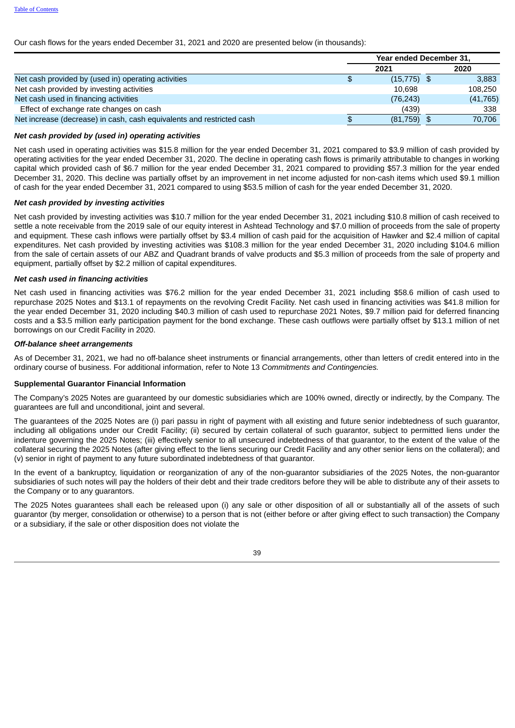Our cash flows for the years ended December 31, 2021 and 2020 are presented below (in thousands):

|                                                                       |   | Year ended December 31, |  |           |  |  |
|-----------------------------------------------------------------------|---|-------------------------|--|-----------|--|--|
|                                                                       |   | 2021                    |  | 2020      |  |  |
| Net cash provided by (used in) operating activities                   | £ | $(15, 775)$ \$          |  | 3,883     |  |  |
| Net cash provided by investing activities                             |   | 10.698                  |  | 108,250   |  |  |
| Net cash used in financing activities                                 |   | (76, 243)               |  | (41, 765) |  |  |
| Effect of exchange rate changes on cash                               |   | (439)                   |  | 338       |  |  |
| Net increase (decrease) in cash, cash equivalents and restricted cash |   | $(81,759)$ \$           |  | 70.706    |  |  |

#### *Net cash provided by (used in) operating activities*

Net cash used in operating activities was \$15.8 million for the year ended December 31, 2021 compared to \$3.9 million of cash provided by operating activities for the year ended December 31, 2020. The decline in operating cash flows is primarily attributable to changes in working capital which provided cash of \$6.7 million for the year ended December 31, 2021 compared to providing \$57.3 million for the year ended December 31, 2020. This decline was partially offset by an improvement in net income adjusted for non-cash items which used \$9.1 million of cash for the year ended December 31, 2021 compared to using \$53.5 million of cash for the year ended December 31, 2020.

#### *Net cash provided by investing activities*

Net cash provided by investing activities was \$10.7 million for the year ended December 31, 2021 including \$10.8 million of cash received to settle a note receivable from the 2019 sale of our equity interest in Ashtead Technology and \$7.0 million of proceeds from the sale of property and equipment. These cash inflows were partially offset by \$3.4 million of cash paid for the acquisition of Hawker and \$2.4 million of capital expenditures. Net cash provided by investing activities was \$108.3 million for the year ended December 31, 2020 including \$104.6 million from the sale of certain assets of our ABZ and Quadrant brands of valve products and \$5.3 million of proceeds from the sale of property and equipment, partially offset by \$2.2 million of capital expenditures.

#### *Net cash used in financing activities*

Net cash used in financing activities was \$76.2 million for the year ended December 31, 2021 including \$58.6 million of cash used to repurchase 2025 Notes and \$13.1 of repayments on the revolving Credit Facility. Net cash used in financing activities was \$41.8 million for the year ended December 31, 2020 including \$40.3 million of cash used to repurchase 2021 Notes, \$9.7 million paid for deferred financing costs and a \$3.5 million early participation payment for the bond exchange. These cash outflows were partially offset by \$13.1 million of net borrowings on our Credit Facility in 2020.

#### *Off-balance sheet arrangements*

As of December 31, 2021, we had no off-balance sheet instruments or financial arrangements, other than letters of credit entered into in the ordinary course of business. For additional information, refer to Note 13 *Commitments and Contingencies.*

#### **Supplemental Guarantor Financial Information**

The Company's 2025 Notes are guaranteed by our domestic subsidiaries which are 100% owned, directly or indirectly, by the Company. The guarantees are full and unconditional, joint and several.

The guarantees of the 2025 Notes are (i) pari passu in right of payment with all existing and future senior indebtedness of such guarantor, including all obligations under our Credit Facility; (ii) secured by certain collateral of such guarantor, subject to permitted liens under the indenture governing the 2025 Notes; (iii) effectively senior to all unsecured indebtedness of that guarantor, to the extent of the value of the collateral securing the 2025 Notes (after giving effect to the liens securing our Credit Facility and any other senior liens on the collateral); and (v) senior in right of payment to any future subordinated indebtedness of that guarantor.

In the event of a bankruptcy, liquidation or reorganization of any of the non-guarantor subsidiaries of the 2025 Notes, the non-guarantor subsidiaries of such notes will pay the holders of their debt and their trade creditors before they will be able to distribute any of their assets to the Company or to any guarantors.

The 2025 Notes guarantees shall each be released upon (i) any sale or other disposition of all or substantially all of the assets of such guarantor (by merger, consolidation or otherwise) to a person that is not (either before or after giving effect to such transaction) the Company or a subsidiary, if the sale or other disposition does not violate the

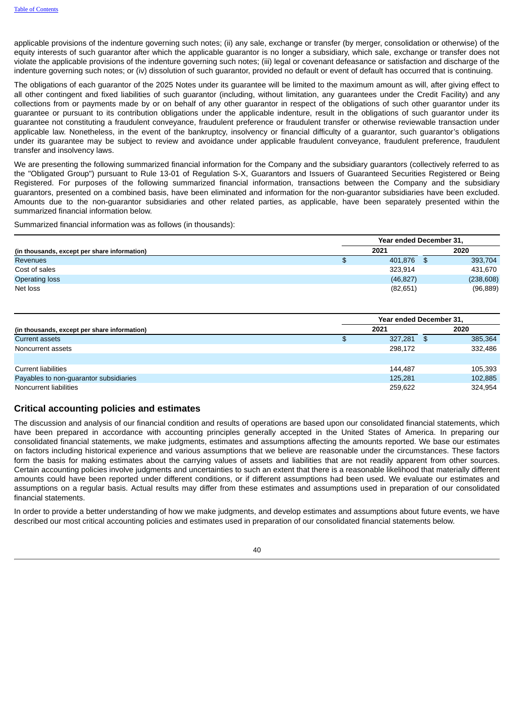applicable provisions of the indenture governing such notes; (ii) any sale, exchange or transfer (by merger, consolidation or otherwise) of the equity interests of such guarantor after which the applicable guarantor is no longer a subsidiary, which sale, exchange or transfer does not violate the applicable provisions of the indenture governing such notes; (iii) legal or covenant defeasance or satisfaction and discharge of the indenture governing such notes; or (iv) dissolution of such guarantor, provided no default or event of default has occurred that is continuing.

The obligations of each guarantor of the 2025 Notes under its guarantee will be limited to the maximum amount as will, after giving effect to all other contingent and fixed liabilities of such guarantor (including, without limitation, any guarantees under the Credit Facility) and any collections from or payments made by or on behalf of any other guarantor in respect of the obligations of such other guarantor under its guarantee or pursuant to its contribution obligations under the applicable indenture, result in the obligations of such guarantor under its guarantee not constituting a fraudulent conveyance, fraudulent preference or fraudulent transfer or otherwise reviewable transaction under applicable law. Nonetheless, in the event of the bankruptcy, insolvency or financial difficulty of a guarantor, such guarantor's obligations under its guarantee may be subject to review and avoidance under applicable fraudulent conveyance, fraudulent preference, fraudulent transfer and insolvency laws.

We are presenting the following summarized financial information for the Company and the subsidiary guarantors (collectively referred to as the "Obligated Group") pursuant to Rule 13-01 of Regulation S-X, Guarantors and Issuers of Guaranteed Securities Registered or Being Registered. For purposes of the following summarized financial information, transactions between the Company and the subsidiary guarantors, presented on a combined basis, have been eliminated and information for the non-guarantor subsidiaries have been excluded. Amounts due to the non-guarantor subsidiaries and other related parties, as applicable, have been separately presented within the summarized financial information below.

Summarized financial information was as follows (in thousands):

|                                              | Year ended December 31, |            |  |  |
|----------------------------------------------|-------------------------|------------|--|--|
| (in thousands, except per share information) | 2021                    | 2020       |  |  |
| <b>Revenues</b>                              | 401.876                 | 393,704    |  |  |
| Cost of sales                                | 323.914                 | 431,670    |  |  |
| <b>Operating loss</b>                        | (46, 827)               | (238, 608) |  |  |
| Net loss                                     | (82, 651)               | (96, 889)  |  |  |

|                                              | Year ended December 31. |         |    |         |  |
|----------------------------------------------|-------------------------|---------|----|---------|--|
| (in thousands, except per share information) |                         | 2021    |    | 2020    |  |
| <b>Current assets</b>                        | \$                      | 327.281 | \$ | 385,364 |  |
| Noncurrent assets                            |                         | 298.172 |    | 332.486 |  |
|                                              |                         |         |    |         |  |
| <b>Current liabilities</b>                   |                         | 144.487 |    | 105,393 |  |
| Payables to non-guarantor subsidiaries       |                         | 125,281 |    | 102,885 |  |
| Noncurrent liabilities                       |                         | 259,622 |    | 324.954 |  |

## **Critical accounting policies and estimates**

The discussion and analysis of our financial condition and results of operations are based upon our consolidated financial statements, which have been prepared in accordance with accounting principles generally accepted in the United States of America. In preparing our consolidated financial statements, we make judgments, estimates and assumptions affecting the amounts reported. We base our estimates on factors including historical experience and various assumptions that we believe are reasonable under the circumstances. These factors form the basis for making estimates about the carrying values of assets and liabilities that are not readily apparent from other sources. Certain accounting policies involve judgments and uncertainties to such an extent that there is a reasonable likelihood that materially different amounts could have been reported under different conditions, or if different assumptions had been used. We evaluate our estimates and assumptions on a regular basis. Actual results may differ from these estimates and assumptions used in preparation of our consolidated financial statements.

In order to provide a better understanding of how we make judgments, and develop estimates and assumptions about future events, we have described our most critical accounting policies and estimates used in preparation of our consolidated financial statements below.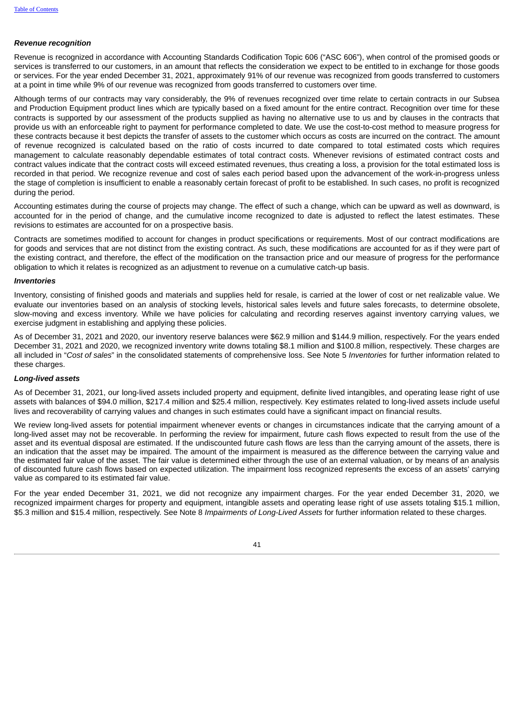## *Revenue recognition*

Revenue is recognized in accordance with Accounting Standards Codification Topic 606 ("ASC 606"), when control of the promised goods or services is transferred to our customers, in an amount that reflects the consideration we expect to be entitled to in exchange for those goods or services. For the year ended December 31, 2021, approximately 91% of our revenue was recognized from goods transferred to customers at a point in time while 9% of our revenue was recognized from goods transferred to customers over time.

Although terms of our contracts may vary considerably, the 9% of revenues recognized over time relate to certain contracts in our Subsea and Production Equipment product lines which are typically based on a fixed amount for the entire contract. Recognition over time for these contracts is supported by our assessment of the products supplied as having no alternative use to us and by clauses in the contracts that provide us with an enforceable right to payment for performance completed to date. We use the cost-to-cost method to measure progress for these contracts because it best depicts the transfer of assets to the customer which occurs as costs are incurred on the contract. The amount of revenue recognized is calculated based on the ratio of costs incurred to date compared to total estimated costs which requires management to calculate reasonably dependable estimates of total contract costs. Whenever revisions of estimated contract costs and contract values indicate that the contract costs will exceed estimated revenues, thus creating a loss, a provision for the total estimated loss is recorded in that period. We recognize revenue and cost of sales each period based upon the advancement of the work-in-progress unless the stage of completion is insufficient to enable a reasonably certain forecast of profit to be established. In such cases, no profit is recognized during the period.

Accounting estimates during the course of projects may change. The effect of such a change, which can be upward as well as downward, is accounted for in the period of change, and the cumulative income recognized to date is adjusted to reflect the latest estimates. These revisions to estimates are accounted for on a prospective basis.

Contracts are sometimes modified to account for changes in product specifications or requirements. Most of our contract modifications are for goods and services that are not distinct from the existing contract. As such, these modifications are accounted for as if they were part of the existing contract, and therefore, the effect of the modification on the transaction price and our measure of progress for the performance obligation to which it relates is recognized as an adjustment to revenue on a cumulative catch-up basis.

#### *Inventories*

Inventory, consisting of finished goods and materials and supplies held for resale, is carried at the lower of cost or net realizable value. We evaluate our inventories based on an analysis of stocking levels, historical sales levels and future sales forecasts, to determine obsolete, slow-moving and excess inventory. While we have policies for calculating and recording reserves against inventory carrying values, we exercise judgment in establishing and applying these policies.

As of December 31, 2021 and 2020, our inventory reserve balances were \$62.9 million and \$144.9 million, respectively. For the years ended December 31, 2021 and 2020, we recognized inventory write downs totaling \$8.1 million and \$100.8 million, respectively. These charges are all included in "*Cost of sales*" in the consolidated statements of comprehensive loss. See Note 5 *Inventories* for further information related to these charges.

#### *Long-lived assets*

As of December 31, 2021, our long-lived assets included property and equipment, definite lived intangibles, and operating lease right of use assets with balances of \$94.0 million, \$217.4 million and \$25.4 million, respectively. Key estimates related to long-lived assets include useful lives and recoverability of carrying values and changes in such estimates could have a significant impact on financial results.

We review long-lived assets for potential impairment whenever events or changes in circumstances indicate that the carrying amount of a long-lived asset may not be recoverable. In performing the review for impairment, future cash flows expected to result from the use of the asset and its eventual disposal are estimated. If the undiscounted future cash flows are less than the carrying amount of the assets, there is an indication that the asset may be impaired. The amount of the impairment is measured as the difference between the carrying value and the estimated fair value of the asset. The fair value is determined either through the use of an external valuation, or by means of an analysis of discounted future cash flows based on expected utilization. The impairment loss recognized represents the excess of an assets' carrying value as compared to its estimated fair value.

For the year ended December 31, 2021, we did not recognize any impairment charges. For the year ended December 31, 2020, we recognized impairment charges for property and equipment, intangible assets and operating lease right of use assets totaling \$15.1 million, \$5.3 million and \$15.4 million, respectively. See Note 8 *Impairments of Long-Lived Assets* for further information related to these charges.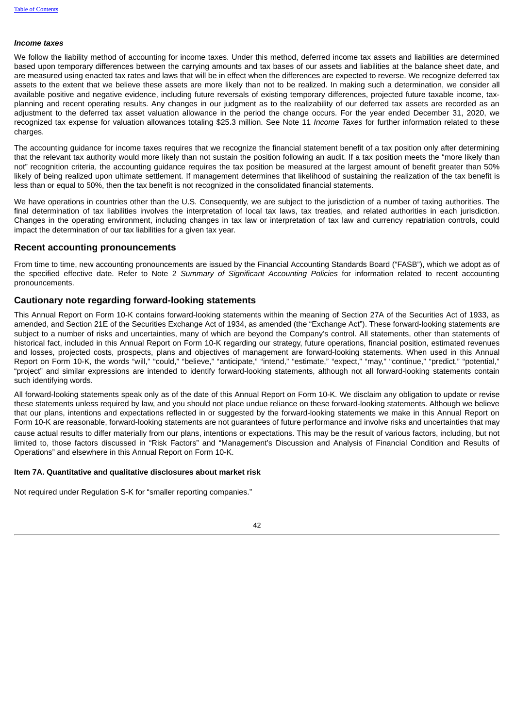#### *Income taxes*

We follow the liability method of accounting for income taxes. Under this method, deferred income tax assets and liabilities are determined based upon temporary differences between the carrying amounts and tax bases of our assets and liabilities at the balance sheet date, and are measured using enacted tax rates and laws that will be in effect when the differences are expected to reverse. We recognize deferred tax assets to the extent that we believe these assets are more likely than not to be realized. In making such a determination, we consider all available positive and negative evidence, including future reversals of existing temporary differences, projected future taxable income, taxplanning and recent operating results. Any changes in our judgment as to the realizability of our deferred tax assets are recorded as an adjustment to the deferred tax asset valuation allowance in the period the change occurs. For the year ended December 31, 2020, we recognized tax expense for valuation allowances totaling \$25.3 million. See Note 11 *Income Taxes* for further information related to these charges.

The accounting guidance for income taxes requires that we recognize the financial statement benefit of a tax position only after determining that the relevant tax authority would more likely than not sustain the position following an audit. If a tax position meets the "more likely than not" recognition criteria, the accounting guidance requires the tax position be measured at the largest amount of benefit greater than 50% likely of being realized upon ultimate settlement. If management determines that likelihood of sustaining the realization of the tax benefit is less than or equal to 50%, then the tax benefit is not recognized in the consolidated financial statements.

We have operations in countries other than the U.S. Consequently, we are subject to the jurisdiction of a number of taxing authorities. The final determination of tax liabilities involves the interpretation of local tax laws, tax treaties, and related authorities in each jurisdiction. Changes in the operating environment, including changes in tax law or interpretation of tax law and currency repatriation controls, could impact the determination of our tax liabilities for a given tax year.

## **Recent accounting pronouncements**

From time to time, new accounting pronouncements are issued by the Financial Accounting Standards Board ("FASB"), which we adopt as of the specified effective date. Refer to Note 2 *Summary of Significant Accounting Policies* for information related to recent accounting pronouncements.

## **Cautionary note regarding forward-looking statements**

This Annual Report on Form 10-K contains forward-looking statements within the meaning of Section 27A of the Securities Act of 1933, as amended, and Section 21E of the Securities Exchange Act of 1934, as amended (the "Exchange Act"). These forward-looking statements are subject to a number of risks and uncertainties, many of which are beyond the Company's control. All statements, other than statements of historical fact, included in this Annual Report on Form 10-K regarding our strategy, future operations, financial position, estimated revenues and losses, projected costs, prospects, plans and objectives of management are forward-looking statements. When used in this Annual Report on Form 10-K, the words "will," "could," "believe," "anticipate," "intend," "estimate," "expect," "may," "continue," "predict," "potential," "project" and similar expressions are intended to identify forward-looking statements, although not all forward-looking statements contain such identifying words.

All forward-looking statements speak only as of the date of this Annual Report on Form 10-K. We disclaim any obligation to update or revise these statements unless required by law, and you should not place undue reliance on these forward-looking statements. Although we believe that our plans, intentions and expectations reflected in or suggested by the forward-looking statements we make in this Annual Report on Form 10-K are reasonable, forward-looking statements are not guarantees of future performance and involve risks and uncertainties that may cause actual results to differ materially from our plans, intentions or expectations. This may be the result of various factors, including, but not limited to, those factors discussed in "Risk Factors" and "Management's Discussion and Analysis of Financial Condition and Results of Operations" and elsewhere in this Annual Report on Form 10-K.

#### **Item 7A. Quantitative and qualitative disclosures about market risk**

Not required under Regulation S-K for "smaller reporting companies."

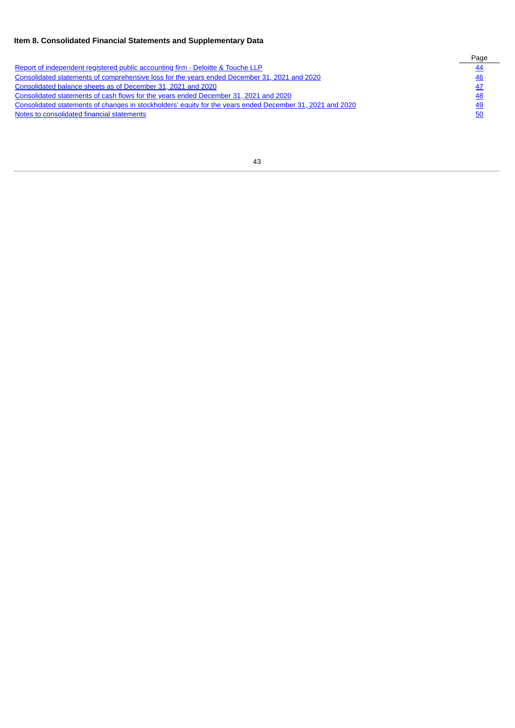# **Item 8. Consolidated Financial Statements and Supplementary Data**

<span id="page-42-0"></span>

|                                                                                                           | Page |
|-----------------------------------------------------------------------------------------------------------|------|
| Report of independent registered public accounting firm - Deloitte & Touche LLP                           | 44   |
| Consolidated statements of comprehensive loss for the years ended December 31, 2021 and 2020              | 46   |
| Consolidated balance sheets as of December 31, 2021 and 2020                                              | 47   |
| Consolidated statements of cash flows for the years ended December 31, 2021 and 2020                      | 48   |
| Consolidated statements of changes in stockholders' equity for the years ended December 31, 2021 and 2020 | 49   |
| Notes to consolidated financial statements                                                                | 50   |
|                                                                                                           |      |

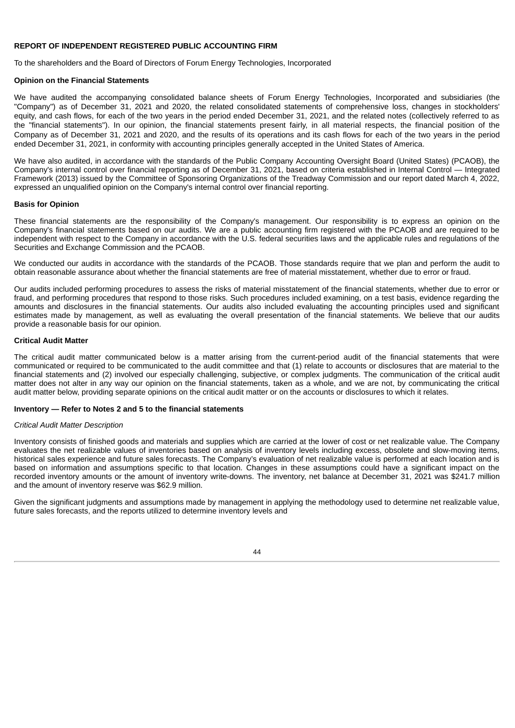#### **REPORT OF INDEPENDENT REGISTERED PUBLIC ACCOUNTING FIRM**

To the shareholders and the Board of Directors of Forum Energy Technologies, Incorporated

#### **Opinion on the Financial Statements**

We have audited the accompanying consolidated balance sheets of Forum Energy Technologies, Incorporated and subsidiaries (the "Company") as of December 31, 2021 and 2020, the related consolidated statements of comprehensive loss, changes in stockholders' equity, and cash flows, for each of the two years in the period ended December 31, 2021, and the related notes (collectively referred to as the "financial statements"). In our opinion, the financial statements present fairly, in all material respects, the financial position of the Company as of December 31, 2021 and 2020, and the results of its operations and its cash flows for each of the two years in the period ended December 31, 2021, in conformity with accounting principles generally accepted in the United States of America.

We have also audited, in accordance with the standards of the Public Company Accounting Oversight Board (United States) (PCAOB), the Company's internal control over financial reporting as of December 31, 2021, based on criteria established in Internal Control — Integrated Framework (2013) issued by the Committee of Sponsoring Organizations of the Treadway Commission and our report dated March 4, 2022, expressed an unqualified opinion on the Company's internal control over financial reporting.

#### **Basis for Opinion**

These financial statements are the responsibility of the Company's management. Our responsibility is to express an opinion on the Company's financial statements based on our audits. We are a public accounting firm registered with the PCAOB and are required to be independent with respect to the Company in accordance with the U.S. federal securities laws and the applicable rules and regulations of the Securities and Exchange Commission and the PCAOB.

We conducted our audits in accordance with the standards of the PCAOB. Those standards require that we plan and perform the audit to obtain reasonable assurance about whether the financial statements are free of material misstatement, whether due to error or fraud.

Our audits included performing procedures to assess the risks of material misstatement of the financial statements, whether due to error or fraud, and performing procedures that respond to those risks. Such procedures included examining, on a test basis, evidence regarding the amounts and disclosures in the financial statements. Our audits also included evaluating the accounting principles used and significant estimates made by management, as well as evaluating the overall presentation of the financial statements. We believe that our audits provide a reasonable basis for our opinion.

#### **Critical Audit Matter**

The critical audit matter communicated below is a matter arising from the current-period audit of the financial statements that were communicated or required to be communicated to the audit committee and that (1) relate to accounts or disclosures that are material to the financial statements and (2) involved our especially challenging, subjective, or complex judgments. The communication of the critical audit matter does not alter in any way our opinion on the financial statements, taken as a whole, and we are not, by communicating the critical audit matter below, providing separate opinions on the critical audit matter or on the accounts or disclosures to which it relates.

#### **Inventory — Refer to Notes 2 and 5 to the financial statements**

#### *Critical Audit Matter Description*

Inventory consists of finished goods and materials and supplies which are carried at the lower of cost or net realizable value. The Company evaluates the net realizable values of inventories based on analysis of inventory levels including excess, obsolete and slow-moving items, historical sales experience and future sales forecasts. The Company's evaluation of net realizable value is performed at each location and is based on information and assumptions specific to that location. Changes in these assumptions could have a significant impact on the recorded inventory amounts or the amount of inventory write-downs. The inventory, net balance at December 31, 2021 was \$241.7 million and the amount of inventory reserve was \$62.9 million.

Given the significant judgments and assumptions made by management in applying the methodology used to determine net realizable value, future sales forecasts, and the reports utilized to determine inventory levels and

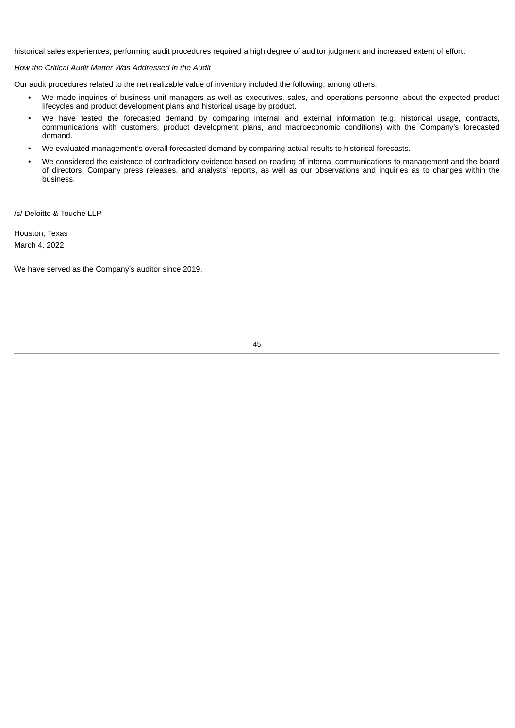historical sales experiences, performing audit procedures required a high degree of auditor judgment and increased extent of effort.

#### *How the Critical Audit Matter Was Addressed in the Audit*

Our audit procedures related to the net realizable value of inventory included the following, among others:

- We made inquiries of business unit managers as well as executives, sales, and operations personnel about the expected product lifecycles and product development plans and historical usage by product.
- We have tested the forecasted demand by comparing internal and external information (e.g. historical usage, contracts, communications with customers, product development plans, and macroeconomic conditions) with the Company's forecasted demand.
- We evaluated management's overall forecasted demand by comparing actual results to historical forecasts.
- We considered the existence of contradictory evidence based on reading of internal communications to management and the board of directors, Company press releases, and analysts' reports, as well as our observations and inquiries as to changes within the business.

/s/ Deloitte & Touche LLP

Houston, Texas March 4, 2022

<span id="page-44-0"></span>We have served as the Company's auditor since 2019.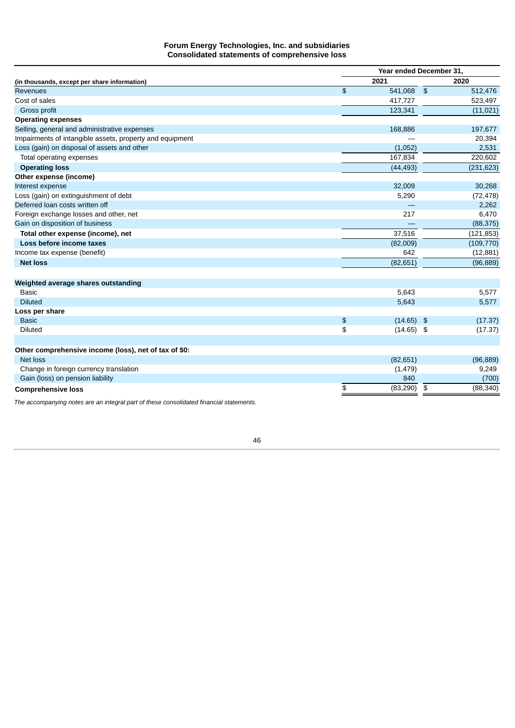## **Forum Energy Technologies, Inc. and subsidiaries Consolidated statements of comprehensive loss**

|                                                          | Year ended December 31, |              |               |            |  |  |  |
|----------------------------------------------------------|-------------------------|--------------|---------------|------------|--|--|--|
| (in thousands, except per share information)             |                         | 2021         | 2020          |            |  |  |  |
| Revenues                                                 | $\mathfrak{P}$          | 541,068      | $\frac{3}{2}$ | 512,476    |  |  |  |
| Cost of sales                                            |                         | 417,727      |               | 523,497    |  |  |  |
| Gross profit                                             |                         | 123,341      |               | (11, 021)  |  |  |  |
| <b>Operating expenses</b>                                |                         |              |               |            |  |  |  |
| Selling, general and administrative expenses             |                         | 168,886      |               | 197,677    |  |  |  |
| Impairments of intangible assets, property and equipment |                         |              |               | 20,394     |  |  |  |
| Loss (gain) on disposal of assets and other              |                         | (1,052)      |               | 2,531      |  |  |  |
| Total operating expenses                                 |                         | 167,834      |               | 220,602    |  |  |  |
| <b>Operating loss</b>                                    |                         | (44, 493)    |               | (231, 623) |  |  |  |
| Other expense (income)                                   |                         |              |               |            |  |  |  |
| Interest expense                                         |                         | 32,009       |               | 30,268     |  |  |  |
| Loss (gain) on extinguishment of debt                    |                         | 5,290        |               | (72, 478)  |  |  |  |
| Deferred loan costs written off                          |                         |              |               | 2,262      |  |  |  |
| Foreign exchange losses and other, net                   |                         | 217          |               | 6,470      |  |  |  |
| Gain on disposition of business                          |                         |              |               | (88, 375)  |  |  |  |
| Total other expense (income), net                        |                         | 37,516       |               | (121, 853) |  |  |  |
| Loss before income taxes                                 |                         | (82,009)     |               | (109, 770) |  |  |  |
| Income tax expense (benefit)                             |                         | 642          |               | (12, 881)  |  |  |  |
| <b>Net loss</b>                                          |                         | (82, 651)    |               | (96, 889)  |  |  |  |
| Weighted average shares outstanding                      |                         |              |               |            |  |  |  |
| <b>Basic</b>                                             |                         | 5,643        |               | 5,577      |  |  |  |
| <b>Diluted</b>                                           |                         | 5,643        |               | 5,577      |  |  |  |
| Loss per share                                           |                         |              |               |            |  |  |  |
| <b>Basic</b>                                             | \$                      | $(14.65)$ \$ |               | (17.37)    |  |  |  |
| Diluted                                                  | \$                      | $(14.65)$ \$ |               | (17.37)    |  |  |  |
| Other comprehensive income (loss), net of tax of \$0:    |                         |              |               |            |  |  |  |
| Net loss                                                 |                         | (82, 651)    |               | (96, 889)  |  |  |  |
| Change in foreign currency translation                   |                         | (1, 479)     |               | 9,249      |  |  |  |
| Gain (loss) on pension liability                         |                         | 840          |               | (700)      |  |  |  |
| <b>Comprehensive loss</b>                                | \$                      | (83, 290)    | \$            | (88, 340)  |  |  |  |
|                                                          |                         |              |               |            |  |  |  |

<span id="page-45-0"></span>*The accompanying notes are an integral part of these consolidated financial statements.*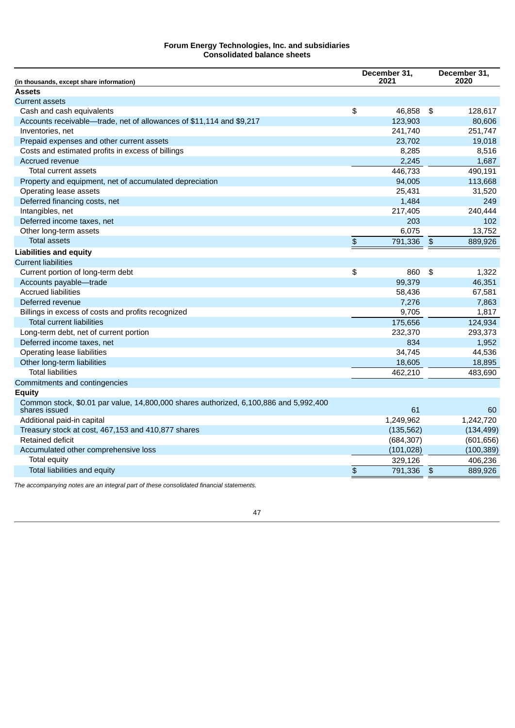## **Forum Energy Technologies, Inc. and subsidiaries Consolidated balance sheets**

| (in thousands, except share information)                                                               |                      | December 31,<br>2021 |               | December 31,<br>2020 |
|--------------------------------------------------------------------------------------------------------|----------------------|----------------------|---------------|----------------------|
| <b>Assets</b>                                                                                          |                      |                      |               |                      |
| <b>Current assets</b>                                                                                  |                      |                      |               |                      |
| Cash and cash equivalents                                                                              | \$                   | 46,858               | \$            | 128,617              |
| Accounts receivable-trade, net of allowances of \$11,114 and \$9,217                                   |                      | 123,903              |               | 80,606               |
| Inventories, net                                                                                       |                      | 241,740              |               | 251,747              |
| Prepaid expenses and other current assets                                                              |                      | 23,702               |               | 19,018               |
| Costs and estimated profits in excess of billings                                                      |                      | 8,285                |               | 8,516                |
| Accrued revenue                                                                                        |                      | 2,245                |               | 1,687                |
| <b>Total current assets</b>                                                                            |                      | 446,733              |               | 490,191              |
| Property and equipment, net of accumulated depreciation                                                |                      | 94,005               |               | 113,668              |
| Operating lease assets                                                                                 |                      | 25,431               |               | 31,520               |
| Deferred financing costs, net                                                                          |                      | 1,484                |               | 249                  |
| Intangibles, net                                                                                       |                      | 217,405              |               | 240,444              |
| Deferred income taxes, net                                                                             |                      | 203                  |               | 102                  |
| Other long-term assets                                                                                 |                      | 6,075                |               | 13.752               |
| <b>Total assets</b>                                                                                    | $\pmb{\mathfrak{s}}$ | 791,336              | \$            | 889,926              |
| <b>Liabilities and equity</b>                                                                          |                      |                      |               |                      |
| <b>Current liabilities</b>                                                                             |                      |                      |               |                      |
| Current portion of long-term debt                                                                      | \$                   | 860                  | $\frac{1}{2}$ | 1,322                |
| Accounts payable-trade                                                                                 |                      | 99,379               |               | 46,351               |
| <b>Accrued liabilities</b>                                                                             |                      | 58,436               |               | 67,581               |
| Deferred revenue                                                                                       |                      | 7,276                |               | 7,863                |
| Billings in excess of costs and profits recognized                                                     |                      | 9,705                |               | 1,817                |
| <b>Total current liabilities</b>                                                                       |                      | 175,656              |               | 124,934              |
| Long-term debt, net of current portion                                                                 |                      | 232,370              |               | 293,373              |
| Deferred income taxes, net                                                                             |                      | 834                  |               | 1,952                |
| Operating lease liabilities                                                                            |                      | 34,745               |               | 44,536               |
| Other long-term liabilities                                                                            |                      | 18,605               |               | 18,895               |
| <b>Total liabilities</b>                                                                               |                      | 462,210              |               | 483,690              |
| Commitments and contingencies                                                                          |                      |                      |               |                      |
| <b>Equity</b>                                                                                          |                      |                      |               |                      |
| Common stock, \$0.01 par value, 14,800,000 shares authorized, 6,100,886 and 5,992,400<br>shares issued |                      | 61                   |               | 60                   |
| Additional paid-in capital                                                                             |                      | 1,249,962            |               | 1,242,720            |
| Treasury stock at cost, 467,153 and 410,877 shares                                                     |                      | (135, 562)           |               | (134, 499)           |
| <b>Retained deficit</b>                                                                                |                      | (684, 307)           |               | (601, 656)           |
| Accumulated other comprehensive loss                                                                   |                      | (101, 028)           |               | (100, 389)           |
| Total equity                                                                                           |                      | 329,126              |               | 406,236              |
| Total liabilities and equity                                                                           | \$                   | 791,336              | \$            | 889,926              |
|                                                                                                        |                      |                      |               |                      |

<span id="page-46-0"></span>*The accompanying notes are an integral part of these consolidated financial statements.*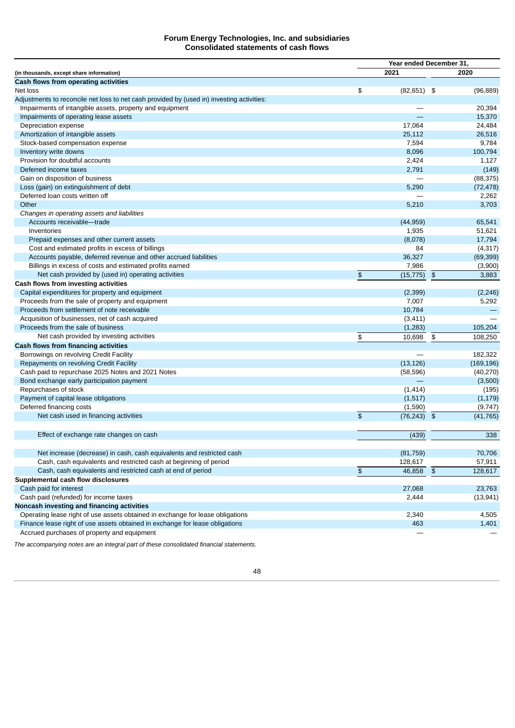### **Forum Energy Technologies, Inc. and subsidiaries Consolidated statements of cash flows**

|                                                                                           | Year ended December 31,   |                          |            |            |  |
|-------------------------------------------------------------------------------------------|---------------------------|--------------------------|------------|------------|--|
| (in thousands, except share information)                                                  |                           | 2021                     |            | 2020       |  |
| Cash flows from operating activities                                                      |                           |                          |            |            |  |
| Net loss                                                                                  | \$                        | $(82,651)$ \$            |            | (96, 889)  |  |
| Adjustments to reconcile net loss to net cash provided by (used in) investing activities: |                           |                          |            |            |  |
| Impairments of intangible assets, property and equipment                                  |                           |                          |            | 20,394     |  |
| Impairments of operating lease assets                                                     |                           |                          |            | 15,370     |  |
| Depreciation expense                                                                      |                           | 17,064                   |            | 24,484     |  |
| Amortization of intangible assets                                                         |                           | 25,112                   |            | 26,516     |  |
| Stock-based compensation expense                                                          |                           | 7,594                    |            | 9,784      |  |
| Inventory write downs                                                                     |                           | 8,096                    |            | 100,794    |  |
| Provision for doubtful accounts                                                           |                           | 2,424                    |            | 1,127      |  |
| Deferred income taxes                                                                     |                           | 2,791                    |            | (149)      |  |
| Gain on disposition of business                                                           |                           |                          |            | (88, 375)  |  |
| Loss (gain) on extinguishment of debt                                                     |                           | 5,290                    |            | (72, 478)  |  |
| Deferred loan costs written off                                                           |                           |                          |            | 2,262      |  |
| Other                                                                                     |                           | 5,210                    |            | 3,703      |  |
| Changes in operating assets and liabilities                                               |                           |                          |            |            |  |
| Accounts receivable-trade                                                                 |                           | (44, 959)                |            | 65,541     |  |
| Inventories                                                                               |                           | 1,935                    |            | 51,621     |  |
| Prepaid expenses and other current assets                                                 |                           | (8,078)                  |            | 17,794     |  |
| Cost and estimated profits in excess of billings                                          |                           | 84                       |            | (4, 317)   |  |
| Accounts payable, deferred revenue and other accrued liabilities                          |                           | 36,327                   |            | (69, 399)  |  |
| Billings in excess of costs and estimated profits earned                                  |                           | 7,986                    |            | (3,900)    |  |
| Net cash provided by (used in) operating activities                                       | $\boldsymbol{\mathsf{s}}$ | $(15, 775)$ \$           |            | 3,883      |  |
| Cash flows from investing activities                                                      |                           |                          |            |            |  |
| Capital expenditures for property and equipment                                           |                           | (2,399)                  |            | (2, 246)   |  |
| Proceeds from the sale of property and equipment                                          |                           | 7,007                    |            | 5,292      |  |
| Proceeds from settlement of note receivable                                               |                           | 10,784                   |            |            |  |
| Acquisition of businesses, net of cash acquired                                           |                           | (3,411)                  |            |            |  |
| Proceeds from the sale of business                                                        |                           | (1, 283)                 |            | 105,204    |  |
| Net cash provided by investing activities                                                 | \$                        | 10,698                   | \$         | 108,250    |  |
| Cash flows from financing activities                                                      |                           |                          |            |            |  |
| Borrowings on revolving Credit Facility                                                   |                           |                          |            | 182,322    |  |
| Repayments on revolving Credit Facility                                                   |                           | (13, 126)                |            | (169, 196) |  |
| Cash paid to repurchase 2025 Notes and 2021 Notes                                         |                           | (58, 596)                |            | (40, 270)  |  |
| Bond exchange early participation payment                                                 |                           |                          |            | (3,500)    |  |
| Repurchases of stock                                                                      |                           | (1, 414)                 |            | (195)      |  |
| Payment of capital lease obligations                                                      |                           | (1,517)                  |            | (1, 179)   |  |
| Deferred financing costs                                                                  |                           | (1,590)                  |            | (9, 747)   |  |
| Net cash used in financing activities                                                     | $\mathfrak{L}$            | $(76, 243)$ \$           |            | (41, 765)  |  |
|                                                                                           |                           |                          |            |            |  |
| Effect of exchange rate changes on cash                                                   |                           | (439)                    |            | 338        |  |
|                                                                                           |                           |                          |            |            |  |
| Net increase (decrease) in cash, cash equivalents and restricted cash                     |                           | (81, 759)                |            | 70,706     |  |
| Cash, cash equivalents and restricted cash at beginning of period                         |                           | 128,617                  |            | 57,911     |  |
| Cash, cash equivalents and restricted cash at end of period                               | $\,$                      | 46,858                   | $\sqrt{3}$ | 128,617    |  |
| Supplemental cash flow disclosures                                                        |                           |                          |            |            |  |
| Cash paid for interest                                                                    |                           | 27,068                   |            | 23,763     |  |
| Cash paid (refunded) for income taxes                                                     |                           | 2,444                    |            | (13, 941)  |  |
| Noncash investing and financing activities                                                |                           |                          |            |            |  |
| Operating lease right of use assets obtained in exchange for lease obligations            |                           | 2,340                    |            | 4,505      |  |
| Finance lease right of use assets obtained in exchange for lease obligations              |                           | 463                      |            | 1,401      |  |
| Accrued purchases of property and equipment                                               |                           | $\overline{\phantom{0}}$ |            |            |  |
|                                                                                           |                           |                          |            |            |  |

<span id="page-47-0"></span>*The accompanying notes are an integral part of these consolidated financial statements.*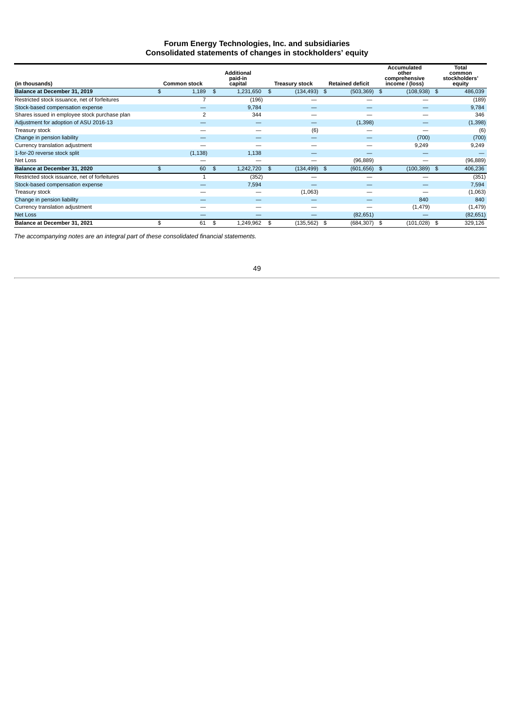## **Forum Energy Technologies, Inc. and subsidiaries Consolidated statements of changes in stockholders' equity**

|                                               |                     | <b>Additional</b><br>paid-in |                       |                         |                 | <b>Accumulated</b><br>other<br>comprehensive | <b>Total</b><br>common<br>stockholders' |
|-----------------------------------------------|---------------------|------------------------------|-----------------------|-------------------------|-----------------|----------------------------------------------|-----------------------------------------|
| (in thousands)                                | <b>Common stock</b> | capital                      | <b>Treasury stock</b> | <b>Retained deficit</b> |                 | income / (loss)                              | equity                                  |
| Balance at December 31, 2019                  | \$<br>1,189         | \$<br>1,231,650              | \$<br>(134, 493)      | \$                      | (503, 369)      | \$<br>$(108, 938)$ \$                        | 486,039                                 |
| Restricted stock issuance, net of forfeitures |                     | (196)                        |                       |                         |                 |                                              | (189)                                   |
| Stock-based compensation expense              |                     | 9,784                        |                       |                         |                 |                                              | 9,784                                   |
| Shares issued in employee stock purchase plan |                     | 344                          |                       |                         |                 |                                              | 346                                     |
| Adjustment for adoption of ASU 2016-13        |                     |                              |                       |                         | (1, 398)        |                                              | (1, 398)                                |
| <b>Treasury stock</b>                         |                     |                              | (6)                   |                         |                 |                                              | (6)                                     |
| Change in pension liability                   |                     |                              |                       |                         |                 | (700)                                        | (700)                                   |
| Currency translation adjustment               |                     |                              |                       |                         |                 | 9,249                                        | 9,249                                   |
| 1-for-20 reverse stock split                  | (1, 138)            | 1,138                        |                       |                         |                 |                                              |                                         |
| Net Loss                                      |                     | –                            | –                     |                         | (96, 889)       |                                              | (96, 889)                               |
| Balance at December 31, 2020                  | \$<br>60            | \$<br>1,242,720              | \$<br>$(134, 499)$ \$ |                         | $(601, 656)$ \$ | $(100, 389)$ \$                              | 406,236                                 |
| Restricted stock issuance, net of forfeitures |                     | (352)                        |                       |                         |                 |                                              | (351)                                   |
| Stock-based compensation expense              |                     | 7,594                        |                       |                         |                 |                                              | 7,594                                   |
| Treasury stock                                |                     |                              | (1,063)               |                         |                 |                                              | (1,063)                                 |
| Change in pension liability                   |                     |                              |                       |                         |                 | 840                                          | 840                                     |
| Currency translation adjustment               |                     |                              |                       |                         |                 | (1, 479)                                     | (1, 479)                                |
| Net Loss                                      |                     |                              |                       |                         | (82, 651)       |                                              | (82, 651)                               |
| Balance at December 31, 2021                  | 61                  | \$<br>1,249,962              | \$<br>(135, 562)      | \$                      | $(684, 307)$ \$ | $(101, 028)$ \$                              | 329,126                                 |

<span id="page-48-0"></span>*The accompanying notes are an integral part of these consolidated financial statements.*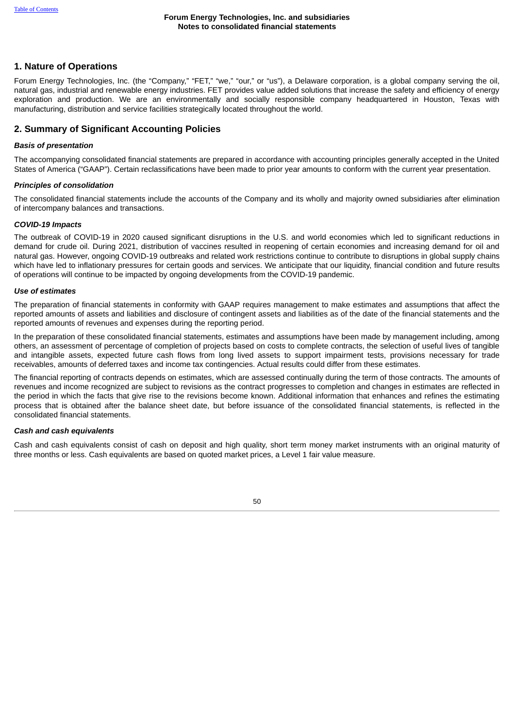# **1. Nature of Operations**

Forum Energy Technologies, Inc. (the "Company," "FET," "we," "our," or "us"), a Delaware corporation, is a global company serving the oil, natural gas, industrial and renewable energy industries. FET provides value added solutions that increase the safety and efficiency of energy exploration and production. We are an environmentally and socially responsible company headquartered in Houston, Texas with manufacturing, distribution and service facilities strategically located throughout the world.

## **2. Summary of Significant Accounting Policies**

## *Basis of presentation*

The accompanying consolidated financial statements are prepared in accordance with accounting principles generally accepted in the United States of America ("GAAP"). Certain reclassifications have been made to prior year amounts to conform with the current year presentation.

### *Principles of consolidation*

The consolidated financial statements include the accounts of the Company and its wholly and majority owned subsidiaries after elimination of intercompany balances and transactions.

### *COVID-19 Impacts*

The outbreak of COVID-19 in 2020 caused significant disruptions in the U.S. and world economies which led to significant reductions in demand for crude oil. During 2021, distribution of vaccines resulted in reopening of certain economies and increasing demand for oil and natural gas. However, ongoing COVID-19 outbreaks and related work restrictions continue to contribute to disruptions in global supply chains which have led to inflationary pressures for certain goods and services. We anticipate that our liquidity, financial condition and future results of operations will continue to be impacted by ongoing developments from the COVID-19 pandemic.

### *Use of estimates*

The preparation of financial statements in conformity with GAAP requires management to make estimates and assumptions that affect the reported amounts of assets and liabilities and disclosure of contingent assets and liabilities as of the date of the financial statements and the reported amounts of revenues and expenses during the reporting period.

In the preparation of these consolidated financial statements, estimates and assumptions have been made by management including, among others, an assessment of percentage of completion of projects based on costs to complete contracts, the selection of useful lives of tangible and intangible assets, expected future cash flows from long lived assets to support impairment tests, provisions necessary for trade receivables, amounts of deferred taxes and income tax contingencies. Actual results could differ from these estimates.

The financial reporting of contracts depends on estimates, which are assessed continually during the term of those contracts. The amounts of revenues and income recognized are subject to revisions as the contract progresses to completion and changes in estimates are reflected in the period in which the facts that give rise to the revisions become known. Additional information that enhances and refines the estimating process that is obtained after the balance sheet date, but before issuance of the consolidated financial statements, is reflected in the consolidated financial statements.

### *Cash and cash equivalents*

Cash and cash equivalents consist of cash on deposit and high quality, short term money market instruments with an original maturity of three months or less. Cash equivalents are based on quoted market prices, a Level 1 fair value measure.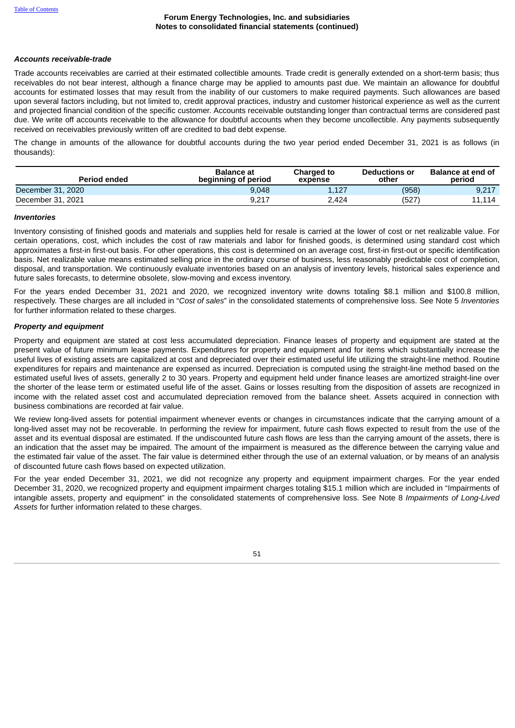#### *Accounts receivable-trade*

Trade accounts receivables are carried at their estimated collectible amounts. Trade credit is generally extended on a short-term basis; thus receivables do not bear interest, although a finance charge may be applied to amounts past due. We maintain an allowance for doubtful accounts for estimated losses that may result from the inability of our customers to make required payments. Such allowances are based upon several factors including, but not limited to, credit approval practices, industry and customer historical experience as well as the current and projected financial condition of the specific customer. Accounts receivable outstanding longer than contractual terms are considered past due. We write off accounts receivable to the allowance for doubtful accounts when they become uncollectible. Any payments subsequently received on receivables previously written off are credited to bad debt expense.

The change in amounts of the allowance for doubtful accounts during the two year period ended December 31, 2021 is as follows (in thousands):

| <b>Period ended</b> | <b>Balance at</b><br>beginning of period | <b>Charged to</b><br>expense | Deductions or<br>other | <b>Balance at end of</b><br>period |
|---------------------|------------------------------------------|------------------------------|------------------------|------------------------------------|
| December 31, 2020   | 9.048                                    | 1,127                        | (958)                  | 9.217                              |
| December 31, 2021   | 9.217                                    | 2.424                        | (527)                  | 11.114                             |

#### *Inventories*

Inventory consisting of finished goods and materials and supplies held for resale is carried at the lower of cost or net realizable value. For certain operations, cost, which includes the cost of raw materials and labor for finished goods, is determined using standard cost which approximates a first-in first-out basis. For other operations, this cost is determined on an average cost, first-in first-out or specific identification basis. Net realizable value means estimated selling price in the ordinary course of business, less reasonably predictable cost of completion, disposal, and transportation. We continuously evaluate inventories based on an analysis of inventory levels, historical sales experience and future sales forecasts, to determine obsolete, slow-moving and excess inventory.

For the years ended December 31, 2021 and 2020, we recognized inventory write downs totaling \$8.1 million and \$100.8 million, respectively. These charges are all included in "*Cost of sales*" in the consolidated statements of comprehensive loss. See Note 5 *Inventories* for further information related to these charges.

#### *Property and equipment*

Property and equipment are stated at cost less accumulated depreciation. Finance leases of property and equipment are stated at the present value of future minimum lease payments. Expenditures for property and equipment and for items which substantially increase the useful lives of existing assets are capitalized at cost and depreciated over their estimated useful life utilizing the straight-line method. Routine expenditures for repairs and maintenance are expensed as incurred. Depreciation is computed using the straight-line method based on the estimated useful lives of assets, generally 2 to 30 years. Property and equipment held under finance leases are amortized straight-line over the shorter of the lease term or estimated useful life of the asset. Gains or losses resulting from the disposition of assets are recognized in income with the related asset cost and accumulated depreciation removed from the balance sheet. Assets acquired in connection with business combinations are recorded at fair value.

We review long-lived assets for potential impairment whenever events or changes in circumstances indicate that the carrying amount of a long-lived asset may not be recoverable. In performing the review for impairment, future cash flows expected to result from the use of the asset and its eventual disposal are estimated. If the undiscounted future cash flows are less than the carrying amount of the assets, there is an indication that the asset may be impaired. The amount of the impairment is measured as the difference between the carrying value and the estimated fair value of the asset. The fair value is determined either through the use of an external valuation, or by means of an analysis of discounted future cash flows based on expected utilization.

For the year ended December 31, 2021, we did not recognize any property and equipment impairment charges. For the year ended December 31, 2020, we recognized property and equipment impairment charges totaling \$15.1 million which are included in "Impairments of intangible assets, property and equipment" in the consolidated statements of comprehensive loss. See Note 8 *Impairments of Long-Lived Assets* for further information related to these charges.

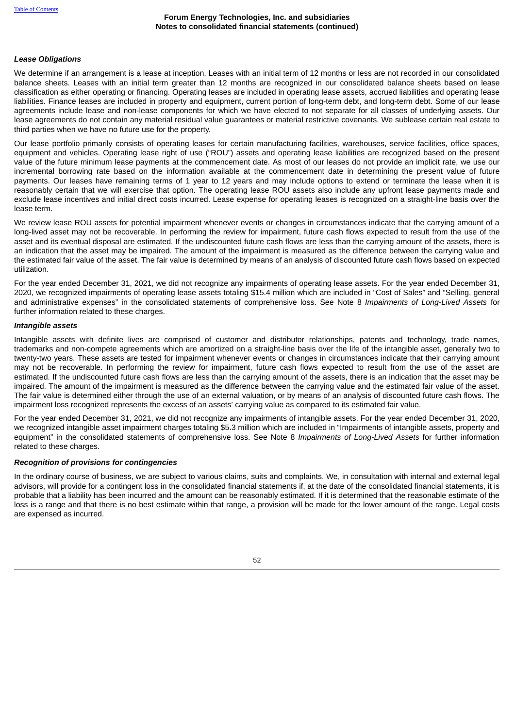#### *Lease Obligations*

We determine if an arrangement is a lease at inception. Leases with an initial term of 12 months or less are not recorded in our consolidated balance sheets. Leases with an initial term greater than 12 months are recognized in our consolidated balance sheets based on lease classification as either operating or financing. Operating leases are included in operating lease assets, accrued liabilities and operating lease liabilities. Finance leases are included in property and equipment, current portion of long-term debt, and long-term debt. Some of our lease agreements include lease and non-lease components for which we have elected to not separate for all classes of underlying assets. Our lease agreements do not contain any material residual value guarantees or material restrictive covenants. We sublease certain real estate to third parties when we have no future use for the property.

Our lease portfolio primarily consists of operating leases for certain manufacturing facilities, warehouses, service facilities, office spaces, equipment and vehicles. Operating lease right of use ("ROU") assets and operating lease liabilities are recognized based on the present value of the future minimum lease payments at the commencement date. As most of our leases do not provide an implicit rate, we use our incremental borrowing rate based on the information available at the commencement date in determining the present value of future payments. Our leases have remaining terms of 1 year to 12 years and may include options to extend or terminate the lease when it is reasonably certain that we will exercise that option. The operating lease ROU assets also include any upfront lease payments made and exclude lease incentives and initial direct costs incurred. Lease expense for operating leases is recognized on a straight-line basis over the lease term.

We review lease ROU assets for potential impairment whenever events or changes in circumstances indicate that the carrying amount of a long-lived asset may not be recoverable. In performing the review for impairment, future cash flows expected to result from the use of the asset and its eventual disposal are estimated. If the undiscounted future cash flows are less than the carrying amount of the assets, there is an indication that the asset may be impaired. The amount of the impairment is measured as the difference between the carrying value and the estimated fair value of the asset. The fair value is determined by means of an analysis of discounted future cash flows based on expected utilization.

For the year ended December 31, 2021, we did not recognize any impairments of operating lease assets. For the year ended December 31, 2020, we recognized impairments of operating lease assets totaling \$15.4 million which are included in "Cost of Sales" and "Selling, general and administrative expenses" in the consolidated statements of comprehensive loss. See Note 8 *Impairments of Long-Lived Assets* for further information related to these charges.

#### *Intangible assets*

Intangible assets with definite lives are comprised of customer and distributor relationships, patents and technology, trade names, trademarks and non-compete agreements which are amortized on a straight-line basis over the life of the intangible asset, generally two to twenty-two years. These assets are tested for impairment whenever events or changes in circumstances indicate that their carrying amount may not be recoverable. In performing the review for impairment, future cash flows expected to result from the use of the asset are estimated. If the undiscounted future cash flows are less than the carrying amount of the assets, there is an indication that the asset may be impaired. The amount of the impairment is measured as the difference between the carrying value and the estimated fair value of the asset. The fair value is determined either through the use of an external valuation, or by means of an analysis of discounted future cash flows. The impairment loss recognized represents the excess of an assets' carrying value as compared to its estimated fair value.

For the year ended December 31, 2021, we did not recognize any impairments of intangible assets. For the year ended December 31, 2020, we recognized intangible asset impairment charges totaling \$5.3 million which are included in "Impairments of intangible assets, property and equipment" in the consolidated statements of comprehensive loss. See Note 8 *Impairments of Long-Lived Assets* for further information related to these charges.

#### *Recognition of provisions for contingencies*

In the ordinary course of business, we are subject to various claims, suits and complaints. We, in consultation with internal and external legal advisors, will provide for a contingent loss in the consolidated financial statements if, at the date of the consolidated financial statements, it is probable that a liability has been incurred and the amount can be reasonably estimated. If it is determined that the reasonable estimate of the loss is a range and that there is no best estimate within that range, a provision will be made for the lower amount of the range. Legal costs are expensed as incurred.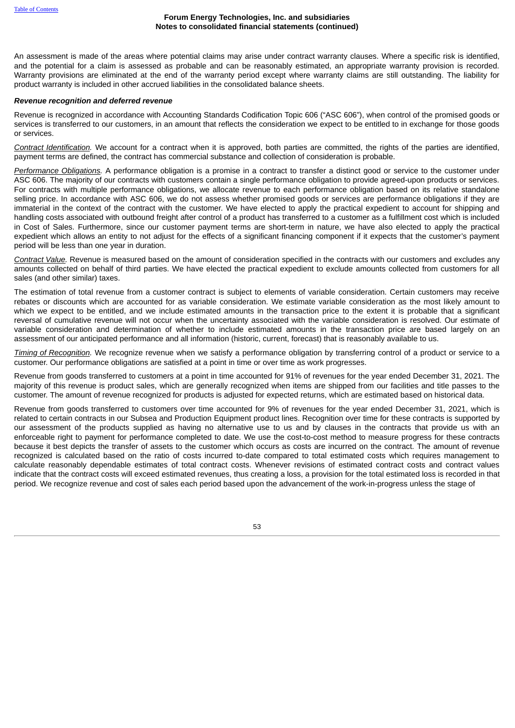An assessment is made of the areas where potential claims may arise under contract warranty clauses. Where a specific risk is identified, and the potential for a claim is assessed as probable and can be reasonably estimated, an appropriate warranty provision is recorded. Warranty provisions are eliminated at the end of the warranty period except where warranty claims are still outstanding. The liability for product warranty is included in other accrued liabilities in the consolidated balance sheets.

### *Revenue recognition and deferred revenue*

Revenue is recognized in accordance with Accounting Standards Codification Topic 606 ("ASC 606"), when control of the promised goods or services is transferred to our customers, in an amount that reflects the consideration we expect to be entitled to in exchange for those goods or services.

*Contract Identification.* We account for a contract when it is approved, both parties are committed, the rights of the parties are identified, payment terms are defined, the contract has commercial substance and collection of consideration is probable.

*Performance Obligations.* A performance obligation is a promise in a contract to transfer a distinct good or service to the customer under ASC 606. The majority of our contracts with customers contain a single performance obligation to provide agreed-upon products or services. For contracts with multiple performance obligations, we allocate revenue to each performance obligation based on its relative standalone selling price. In accordance with ASC 606, we do not assess whether promised goods or services are performance obligations if they are immaterial in the context of the contract with the customer. We have elected to apply the practical expedient to account for shipping and handling costs associated with outbound freight after control of a product has transferred to a customer as a fulfillment cost which is included in Cost of Sales. Furthermore, since our customer payment terms are short-term in nature, we have also elected to apply the practical expedient which allows an entity to not adjust for the effects of a significant financing component if it expects that the customer's payment period will be less than one year in duration.

*Contract Value.* Revenue is measured based on the amount of consideration specified in the contracts with our customers and excludes any amounts collected on behalf of third parties. We have elected the practical expedient to exclude amounts collected from customers for all sales (and other similar) taxes.

The estimation of total revenue from a customer contract is subject to elements of variable consideration. Certain customers may receive rebates or discounts which are accounted for as variable consideration. We estimate variable consideration as the most likely amount to which we expect to be entitled, and we include estimated amounts in the transaction price to the extent it is probable that a significant reversal of cumulative revenue will not occur when the uncertainty associated with the variable consideration is resolved. Our estimate of variable consideration and determination of whether to include estimated amounts in the transaction price are based largely on an assessment of our anticipated performance and all information (historic, current, forecast) that is reasonably available to us.

*Timing of Recognition.* We recognize revenue when we satisfy a performance obligation by transferring control of a product or service to a customer. Our performance obligations are satisfied at a point in time or over time as work progresses.

Revenue from goods transferred to customers at a point in time accounted for 91% of revenues for the year ended December 31, 2021. The majority of this revenue is product sales, which are generally recognized when items are shipped from our facilities and title passes to the customer. The amount of revenue recognized for products is adjusted for expected returns, which are estimated based on historical data.

Revenue from goods transferred to customers over time accounted for 9% of revenues for the year ended December 31, 2021, which is related to certain contracts in our Subsea and Production Equipment product lines. Recognition over time for these contracts is supported by our assessment of the products supplied as having no alternative use to us and by clauses in the contracts that provide us with an enforceable right to payment for performance completed to date. We use the cost-to-cost method to measure progress for these contracts because it best depicts the transfer of assets to the customer which occurs as costs are incurred on the contract. The amount of revenue recognized is calculated based on the ratio of costs incurred to-date compared to total estimated costs which requires management to calculate reasonably dependable estimates of total contract costs. Whenever revisions of estimated contract costs and contract values indicate that the contract costs will exceed estimated revenues, thus creating a loss, a provision for the total estimated loss is recorded in that period. We recognize revenue and cost of sales each period based upon the advancement of the work-in-progress unless the stage of

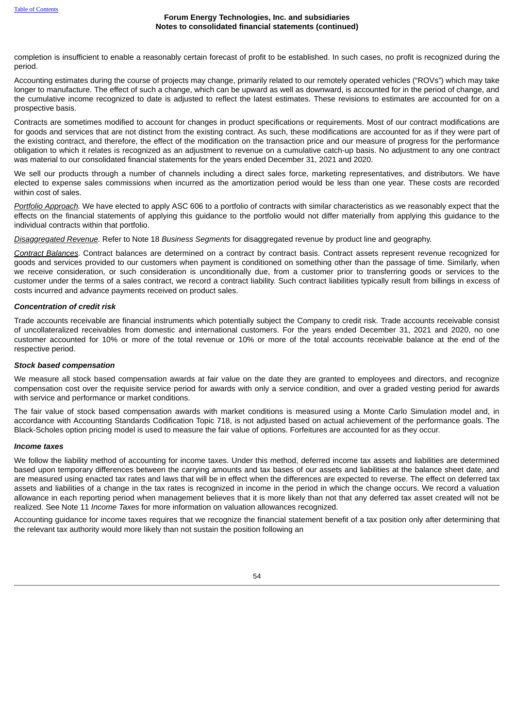completion is insufficient to enable a reasonably certain forecast of profit to be established. In such cases, no profit is recognized during the period.

Accounting estimates during the course of projects may change, primarily related to our remotely operated vehicles ("ROVs") which may take longer to manufacture. The effect of such a change, which can be upward as well as downward, is accounted for in the period of change, and the cumulative income recognized to date is adjusted to reflect the latest estimates. These revisions to estimates are accounted for on a prospective basis.

Contracts are sometimes modified to account for changes in product specifications or requirements. Most of our contract modifications are for goods and services that are not distinct from the existing contract. As such, these modifications are accounted for as if they were part of the existing contract, and therefore, the effect of the modification on the transaction price and our measure of progress for the performance obligation to which it relates is recognized as an adjustment to revenue on a cumulative catch-up basis. No adjustment to any one contract was material to our consolidated financial statements for the years ended December 31, 2021 and 2020.

We sell our products through a number of channels including a direct sales force, marketing representatives, and distributors. We have elected to expense sales commissions when incurred as the amortization period would be less than one year. These costs are recorded within cost of sales.

*Portfolio Approach.* We have elected to apply ASC 606 to a portfolio of contracts with similar characteristics as we reasonably expect that the effects on the financial statements of applying this guidance to the portfolio would not differ materially from applying this guidance to the individual contracts within that portfolio.

*Disaggregated Revenue.* Refer to Note 18 *Business Segments* for disaggregated revenue by product line and geography.

*Contract Balances.* Contract balances are determined on a contract by contract basis. Contract assets represent revenue recognized for goods and services provided to our customers when payment is conditioned on something other than the passage of time. Similarly, when we receive consideration, or such consideration is unconditionally due, from a customer prior to transferring goods or services to the customer under the terms of a sales contract, we record a contract liability. Such contract liabilities typically result from billings in excess of costs incurred and advance payments received on product sales.

### *Concentration of credit risk*

Trade accounts receivable are financial instruments which potentially subject the Company to credit risk. Trade accounts receivable consist of uncollateralized receivables from domestic and international customers. For the years ended December 31, 2021 and 2020, no one customer accounted for 10% or more of the total revenue or 10% or more of the total accounts receivable balance at the end of the respective period.

#### *Stock based compensation*

We measure all stock based compensation awards at fair value on the date they are granted to employees and directors, and recognize compensation cost over the requisite service period for awards with only a service condition, and over a graded vesting period for awards with service and performance or market conditions.

The fair value of stock based compensation awards with market conditions is measured using a Monte Carlo Simulation model and, in accordance with Accounting Standards Codification Topic 718, is not adjusted based on actual achievement of the performance goals. The Black-Scholes option pricing model is used to measure the fair value of options. Forfeitures are accounted for as they occur.

#### *Income taxes*

We follow the liability method of accounting for income taxes. Under this method, deferred income tax assets and liabilities are determined based upon temporary differences between the carrying amounts and tax bases of our assets and liabilities at the balance sheet date, and are measured using enacted tax rates and laws that will be in effect when the differences are expected to reverse. The effect on deferred tax assets and liabilities of a change in the tax rates is recognized in income in the period in which the change occurs. We record a valuation allowance in each reporting period when management believes that it is more likely than not that any deferred tax asset created will not be realized. See Note 11 *Income Taxes* for more information on valuation allowances recognized.

Accounting guidance for income taxes requires that we recognize the financial statement benefit of a tax position only after determining that the relevant tax authority would more likely than not sustain the position following an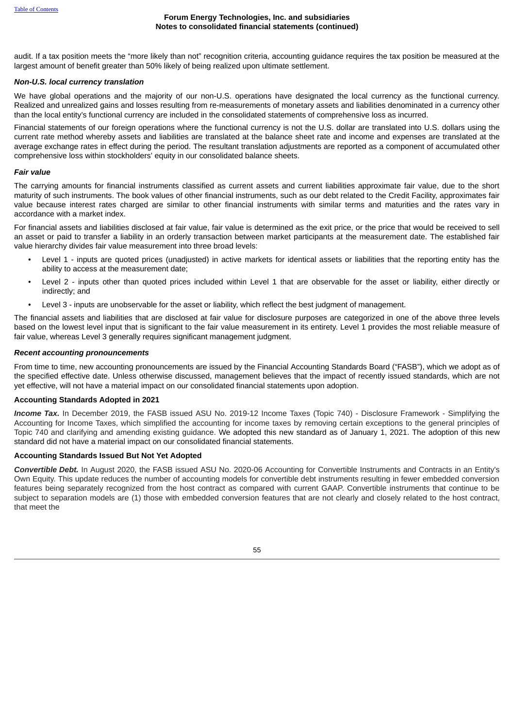audit. If a tax position meets the "more likely than not" recognition criteria, accounting guidance requires the tax position be measured at the largest amount of benefit greater than 50% likely of being realized upon ultimate settlement.

## *Non-U.S. local currency translation*

We have global operations and the majority of our non-U.S. operations have designated the local currency as the functional currency. Realized and unrealized gains and losses resulting from re-measurements of monetary assets and liabilities denominated in a currency other than the local entity's functional currency are included in the consolidated statements of comprehensive loss as incurred.

Financial statements of our foreign operations where the functional currency is not the U.S. dollar are translated into U.S. dollars using the current rate method whereby assets and liabilities are translated at the balance sheet rate and income and expenses are translated at the average exchange rates in effect during the period. The resultant translation adjustments are reported as a component of accumulated other comprehensive loss within stockholders' equity in our consolidated balance sheets.

#### *Fair value*

The carrying amounts for financial instruments classified as current assets and current liabilities approximate fair value, due to the short maturity of such instruments. The book values of other financial instruments, such as our debt related to the Credit Facility, approximates fair value because interest rates charged are similar to other financial instruments with similar terms and maturities and the rates vary in accordance with a market index.

For financial assets and liabilities disclosed at fair value, fair value is determined as the exit price, or the price that would be received to sell an asset or paid to transfer a liability in an orderly transaction between market participants at the measurement date. The established fair value hierarchy divides fair value measurement into three broad levels:

- Level 1 inputs are quoted prices (unadjusted) in active markets for identical assets or liabilities that the reporting entity has the ability to access at the measurement date;
- Level 2 inputs other than quoted prices included within Level 1 that are observable for the asset or liability, either directly or indirectly; and
- Level 3 inputs are unobservable for the asset or liability, which reflect the best judgment of management.

The financial assets and liabilities that are disclosed at fair value for disclosure purposes are categorized in one of the above three levels based on the lowest level input that is significant to the fair value measurement in its entirety. Level 1 provides the most reliable measure of fair value, whereas Level 3 generally requires significant management judgment.

#### *Recent accounting pronouncements*

From time to time, new accounting pronouncements are issued by the Financial Accounting Standards Board ("FASB"), which we adopt as of the specified effective date. Unless otherwise discussed, management believes that the impact of recently issued standards, which are not yet effective, will not have a material impact on our consolidated financial statements upon adoption.

## **Accounting Standards Adopted in 2021**

*Income Tax.* In December 2019, the FASB issued ASU No. 2019-12 Income Taxes (Topic 740) - Disclosure Framework - Simplifying the Accounting for Income Taxes, which simplified the accounting for income taxes by removing certain exceptions to the general principles of Topic 740 and clarifying and amending existing guidance. We adopted this new standard as of January 1, 2021. The adoption of this new standard did not have a material impact on our consolidated financial statements.

#### **Accounting Standards Issued But Not Yet Adopted**

*Convertible Debt.* In August 2020, the FASB issued ASU No. 2020-06 Accounting for Convertible Instruments and Contracts in an Entity's Own Equity. This update reduces the number of accounting models for convertible debt instruments resulting in fewer embedded conversion features being separately recognized from the host contract as compared with current GAAP. Convertible instruments that continue to be subject to separation models are (1) those with embedded conversion features that are not clearly and closely related to the host contract, that meet the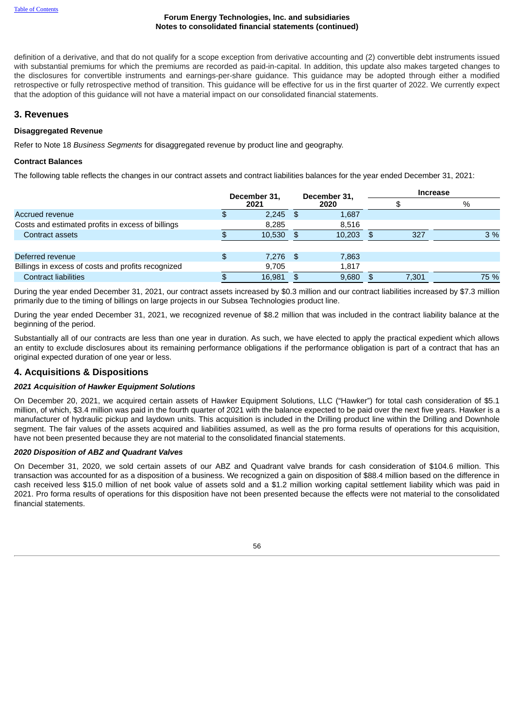definition of a derivative, and that do not qualify for a scope exception from derivative accounting and (2) convertible debt instruments issued with substantial premiums for which the premiums are recorded as paid-in-capital. In addition, this update also makes targeted changes to the disclosures for convertible instruments and earnings-per-share guidance. This guidance may be adopted through either a modified retrospective or fully retrospective method of transition. This guidance will be effective for us in the first quarter of 2022. We currently expect that the adoption of this guidance will not have a material impact on our consolidated financial statements.

# **3. Revenues**

## **Disaggregated Revenue**

Refer to Note 18 *Business Segments* for disaggregated revenue by product line and geography.

### **Contract Balances**

The following table reflects the changes in our contract assets and contract liabilities balances for the year ended December 31, 2021:

|                                                    | December 31,<br>December 31, |     |        |  | <b>Increase</b> |               |      |
|----------------------------------------------------|------------------------------|-----|--------|--|-----------------|---------------|------|
|                                                    | 2021                         |     | 2020   |  |                 | $\frac{0}{0}$ |      |
| Accrued revenue                                    | \$<br>$2,245$ \$             |     | 1,687  |  |                 |               |      |
| Costs and estimated profits in excess of billings  | 8,285                        |     | 8,516  |  |                 |               |      |
| Contract assets                                    | 10,530                       | -S  | 10,203 |  | 327             |               | 3%   |
|                                                    |                              |     |        |  |                 |               |      |
| Deferred revenue                                   | \$<br>$7,276$ \$             |     | 7.863  |  |                 |               |      |
| Billings in excess of costs and profits recognized | 9.705                        |     | 1.817  |  |                 |               |      |
| <b>Contract liabilities</b>                        | 16.981                       | \$. | 9.680  |  | 7.301           |               | 75 % |

During the year ended December 31, 2021, our contract assets increased by \$0.3 million and our contract liabilities increased by \$7.3 million primarily due to the timing of billings on large projects in our Subsea Technologies product line.

During the year ended December 31, 2021, we recognized revenue of \$8.2 million that was included in the contract liability balance at the beginning of the period.

Substantially all of our contracts are less than one year in duration. As such, we have elected to apply the practical expedient which allows an entity to exclude disclosures about its remaining performance obligations if the performance obligation is part of a contract that has an original expected duration of one year or less.

# **4. Acquisitions & Dispositions**

### *2021 Acquisition of Hawker Equipment Solutions*

On December 20, 2021, we acquired certain assets of Hawker Equipment Solutions, LLC ("Hawker") for total cash consideration of \$5.1 million, of which, \$3.4 million was paid in the fourth quarter of 2021 with the balance expected to be paid over the next five years. Hawker is a manufacturer of hydraulic pickup and laydown units. This acquisition is included in the Drilling product line within the Drilling and Downhole segment. The fair values of the assets acquired and liabilities assumed, as well as the pro forma results of operations for this acquisition, have not been presented because they are not material to the consolidated financial statements.

### *2020 Disposition of ABZ and Quadrant Valves*

On December 31, 2020, we sold certain assets of our ABZ and Quadrant valve brands for cash consideration of \$104.6 million. This transaction was accounted for as a disposition of a business. We recognized a gain on disposition of \$88.4 million based on the difference in cash received less \$15.0 million of net book value of assets sold and a \$1.2 million working capital settlement liability which was paid in 2021. Pro forma results of operations for this disposition have not been presented because the effects were not material to the consolidated financial statements.

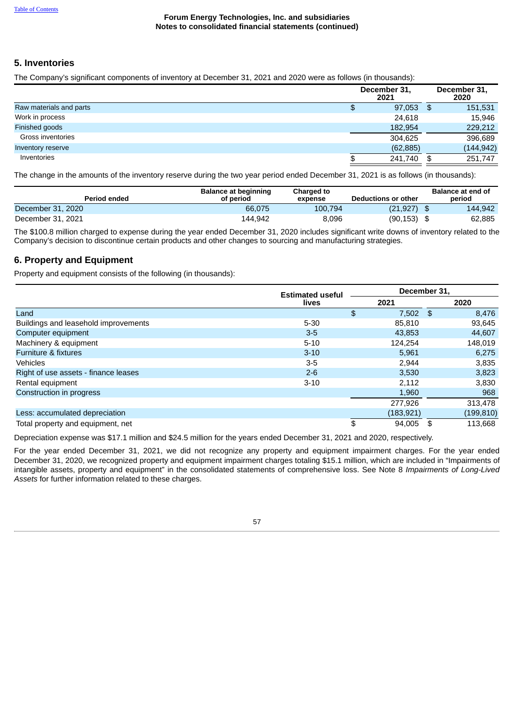# **5. Inventories**

The Company's significant components of inventory at December 31, 2021 and 2020 were as follows (in thousands):

|                         | December 31,<br>2021 |      |            |  |
|-------------------------|----------------------|------|------------|--|
| Raw materials and parts | \$<br>97,053         | - SS | 151,531    |  |
| Work in process         | 24.618               |      | 15,946     |  |
| Finished goods          | 182.954              |      | 229,212    |  |
| Gross inventories       | 304,625              |      | 396,689    |  |
| Inventory reserve       | (62, 885)            |      | (144, 942) |  |
| Inventories             | \$<br>241.740        | \$   | 251.747    |  |
|                         |                      |      |            |  |

The change in the amounts of the inventory reserve during the two year period ended December 31, 2021 is as follows (in thousands):

| Period ended      | Balance at beginning<br>of period | <b>Charged to</b><br>expense | Deductions or other |  | <b>Balance at end of</b><br>period |
|-------------------|-----------------------------------|------------------------------|---------------------|--|------------------------------------|
| December 31, 2020 | 66.075                            | 100.794                      | (21.927)            |  | 144.942                            |
| December 31, 2021 | 144.942                           | 8.096                        | (90, 153)           |  | 62,885                             |

The \$100.8 million charged to expense during the year ended December 31, 2020 includes significant write downs of inventory related to the Company's decision to discontinue certain products and other changes to sourcing and manufacturing strategies.

# **6. Property and Equipment**

Property and equipment consists of the following (in thousands):

|                                      | <b>Estimated useful</b><br>lives |    | December 31, |    |            |
|--------------------------------------|----------------------------------|----|--------------|----|------------|
|                                      |                                  |    | 2021         |    | 2020       |
| Land                                 |                                  | \$ | $7,502$ \$   |    | 8,476      |
| Buildings and leasehold improvements | $5 - 30$                         |    | 85,810       |    | 93,645     |
| Computer equipment                   | $3 - 5$                          |    | 43.853       |    | 44.607     |
| Machinery & equipment                | $5 - 10$                         |    | 124.254      |    | 148,019    |
| <b>Furniture &amp; fixtures</b>      | $3 - 10$                         |    | 5,961        |    | 6,275      |
| Vehicles                             | $3-5$                            |    | 2.944        |    | 3,835      |
| Right of use assets - finance leases | $2 - 6$                          |    | 3,530        |    | 3,823      |
| Rental equipment                     | $3-10$                           |    | 2,112        |    | 3,830      |
| Construction in progress             |                                  |    | 1,960        |    | 968        |
|                                      |                                  |    | 277.926      |    | 313,478    |
| Less: accumulated depreciation       |                                  |    | (183, 921)   |    | (199, 810) |
| Total property and equipment, net    |                                  | \$ | 94.005       | \$ | 113,668    |

Depreciation expense was \$17.1 million and \$24.5 million for the years ended December 31, 2021 and 2020, respectively.

For the year ended December 31, 2021, we did not recognize any property and equipment impairment charges. For the year ended December 31, 2020, we recognized property and equipment impairment charges totaling \$15.1 million, which are included in "Impairments of intangible assets, property and equipment" in the consolidated statements of comprehensive loss. See Note 8 *Impairments of Long-Lived Assets* for further information related to these charges.

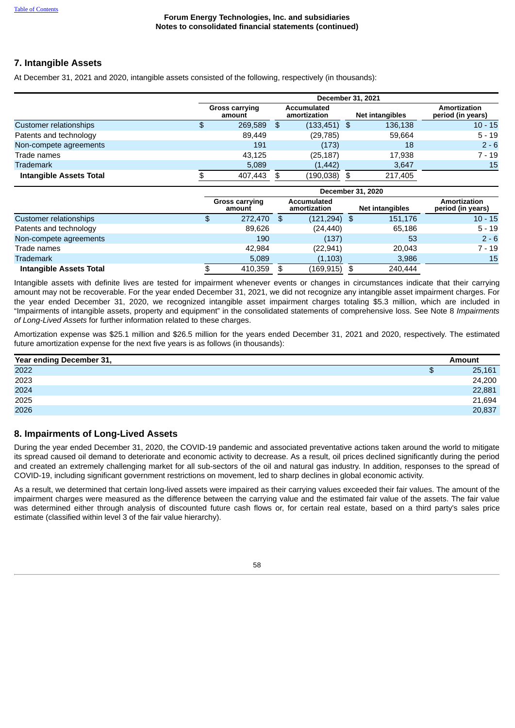# **7. Intangible Assets**

At December 31, 2021 and 2020, intangible assets consisted of the following, respectively (in thousands):

|                                | December 31, 2021               |     |                             |     |                        |                                   |  |  |  |
|--------------------------------|---------------------------------|-----|-----------------------------|-----|------------------------|-----------------------------------|--|--|--|
|                                | <b>Gross carrying</b><br>amount |     | Accumulated<br>amortization |     | <b>Net intangibles</b> | Amortization<br>period (in years) |  |  |  |
| Customer relationships         | \$<br>269,589                   | -\$ | (133, 451)                  | -\$ | 136,138                | $10 - 15$                         |  |  |  |
| Patents and technology         | 89.449                          |     | (29, 785)                   |     | 59.664                 | $5 - 19$                          |  |  |  |
| Non-compete agreements         | 191                             |     | (173)                       |     | 18                     | $2 - 6$                           |  |  |  |
| Trade names                    | 43.125                          |     | (25, 187)                   |     | 17,938                 | 7 - 19                            |  |  |  |
| <b>Trademark</b>               | 5,089                           |     | (1, 442)                    |     | 3,647                  | 15                                |  |  |  |
| <b>Intangible Assets Total</b> | 407,443                         | \$  | (190, 038)                  | \$  | 217,405                |                                   |  |  |  |

|                         | December 31, 2020               |    |                                    |     |                        |                                   |  |  |
|-------------------------|---------------------------------|----|------------------------------------|-----|------------------------|-----------------------------------|--|--|
|                         | <b>Gross carrying</b><br>amount |    | <b>Accumulated</b><br>amortization |     | <b>Net intangibles</b> | Amortization<br>period (in years) |  |  |
| Customer relationships  | \$<br>272,470                   | \$ | $(121, 294)$ \$                    |     | 151,176                | $10 - 15$                         |  |  |
| Patents and technology  | 89.626                          |    | (24, 440)                          |     | 65,186                 | $5 - 19$                          |  |  |
| Non-compete agreements  | 190                             |    | (137)                              |     | 53                     | $2 - 6$                           |  |  |
| Trade names             | 42.984                          |    | (22,941)                           |     | 20.043                 | 7 - 19                            |  |  |
| <b>Trademark</b>        | 5,089                           |    | (1,103)                            |     | 3,986                  | 15                                |  |  |
| Intangible Assets Total | \$<br>410.359                   |    | (169,915)                          | -\$ | 240.444                |                                   |  |  |

Intangible assets with definite lives are tested for impairment whenever events or changes in circumstances indicate that their carrying amount may not be recoverable. For the year ended December 31, 2021, we did not recognize any intangible asset impairment charges. For the year ended December 31, 2020, we recognized intangible asset impairment charges totaling \$5.3 million, which are included in "Impairments of intangible assets, property and equipment" in the consolidated statements of comprehensive loss. See Note 8 *Impairments of Long-Lived Assets* for further information related to these charges.

Amortization expense was \$25.1 million and \$26.5 million for the years ended December 31, 2021 and 2020, respectively. The estimated future amortization expense for the next five years is as follows (in thousands):

| Year ending December 31, | <b>Amount</b> |
|--------------------------|---------------|
| 2022                     | \$<br>25,161  |
| 2023                     | 24,200        |
| 2024                     | 22,881        |
| 2025                     | 21,694        |
| 2026                     | 20,837        |

# **8. Impairments of Long-Lived Assets**

During the year ended December 31, 2020, the COVID-19 pandemic and associated preventative actions taken around the world to mitigate its spread caused oil demand to deteriorate and economic activity to decrease. As a result, oil prices declined significantly during the period and created an extremely challenging market for all sub-sectors of the oil and natural gas industry. In addition, responses to the spread of COVID-19, including significant government restrictions on movement, led to sharp declines in global economic activity.

As a result, we determined that certain long-lived assets were impaired as their carrying values exceeded their fair values. The amount of the impairment charges were measured as the difference between the carrying value and the estimated fair value of the assets. The fair value was determined either through analysis of discounted future cash flows or, for certain real estate, based on a third party's sales price estimate (classified within level 3 of the fair value hierarchy).

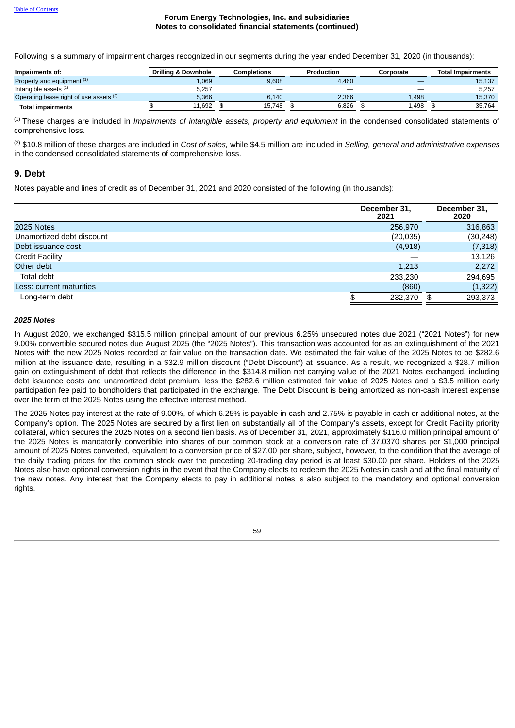Following is a summary of impairment charges recognized in our segments during the year ended December 31, 2020 (in thousands):

| Impairments of:                         | <b>Drilling &amp; Downhole</b> | Completions | Production | Corporate | Total Impairments |
|-----------------------------------------|--------------------------------|-------------|------------|-----------|-------------------|
| Property and equipment <sup>(1)</sup>   | 1,069                          | 9.608       | 4.460      |           | 15,137            |
| Intangible assets $(1)$                 | 5,257                          |             |            |           | 5.257             |
| Operating lease right of use assets (2) | 5.366                          | 6.140       | 2.366      | 1.498     | 15.370            |
| <b>Total impairments</b>                | 11.692                         | 15.748      | 6.826      | 4.498     | 35.764            |

These charges are included in *Impairments of intangible assets, property and equipment* in the condensed consolidated statements of (1) comprehensive loss.

\$10.8 million of these charges are included in *Cost of sales,* while \$4.5 million are included in *Selling, general and administrative expenses* (2) in the condensed consolidated statements of comprehensive loss.

## **9. Debt**

Notes payable and lines of credit as of December 31, 2021 and 2020 consisted of the following (in thousands):

|                           | December 31,<br>2021 | December 31,<br>2020 |
|---------------------------|----------------------|----------------------|
| 2025 Notes                | 256,970              | 316,863              |
| Unamortized debt discount | (20, 035)            | (30, 248)            |
| Debt issuance cost        | (4,918)              | (7, 318)             |
| <b>Credit Facility</b>    |                      | 13,126               |
| Other debt                | 1,213                | 2,272                |
| Total debt                | 233,230              | 294,695              |
| Less: current maturities  | (860)                | (1, 322)             |
| Long-term debt            | 232,370              | 293,373<br>S         |

## *2025 Notes*

In August 2020, we exchanged \$315.5 million principal amount of our previous 6.25% unsecured notes due 2021 ("2021 Notes") for new 9.00% convertible secured notes due August 2025 (the "2025 Notes"). This transaction was accounted for as an extinguishment of the 2021 Notes with the new 2025 Notes recorded at fair value on the transaction date. We estimated the fair value of the 2025 Notes to be \$282.6 million at the issuance date, resulting in a \$32.9 million discount ("Debt Discount") at issuance. As a result, we recognized a \$28.7 million gain on extinguishment of debt that reflects the difference in the \$314.8 million net carrying value of the 2021 Notes exchanged, including debt issuance costs and unamortized debt premium, less the \$282.6 million estimated fair value of 2025 Notes and a \$3.5 million early participation fee paid to bondholders that participated in the exchange. The Debt Discount is being amortized as non-cash interest expense over the term of the 2025 Notes using the effective interest method.

The 2025 Notes pay interest at the rate of 9.00%, of which 6.25% is payable in cash and 2.75% is payable in cash or additional notes, at the Company's option. The 2025 Notes are secured by a first lien on substantially all of the Company's assets, except for Credit Facility priority collateral, which secures the 2025 Notes on a second lien basis. As of December 31, 2021, approximately \$116.0 million principal amount of the 2025 Notes is mandatorily convertible into shares of our common stock at a conversion rate of 37.0370 shares per \$1,000 principal amount of 2025 Notes converted, equivalent to a conversion price of \$27.00 per share, subject, however, to the condition that the average of the daily trading prices for the common stock over the preceding 20-trading day period is at least \$30.00 per share. Holders of the 2025 Notes also have optional conversion rights in the event that the Company elects to redeem the 2025 Notes in cash and at the final maturity of the new notes. Any interest that the Company elects to pay in additional notes is also subject to the mandatory and optional conversion rights.

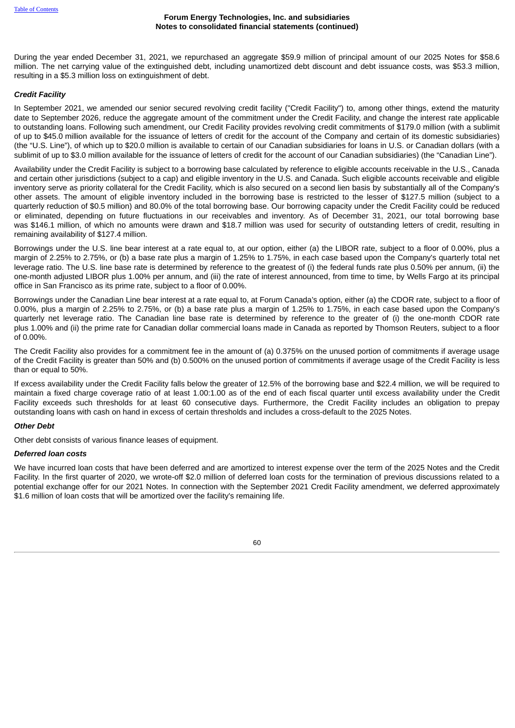During the year ended December 31, 2021, we repurchased an aggregate \$59.9 million of principal amount of our 2025 Notes for \$58.6 million. The net carrying value of the extinguished debt, including unamortized debt discount and debt issuance costs, was \$53.3 million, resulting in a \$5.3 million loss on extinguishment of debt.

## *Credit Facility*

In September 2021, we amended our senior secured revolving credit facility ("Credit Facility") to, among other things, extend the maturity date to September 2026, reduce the aggregate amount of the commitment under the Credit Facility, and change the interest rate applicable to outstanding loans. Following such amendment, our Credit Facility provides revolving credit commitments of \$179.0 million (with a sublimit of up to \$45.0 million available for the issuance of letters of credit for the account of the Company and certain of its domestic subsidiaries) (the "U.S. Line"), of which up to \$20.0 million is available to certain of our Canadian subsidiaries for loans in U.S. or Canadian dollars (with a sublimit of up to \$3.0 million available for the issuance of letters of credit for the account of our Canadian subsidiaries) (the "Canadian Line").

Availability under the Credit Facility is subject to a borrowing base calculated by reference to eligible accounts receivable in the U.S., Canada and certain other jurisdictions (subject to a cap) and eligible inventory in the U.S. and Canada. Such eligible accounts receivable and eligible inventory serve as priority collateral for the Credit Facility, which is also secured on a second lien basis by substantially all of the Company's other assets. The amount of eligible inventory included in the borrowing base is restricted to the lesser of \$127.5 million (subject to a quarterly reduction of \$0.5 million) and 80.0% of the total borrowing base. Our borrowing capacity under the Credit Facility could be reduced or eliminated, depending on future fluctuations in our receivables and inventory. As of December 31, 2021, our total borrowing base was \$146.1 million, of which no amounts were drawn and \$18.7 million was used for security of outstanding letters of credit, resulting in remaining availability of \$127.4 million.

Borrowings under the U.S. line bear interest at a rate equal to, at our option, either (a) the LIBOR rate, subject to a floor of 0.00%, plus a margin of 2.25% to 2.75%, or (b) a base rate plus a margin of 1.25% to 1.75%, in each case based upon the Company's quarterly total net leverage ratio. The U.S. line base rate is determined by reference to the greatest of (i) the federal funds rate plus 0.50% per annum, (ii) the one-month adjusted LIBOR plus 1.00% per annum, and (iii) the rate of interest announced, from time to time, by Wells Fargo at its principal office in San Francisco as its prime rate, subject to a floor of 0.00%.

Borrowings under the Canadian Line bear interest at a rate equal to, at Forum Canada's option, either (a) the CDOR rate, subject to a floor of 0.00%, plus a margin of 2.25% to 2.75%, or (b) a base rate plus a margin of 1.25% to 1.75%, in each case based upon the Company's quarterly net leverage ratio. The Canadian line base rate is determined by reference to the greater of (i) the one-month CDOR rate plus 1.00% and (ii) the prime rate for Canadian dollar commercial loans made in Canada as reported by Thomson Reuters, subject to a floor of 0.00%.

The Credit Facility also provides for a commitment fee in the amount of (a) 0.375% on the unused portion of commitments if average usage of the Credit Facility is greater than 50% and (b) 0.500% on the unused portion of commitments if average usage of the Credit Facility is less than or equal to 50%.

If excess availability under the Credit Facility falls below the greater of 12.5% of the borrowing base and \$22.4 million, we will be required to maintain a fixed charge coverage ratio of at least 1.00:1.00 as of the end of each fiscal quarter until excess availability under the Credit Facility exceeds such thresholds for at least 60 consecutive days. Furthermore, the Credit Facility includes an obligation to prepay outstanding loans with cash on hand in excess of certain thresholds and includes a cross-default to the 2025 Notes.

## *Other Debt*

Other debt consists of various finance leases of equipment.

### *Deferred loan costs*

We have incurred loan costs that have been deferred and are amortized to interest expense over the term of the 2025 Notes and the Credit Facility. In the first quarter of 2020, we wrote-off \$2.0 million of deferred loan costs for the termination of previous discussions related to a potential exchange offer for our 2021 Notes. In connection with the September 2021 Credit Facility amendment, we deferred approximately \$1.6 million of loan costs that will be amortized over the facility's remaining life.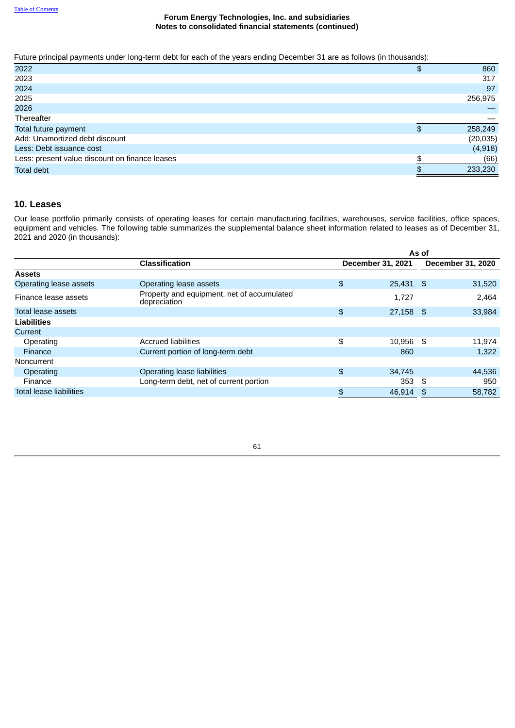Future principal payments under long-term debt for each of the years ending December 31 are as follows (in thousands):

| 2022                                           | \$  | 860       |
|------------------------------------------------|-----|-----------|
| 2023                                           |     | 317       |
| 2024                                           |     | 97        |
| 2025                                           |     | 256,975   |
| 2026                                           |     |           |
| Thereafter                                     |     |           |
| Total future payment                           | \$  | 258,249   |
| Add: Unamortized debt discount                 |     | (20, 035) |
| Less: Debt issuance cost                       |     | (4,918)   |
| Less: present value discount on finance leases | \$. | (66)      |
| Total debt                                     |     | 233,230   |
|                                                |     |           |

# **10. Leases**

Our lease portfolio primarily consists of operating leases for certain manufacturing facilities, warehouses, service facilities, office spaces, equipment and vehicles. The following table summarizes the supplemental balance sheet information related to leases as of December 31, 2021 and 2020 (in thousands):

|                         |                                                            | As of             |             |                          |        |  |  |
|-------------------------|------------------------------------------------------------|-------------------|-------------|--------------------------|--------|--|--|
|                         | <b>Classification</b>                                      | December 31, 2021 |             | <b>December 31, 2020</b> |        |  |  |
| <b>Assets</b>           |                                                            |                   |             |                          |        |  |  |
| Operating lease assets  | Operating lease assets                                     | \$                | $25,431$ \$ |                          | 31,520 |  |  |
| Finance lease assets    | Property and equipment, net of accumulated<br>depreciation |                   | 1,727       |                          | 2,464  |  |  |
| Total lease assets      |                                                            | \$                | 27,158      | -\$                      | 33,984 |  |  |
| <b>Liabilities</b>      |                                                            |                   |             |                          |        |  |  |
| Current                 |                                                            |                   |             |                          |        |  |  |
| Operating               | <b>Accrued liabilities</b>                                 | \$                | 10,956 \$   |                          | 11,974 |  |  |
| Finance                 | Current portion of long-term debt                          |                   | 860         |                          | 1,322  |  |  |
| Noncurrent              |                                                            |                   |             |                          |        |  |  |
| Operating               | Operating lease liabilities                                | \$                | 34,745      |                          | 44,536 |  |  |
| Finance                 | Long-term debt, net of current portion                     |                   | 353         | \$                       | 950    |  |  |
| Total lease liabilities |                                                            | \$                | 46,914      | \$                       | 58,782 |  |  |
|                         |                                                            |                   |             |                          |        |  |  |

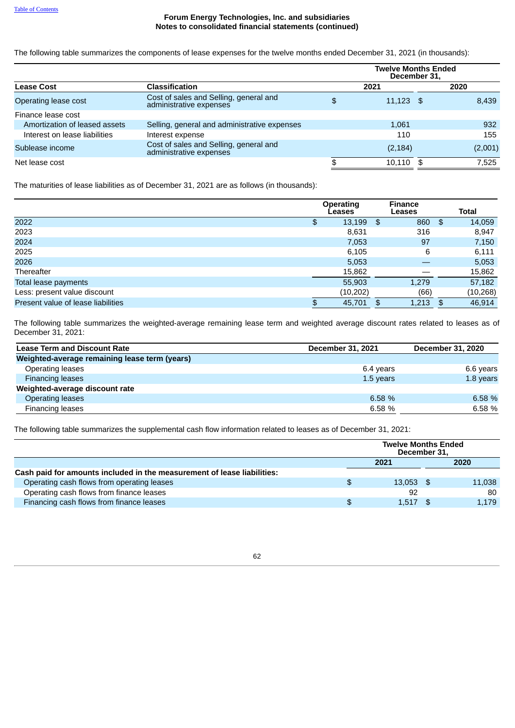The following table summarizes the components of lease expenses for the twelve months ended December 31, 2021 (in thousands):

|                               |                                                                   | <b>Twelve Months Ended</b><br>December 31, |      |         |
|-------------------------------|-------------------------------------------------------------------|--------------------------------------------|------|---------|
| <b>Lease Cost</b>             | <b>Classification</b>                                             | 2021                                       |      | 2020    |
| Operating lease cost          | Cost of sales and Selling, general and<br>administrative expenses | \$<br>$11,123$ \$                          |      | 8,439   |
| Finance lease cost            |                                                                   |                                            |      |         |
| Amortization of leased assets | Selling, general and administrative expenses                      | 1,061                                      |      | 932     |
| Interest on lease liabilities | Interest expense                                                  | 110                                        |      | 155     |
| Sublease income               | Cost of sales and Selling, general and<br>administrative expenses | (2, 184)                                   |      | (2,001) |
| Net lease cost                |                                                                   | 10,110                                     | - \$ | 7,525   |
|                               |                                                                   |                                            |      |         |

The maturities of lease liabilities as of December 31, 2021 are as follows (in thousands):

|                                    |                       | <b>Operating</b><br>Leases |     | <b>Finance</b><br>Leases | <b>Total</b> |
|------------------------------------|-----------------------|----------------------------|-----|--------------------------|--------------|
| 2022                               | \$                    | 13,199                     | -\$ | 860                      | \$<br>14,059 |
| 2023                               |                       | 8,631                      |     | 316                      | 8,947        |
| 2024                               |                       | 7,053                      |     | 97                       | 7,150        |
| 2025                               |                       | 6,105                      |     | 6                        | 6,111        |
| 2026                               |                       | 5,053                      |     |                          | 5,053        |
| Thereafter                         |                       | 15,862                     |     |                          | 15,862       |
| Total lease payments               |                       | 55,903                     |     | 1,279                    | 57,182       |
| Less: present value discount       |                       | (10, 202)                  |     | (66)                     | (10, 268)    |
| Present value of lease liabilities | $\boldsymbol{\theta}$ | 45,701                     | \$  | 1,213                    | \$<br>46,914 |

The following table summarizes the weighted-average remaining lease term and weighted average discount rates related to leases as of December 31, 2021:

| <b>Lease Term and Discount Rate</b>           | December 31, 2021 |           |
|-----------------------------------------------|-------------------|-----------|
| Weighted-average remaining lease term (years) |                   |           |
| Operating leases                              | 6.4 years         | 6.6 years |
| <b>Financing leases</b>                       | 1.5 years         | 1.8 years |
| Weighted-average discount rate                |                   |           |
| <b>Operating leases</b>                       | 6.58%             | 6.58%     |
| Financing leases                              | 6.58%             | 6.58 %    |

The following table summarizes the supplemental cash flow information related to leases as of December 31, 2021:

|                                                                         |      | <b>Twelve Months Ended</b><br>December 31, |  |        |  |  |
|-------------------------------------------------------------------------|------|--------------------------------------------|--|--------|--|--|
|                                                                         | 2021 |                                            |  | 2020   |  |  |
| Cash paid for amounts included in the measurement of lease liabilities: |      |                                            |  |        |  |  |
| Operating cash flows from operating leases                              | \$   | $13,053$ \$                                |  | 11,038 |  |  |
| Operating cash flows from finance leases                                |      | 92                                         |  | 80     |  |  |
| Financing cash flows from finance leases                                | \$   | $1.517$ \$                                 |  | 1,179  |  |  |
|                                                                         |      |                                            |  |        |  |  |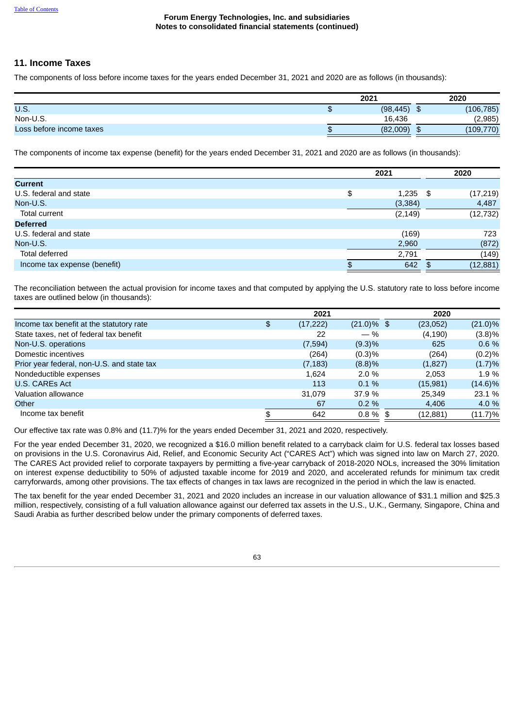# **11. Income Taxes**

The components of loss before income taxes for the years ended December 31, 2021 and 2020 are as follows (in thousands):

|                          |    | 2021      | 2020 |            |  |
|--------------------------|----|-----------|------|------------|--|
| <b>U.S.</b>              | w  | (98, 445) | \$   | (106, 785) |  |
| Non-U.S.                 |    | 16.436    |      | (2,985)    |  |
| Loss before income taxes | ٠D | (82,009)  | \$   | (109,770)  |  |

The components of income tax expense (benefit) for the years ended December 31, 2021 and 2020 are as follows (in thousands):

|                              | 2021             | 2020      |
|------------------------------|------------------|-----------|
| <b>Current</b>               |                  |           |
| U.S. federal and state       | \$<br>$1,235$ \$ | (17, 219) |
| Non-U.S.                     | (3, 384)         | 4,487     |
| Total current                | (2, 149)         | (12, 732) |
| <b>Deferred</b>              |                  |           |
| U.S. federal and state       | (169)            | 723       |
| Non-U.S.                     | 2,960            | (872)     |
| Total deferred               | 2,791            | (149)     |
| Income tax expense (benefit) | 642              | (12, 881) |
|                              |                  |           |

The reconciliation between the actual provision for income taxes and that computed by applying the U.S. statutory rate to loss before income taxes are outlined below (in thousands):

|                                            |     | 2021      |               | 2020      |            |
|--------------------------------------------|-----|-----------|---------------|-----------|------------|
| Income tax benefit at the statutory rate   | \$  | (17, 222) | $(21.0)\%$ \$ | (23,052)  | $(21.0)\%$ |
| State taxes, net of federal tax benefit    |     | 22        | $-$ %         | (4, 190)  | $(3.8)\%$  |
| Non-U.S. operations                        |     | (7,594)   | $(9.3)\%$     | 625       | 0.6%       |
| Domestic incentives                        |     | (264)     | (0.3)%        | (264)     | (0.2)%     |
| Prior year federal, non-U.S. and state tax |     | (7, 183)  | (8.8)%        | (1,827)   | (1.7)%     |
| Nondeductible expenses                     |     | 1.624     | 2.0%          | 2.053     | $1.9\%$    |
| U.S. CARES Act                             |     | 113       | $0.1\%$       | (15,981)  | $(14.6)\%$ |
| Valuation allowance                        |     | 31.079    | 37.9 %        | 25,349    | 23.1 %     |
| Other                                      |     | 67        | 0.2%          | 4,406     | 4.0 %      |
| Income tax benefit                         | \$. | 642       | $0.8\%$ \$    | (12, 881) | $(11.7)\%$ |

Our effective tax rate was 0.8% and (11.7)% for the years ended December 31, 2021 and 2020, respectively.

For the year ended December 31, 2020, we recognized a \$16.0 million benefit related to a carryback claim for U.S. federal tax losses based on provisions in the U.S. Coronavirus Aid, Relief, and Economic Security Act ("CARES Act") which was signed into law on March 27, 2020. The CARES Act provided relief to corporate taxpayers by permitting a five-year carryback of 2018-2020 NOLs, increased the 30% limitation on interest expense deductibility to 50% of adjusted taxable income for 2019 and 2020, and accelerated refunds for minimum tax credit carryforwards, among other provisions. The tax effects of changes in tax laws are recognized in the period in which the law is enacted.

The tax benefit for the year ended December 31, 2021 and 2020 includes an increase in our valuation allowance of \$31.1 million and \$25.3 million, respectively, consisting of a full valuation allowance against our deferred tax assets in the U.S., U.K., Germany, Singapore, China and Saudi Arabia as further described below under the primary components of deferred taxes.

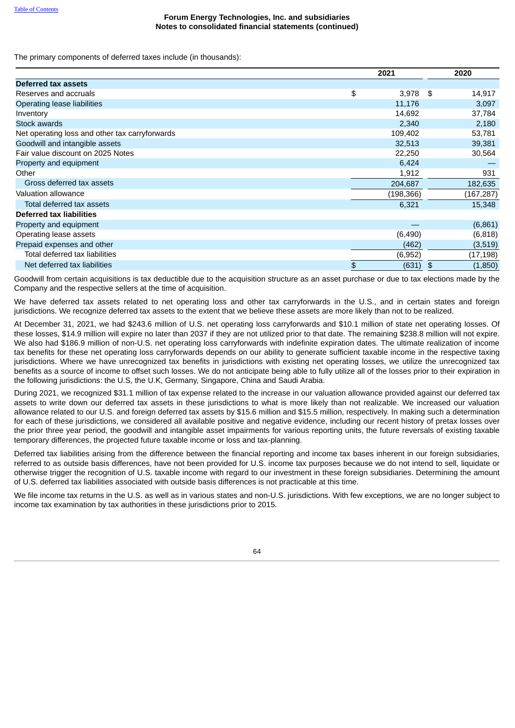The primary components of deferred taxes include (in thousands):

|                                                | 2021             |               | 2020       |
|------------------------------------------------|------------------|---------------|------------|
| Deferred tax assets                            |                  |               |            |
| Reserves and accruals                          | \$<br>$3,978$ \$ |               | 14,917     |
| Operating lease liabilities                    | 11,176           |               | 3,097      |
| Inventory                                      | 14,692           |               | 37,784     |
| <b>Stock awards</b>                            | 2,340            |               | 2,180      |
| Net operating loss and other tax carryforwards | 109,402          |               | 53,781     |
| Goodwill and intangible assets                 | 32,513           |               | 39,381     |
| Fair value discount on 2025 Notes              | 22,250           |               | 30,564     |
| Property and equipment                         | 6,424            |               |            |
| Other                                          | 1,912            |               | 931        |
| Gross deferred tax assets                      | 204,687          |               | 182,635    |
| Valuation allowance                            | (198, 366)       |               | (167, 287) |
| Total deferred tax assets                      | 6,321            |               | 15,348     |
| Deferred tax liabilities                       |                  |               |            |
| Property and equipment                         |                  |               | (6,861)    |
| Operating lease assets                         | (6, 490)         |               | (6, 818)   |
| Prepaid expenses and other                     | (462)            |               | (3,519)    |
| Total deferred tax liabilities                 | (6,952)          |               | (17, 198)  |
| Net deferred tax liabilities                   | \$<br>(631)      | $\frac{4}{5}$ | (1,850)    |

Goodwill from certain acquisitions is tax deductible due to the acquisition structure as an asset purchase or due to tax elections made by the Company and the respective sellers at the time of acquisition.

We have deferred tax assets related to net operating loss and other tax carryforwards in the U.S., and in certain states and foreign jurisdictions. We recognize deferred tax assets to the extent that we believe these assets are more likely than not to be realized.

At December 31, 2021, we had \$243.6 million of U.S. net operating loss carryforwards and \$10.1 million of state net operating losses. Of these losses, \$14.9 million will expire no later than 2037 if they are not utilized prior to that date. The remaining \$238.8 million will not expire. We also had \$186.9 million of non-U.S. net operating loss carryforwards with indefinite expiration dates. The ultimate realization of income tax benefits for these net operating loss carryforwards depends on our ability to generate sufficient taxable income in the respective taxing jurisdictions. Where we have unrecognized tax benefits in jurisdictions with existing net operating losses, we utilize the unrecognized tax benefits as a source of income to offset such losses. We do not anticipate being able to fully utilize all of the losses prior to their expiration in the following jurisdictions: the U.S, the U.K, Germany, Singapore, China and Saudi Arabia.

During 2021, we recognized \$31.1 million of tax expense related to the increase in our valuation allowance provided against our deferred tax assets to write down our deferred tax assets in these jurisdictions to what is more likely than not realizable. We increased our valuation allowance related to our U.S. and foreign deferred tax assets by \$15.6 million and \$15.5 million, respectively. In making such a determination for each of these jurisdictions, we considered all available positive and negative evidence, including our recent history of pretax losses over the prior three year period, the goodwill and intangible asset impairments for various reporting units, the future reversals of existing taxable temporary differences, the projected future taxable income or loss and tax-planning.

Deferred tax liabilities arising from the difference between the financial reporting and income tax bases inherent in our foreign subsidiaries, referred to as outside basis differences, have not been provided for U.S. income tax purposes because we do not intend to sell, liquidate or otherwise trigger the recognition of U.S. taxable income with regard to our investment in these foreign subsidiaries. Determining the amount of U.S. deferred tax liabilities associated with outside basis differences is not practicable at this time.

We file income tax returns in the U.S. as well as in various states and non-U.S. jurisdictions. With few exceptions, we are no longer subject to income tax examination by tax authorities in these jurisdictions prior to 2015.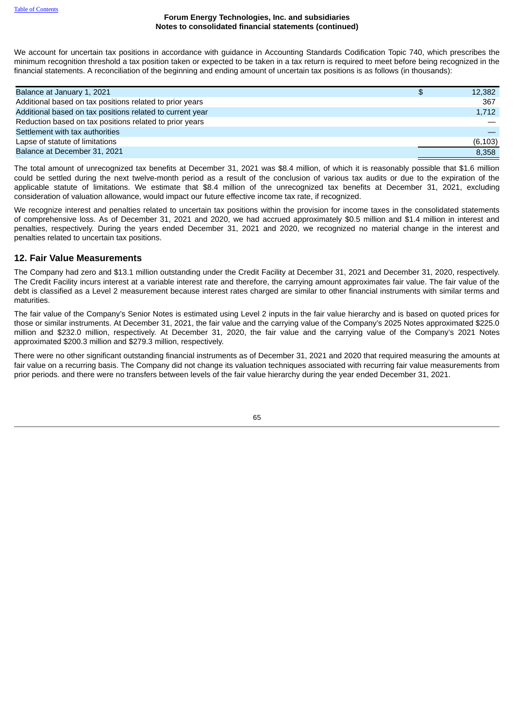We account for uncertain tax positions in accordance with guidance in Accounting Standards Codification Topic 740, which prescribes the minimum recognition threshold a tax position taken or expected to be taken in a tax return is required to meet before being recognized in the financial statements. A reconciliation of the beginning and ending amount of uncertain tax positions is as follows (in thousands):

| Balance at January 1, 2021                                | 12,382<br>\$ |
|-----------------------------------------------------------|--------------|
| Additional based on tax positions related to prior years  | 367          |
| Additional based on tax positions related to current year | 1,712        |
| Reduction based on tax positions related to prior years   |              |
| Settlement with tax authorities                           |              |
| Lapse of statute of limitations                           | (6, 103)     |
| Balance at December 31, 2021                              | 8,358        |

The total amount of unrecognized tax benefits at December 31, 2021 was \$8.4 million, of which it is reasonably possible that \$1.6 million could be settled during the next twelve-month period as a result of the conclusion of various tax audits or due to the expiration of the applicable statute of limitations. We estimate that \$8.4 million of the unrecognized tax benefits at December 31, 2021, excluding consideration of valuation allowance, would impact our future effective income tax rate, if recognized.

We recognize interest and penalties related to uncertain tax positions within the provision for income taxes in the consolidated statements of comprehensive loss. As of December 31, 2021 and 2020, we had accrued approximately \$0.5 million and \$1.4 million in interest and penalties, respectively. During the years ended December 31, 2021 and 2020, we recognized no material change in the interest and penalties related to uncertain tax positions.

## **12. Fair Value Measurements**

The Company had zero and \$13.1 million outstanding under the Credit Facility at December 31, 2021 and December 31, 2020, respectively. The Credit Facility incurs interest at a variable interest rate and therefore, the carrying amount approximates fair value. The fair value of the debt is classified as a Level 2 measurement because interest rates charged are similar to other financial instruments with similar terms and maturities.

The fair value of the Company's Senior Notes is estimated using Level 2 inputs in the fair value hierarchy and is based on quoted prices for those or similar instruments. At December 31, 2021, the fair value and the carrying value of the Company's 2025 Notes approximated \$225.0 million and \$232.0 million, respectively. At December 31, 2020, the fair value and the carrying value of the Company's 2021 Notes approximated \$200.3 million and \$279.3 million, respectively.

There were no other significant outstanding financial instruments as of December 31, 2021 and 2020 that required measuring the amounts at fair value on a recurring basis. The Company did not change its valuation techniques associated with recurring fair value measurements from prior periods. and there were no transfers between levels of the fair value hierarchy during the year ended December 31, 2021.

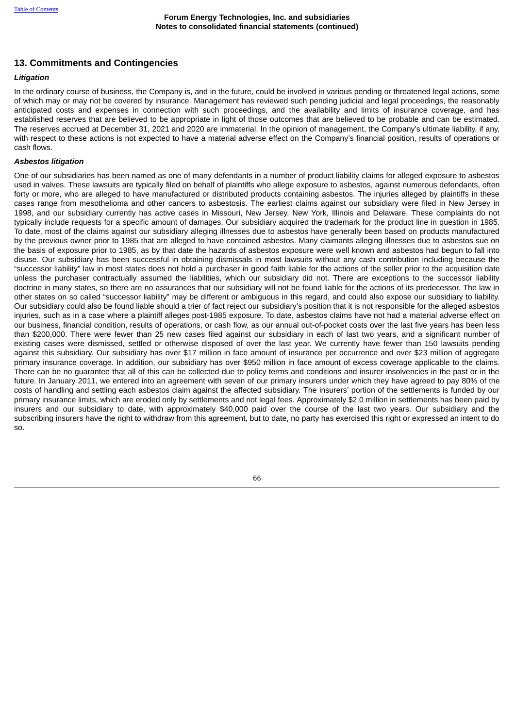# **13. Commitments and Contingencies**

### *Litigation*

In the ordinary course of business, the Company is, and in the future, could be involved in various pending or threatened legal actions, some of which may or may not be covered by insurance. Management has reviewed such pending judicial and legal proceedings, the reasonably anticipated costs and expenses in connection with such proceedings, and the availability and limits of insurance coverage, and has established reserves that are believed to be appropriate in light of those outcomes that are believed to be probable and can be estimated. The reserves accrued at December 31, 2021 and 2020 are immaterial. In the opinion of management, the Company's ultimate liability, if any, with respect to these actions is not expected to have a material adverse effect on the Company's financial position, results of operations or cash flows.

#### *Asbestos litigation*

One of our subsidiaries has been named as one of many defendants in a number of product liability claims for alleged exposure to asbestos used in valves. These lawsuits are typically filed on behalf of plaintiffs who allege exposure to asbestos, against numerous defendants, often forty or more, who are alleged to have manufactured or distributed products containing asbestos. The injuries alleged by plaintiffs in these cases range from mesothelioma and other cancers to asbestosis. The earliest claims against our subsidiary were filed in New Jersey in 1998, and our subsidiary currently has active cases in Missouri, New Jersey, New York, Illinois and Delaware. These complaints do not typically include requests for a specific amount of damages. Our subsidiary acquired the trademark for the product line in question in 1985. To date, most of the claims against our subsidiary alleging illnesses due to asbestos have generally been based on products manufactured by the previous owner prior to 1985 that are alleged to have contained asbestos. Many claimants alleging illnesses due to asbestos sue on the basis of exposure prior to 1985, as by that date the hazards of asbestos exposure were well known and asbestos had begun to fall into disuse. Our subsidiary has been successful in obtaining dismissals in most lawsuits without any cash contribution including because the "successor liability" law in most states does not hold a purchaser in good faith liable for the actions of the seller prior to the acquisition date unless the purchaser contractually assumed the liabilities, which our subsidiary did not. There are exceptions to the successor liability doctrine in many states, so there are no assurances that our subsidiary will not be found liable for the actions of its predecessor. The law in other states on so called "successor liability" may be different or ambiguous in this regard, and could also expose our subsidiary to liability. Our subsidiary could also be found liable should a trier of fact reject our subsidiary's position that it is not responsible for the alleged asbestos injuries, such as in a case where a plaintiff alleges post-1985 exposure. To date, asbestos claims have not had a material adverse effect on our business, financial condition, results of operations, or cash flow, as our annual out-of-pocket costs over the last five years has been less than \$200,000. There were fewer than 25 new cases filed against our subsidiary in each of last two years, and a significant number of existing cases were dismissed, settled or otherwise disposed of over the last year. We currently have fewer than 150 lawsuits pending against this subsidiary. Our subsidiary has over \$17 million in face amount of insurance per occurrence and over \$23 million of aggregate primary insurance coverage. In addition, our subsidiary has over \$950 million in face amount of excess coverage applicable to the claims. There can be no guarantee that all of this can be collected due to policy terms and conditions and insurer insolvencies in the past or in the future. In January 2011, we entered into an agreement with seven of our primary insurers under which they have agreed to pay 80% of the costs of handling and settling each asbestos claim against the affected subsidiary. The insurers' portion of the settlements is funded by our primary insurance limits, which are eroded only by settlements and not legal fees. Approximately \$2.0 million in settlements has been paid by insurers and our subsidiary to date, with approximately \$40,000 paid over the course of the last two years. Our subsidiary and the subscribing insurers have the right to withdraw from this agreement, but to date, no party has exercised this right or expressed an intent to do so.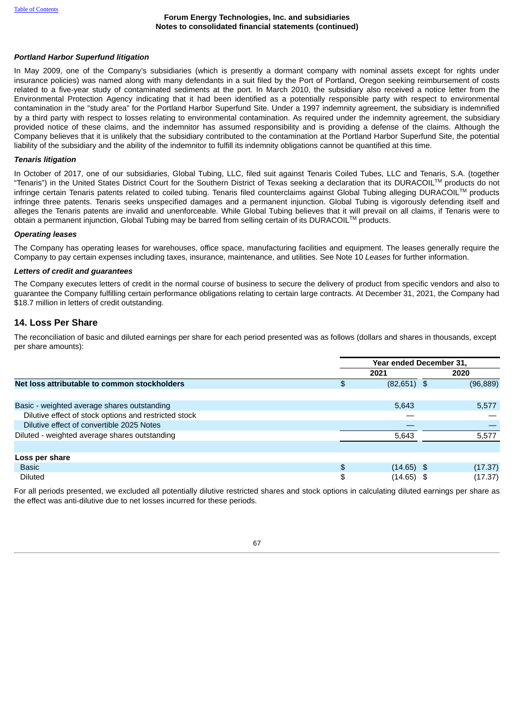#### *Portland Harbor Superfund litigation*

In May 2009, one of the Company's subsidiaries (which is presently a dormant company with nominal assets except for rights under insurance policies) was named along with many defendants in a suit filed by the Port of Portland, Oregon seeking reimbursement of costs related to a five-year study of contaminated sediments at the port. In March 2010, the subsidiary also received a notice letter from the Environmental Protection Agency indicating that it had been identified as a potentially responsible party with respect to environmental contamination in the "study area" for the Portland Harbor Superfund Site. Under a 1997 indemnity agreement, the subsidiary is indemnified by a third party with respect to losses relating to environmental contamination. As required under the indemnity agreement, the subsidiary provided notice of these claims, and the indemnitor has assumed responsibility and is providing a defense of the claims. Although the Company believes that it is unlikely that the subsidiary contributed to the contamination at the Portland Harbor Superfund Site, the potential liability of the subsidiary and the ability of the indemnitor to fulfill its indemnity obligations cannot be quantified at this time.

#### *Tenaris litigation*

In October of 2017, one of our subsidiaries, Global Tubing, LLC, filed suit against Tenaris Coiled Tubes, LLC and Tenaris, S.A. (together "Tenaris") in the United States District Court for the Southern District of Texas seeking a declaration that its DURACOIL™ products do not infringe certain Tenaris patents related to coiled tubing. Tenaris filed counterclaims against Global Tubing alleging DURACOIL™ products infringe three patents. Tenaris seeks unspecified damages and a permanent injunction. Global Tubing is vigorously defending itself and alleges the Tenaris patents are invalid and unenforceable. While Global Tubing believes that it will prevail on all claims, if Tenaris were to obtain a permanent injunction, Global Tubing may be barred from selling certain of its DURACOIL™ products.

#### *Operating leases*

The Company has operating leases for warehouses, office space, manufacturing facilities and equipment. The leases generally require the Company to pay certain expenses including taxes, insurance, maintenance, and utilities. See Note 10 *Leases* for further information.

#### *Letters of credit and guarantees*

The Company executes letters of credit in the normal course of business to secure the delivery of product from specific vendors and also to guarantee the Company fulfilling certain performance obligations relating to certain large contracts. At December 31, 2021, the Company had \$18.7 million in letters of credit outstanding.

## **14. Loss Per Share**

The reconciliation of basic and diluted earnings per share for each period presented was as follows (dollars and shares in thousands, except per share amounts):

|                                                       | Year ended December 31, |  |           |  |
|-------------------------------------------------------|-------------------------|--|-----------|--|
| Net loss attributable to common stockholders          | 2021                    |  |           |  |
|                                                       | \$<br>$(82,651)$ \$     |  | (96, 889) |  |
|                                                       |                         |  |           |  |
| Basic - weighted average shares outstanding           | 5,643                   |  | 5,577     |  |
| Dilutive effect of stock options and restricted stock |                         |  |           |  |
| Dilutive effect of convertible 2025 Notes             |                         |  |           |  |
| Diluted - weighted average shares outstanding         | 5,643                   |  | 5,577     |  |
|                                                       |                         |  |           |  |
| Loss per share                                        |                         |  |           |  |
| <b>Basic</b>                                          | \$<br>$(14.65)$ \$      |  | (17.37)   |  |
| <b>Diluted</b>                                        | \$<br>(14.65) \$        |  | (17.37)   |  |
|                                                       |                         |  |           |  |

For all periods presented, we excluded all potentially dilutive restricted shares and stock options in calculating diluted earnings per share as the effect was anti-dilutive due to net losses incurred for these periods.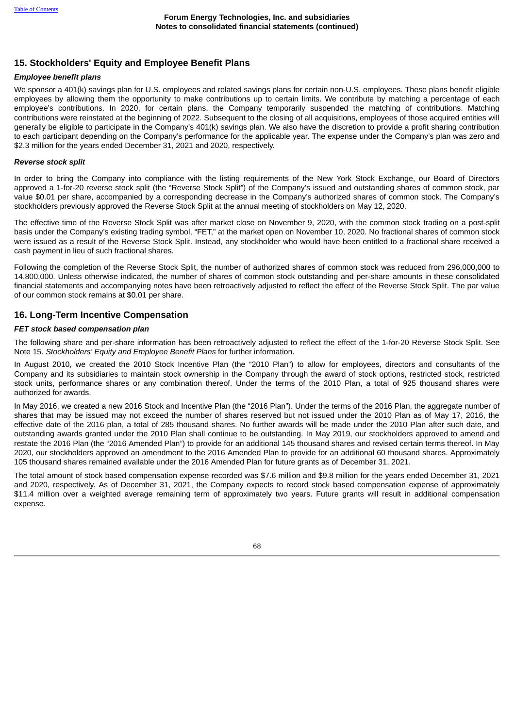# **15. Stockholders' Equity and Employee Benefit Plans**

## *Employee benefit plans*

We sponsor a 401(k) savings plan for U.S. employees and related savings plans for certain non-U.S. employees. These plans benefit eligible employees by allowing them the opportunity to make contributions up to certain limits. We contribute by matching a percentage of each employee's contributions. In 2020, for certain plans, the Company temporarily suspended the matching of contributions. Matching contributions were reinstated at the beginning of 2022. Subsequent to the closing of all acquisitions, employees of those acquired entities will generally be eligible to participate in the Company's 401(k) savings plan. We also have the discretion to provide a profit sharing contribution to each participant depending on the Company's performance for the applicable year. The expense under the Company's plan was zero and \$2.3 million for the years ended December 31, 2021 and 2020, respectively.

#### *Reverse stock split*

In order to bring the Company into compliance with the listing requirements of the New York Stock Exchange, our Board of Directors approved a 1-for-20 reverse stock split (the "Reverse Stock Split") of the Company's issued and outstanding shares of common stock, par value \$0.01 per share, accompanied by a corresponding decrease in the Company's authorized shares of common stock. The Company's stockholders previously approved the Reverse Stock Split at the annual meeting of stockholders on May 12, 2020.

The effective time of the Reverse Stock Split was after market close on November 9, 2020, with the common stock trading on a post-split basis under the Company's existing trading symbol, "FET," at the market open on November 10, 2020. No fractional shares of common stock were issued as a result of the Reverse Stock Split. Instead, any stockholder who would have been entitled to a fractional share received a cash payment in lieu of such fractional shares.

Following the completion of the Reverse Stock Split, the number of authorized shares of common stock was reduced from 296,000,000 to 14,800,000. Unless otherwise indicated, the number of shares of common stock outstanding and per-share amounts in these consolidated financial statements and accompanying notes have been retroactively adjusted to reflect the effect of the Reverse Stock Split. The par value of our common stock remains at \$0.01 per share.

## **16. Long-Term Incentive Compensation**

#### *FET stock based compensation plan*

The following share and per-share information has been retroactively adjusted to reflect the effect of the 1-for-20 Reverse Stock Split. See Note 15. *Stockholders' Equity and Employee Benefit Plans* for further information.

In August 2010, we created the 2010 Stock Incentive Plan (the "2010 Plan") to allow for employees, directors and consultants of the Company and its subsidiaries to maintain stock ownership in the Company through the award of stock options, restricted stock, restricted stock units, performance shares or any combination thereof. Under the terms of the 2010 Plan, a total of 925 thousand shares were authorized for awards.

In May 2016, we created a new 2016 Stock and Incentive Plan (the "2016 Plan"). Under the terms of the 2016 Plan, the aggregate number of shares that may be issued may not exceed the number of shares reserved but not issued under the 2010 Plan as of May 17, 2016, the effective date of the 2016 plan, a total of 285 thousand shares. No further awards will be made under the 2010 Plan after such date, and outstanding awards granted under the 2010 Plan shall continue to be outstanding. In May 2019, our stockholders approved to amend and restate the 2016 Plan (the "2016 Amended Plan") to provide for an additional 145 thousand shares and revised certain terms thereof. In May 2020, our stockholders approved an amendment to the 2016 Amended Plan to provide for an additional 60 thousand shares. Approximately 105 thousand shares remained available under the 2016 Amended Plan for future grants as of December 31, 2021.

The total amount of stock based compensation expense recorded was \$7.6 million and \$9.8 million for the years ended December 31, 2021 and 2020, respectively. As of December 31, 2021, the Company expects to record stock based compensation expense of approximately \$11.4 million over a weighted average remaining term of approximately two years. Future grants will result in additional compensation expense.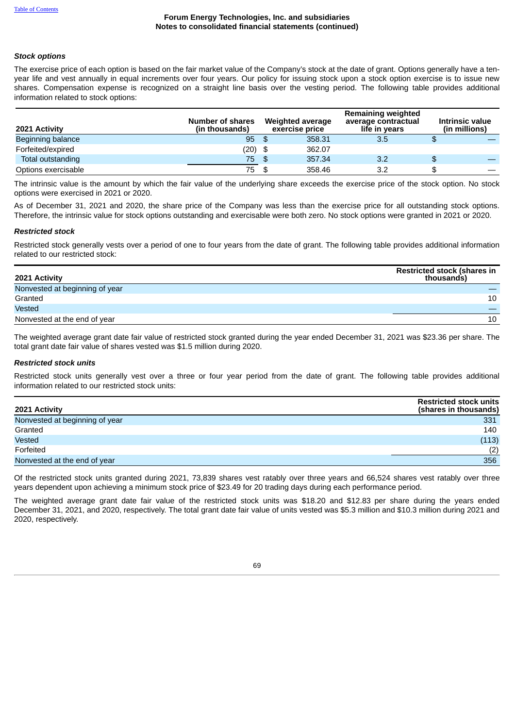#### *Stock options*

The exercise price of each option is based on the fair market value of the Company's stock at the date of grant. Options generally have a tenyear life and vest annually in equal increments over four years. Our policy for issuing stock upon a stock option exercise is to issue new shares. Compensation expense is recognized on a straight line basis over the vesting period. The following table provides additional information related to stock options:

| 2021 Activity       | <b>Number of shares</b><br>(in thousands) |      | <b>Weighted average</b><br>exercise price | <b>Remaining weighted</b><br>average contractual<br>life in years | Intrinsic value<br>(in millions) |
|---------------------|-------------------------------------------|------|-------------------------------------------|-------------------------------------------------------------------|----------------------------------|
| Beginning balance   | 95                                        | - SS | 358.31                                    | 3.5                                                               |                                  |
| Forfeited/expired   | (20) \$                                   |      | 362.07                                    |                                                                   |                                  |
| Total outstanding   | 75                                        | 8    | 357.34                                    | 3.2                                                               |                                  |
| Options exercisable | 75                                        |      | 358.46                                    | 3.2                                                               |                                  |

The intrinsic value is the amount by which the fair value of the underlying share exceeds the exercise price of the stock option. No stock options were exercised in 2021 or 2020.

As of December 31, 2021 and 2020, the share price of the Company was less than the exercise price for all outstanding stock options. Therefore, the intrinsic value for stock options outstanding and exercisable were both zero. No stock options were granted in 2021 or 2020.

#### *Restricted stock*

Restricted stock generally vests over a period of one to four years from the date of grant. The following table provides additional information related to our restricted stock:

| 2021 Activity                  | <b>Restricted stock (shares in</b><br>thousands) |
|--------------------------------|--------------------------------------------------|
| Nonvested at beginning of year |                                                  |
| Granted                        | 10                                               |
| Vested                         |                                                  |
| Nonvested at the end of year   | 10                                               |

The weighted average grant date fair value of restricted stock granted during the year ended December 31, 2021 was \$23.36 per share. The total grant date fair value of shares vested was \$1.5 million during 2020.

#### *Restricted stock units*

Restricted stock units generally vest over a three or four year period from the date of grant. The following table provides additional information related to our restricted stock units:

| 2021 Activity                  | <b>Restricted stock units</b><br>(shares in thousands) |
|--------------------------------|--------------------------------------------------------|
| Nonvested at beginning of year | 331                                                    |
| Granted                        | 140                                                    |
| Vested                         | (113)                                                  |
| Forfeited                      | (2)                                                    |
| Nonvested at the end of year   | 356                                                    |

Of the restricted stock units granted during 2021, 73,839 shares vest ratably over three years and 66,524 shares vest ratably over three years dependent upon achieving a minimum stock price of \$23.49 for 20 trading days during each performance period.

The weighted average grant date fair value of the restricted stock units was \$18.20 and \$12.83 per share during the years ended December 31, 2021, and 2020, respectively. The total grant date fair value of units vested was \$5.3 million and \$10.3 million during 2021 and 2020, respectively.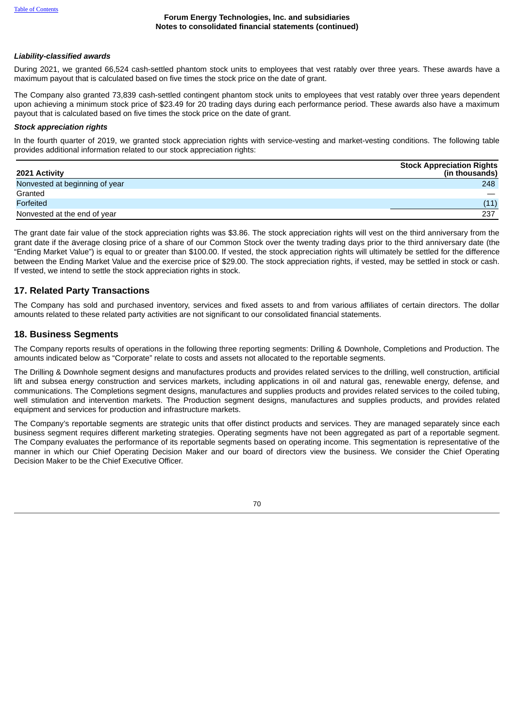#### *Liability-classified awards*

During 2021, we granted 66,524 cash-settled phantom stock units to employees that vest ratably over three years. These awards have a maximum payout that is calculated based on five times the stock price on the date of grant.

The Company also granted 73,839 cash-settled contingent phantom stock units to employees that vest ratably over three years dependent upon achieving a minimum stock price of \$23.49 for 20 trading days during each performance period. These awards also have a maximum payout that is calculated based on five times the stock price on the date of grant.

#### *Stock appreciation rights*

In the fourth quarter of 2019, we granted stock appreciation rights with service-vesting and market-vesting conditions. The following table provides additional information related to our stock appreciation rights:

| 2021 Activity                  | <b>Stock Appreciation Rights</b><br>(in thousands) |
|--------------------------------|----------------------------------------------------|
| Nonvested at beginning of year | 248                                                |
| Granted                        |                                                    |
| <b>Forfeited</b>               | (11)                                               |
| Nonvested at the end of year   | 237                                                |

The grant date fair value of the stock appreciation rights was \$3.86. The stock appreciation rights will vest on the third anniversary from the grant date if the average closing price of a share of our Common Stock over the twenty trading days prior to the third anniversary date (the "Ending Market Value") is equal to or greater than \$100.00. If vested, the stock appreciation rights will ultimately be settled for the difference between the Ending Market Value and the exercise price of \$29.00. The stock appreciation rights, if vested, may be settled in stock or cash. If vested, we intend to settle the stock appreciation rights in stock.

## **17. Related Party Transactions**

The Company has sold and purchased inventory, services and fixed assets to and from various affiliates of certain directors. The dollar amounts related to these related party activities are not significant to our consolidated financial statements.

## **18. Business Segments**

The Company reports results of operations in the following three reporting segments: Drilling & Downhole, Completions and Production. The amounts indicated below as "Corporate" relate to costs and assets not allocated to the reportable segments.

The Drilling & Downhole segment designs and manufactures products and provides related services to the drilling, well construction, artificial lift and subsea energy construction and services markets, including applications in oil and natural gas, renewable energy, defense, and communications. The Completions segment designs, manufactures and supplies products and provides related services to the coiled tubing, well stimulation and intervention markets. The Production segment designs, manufactures and supplies products, and provides related equipment and services for production and infrastructure markets.

The Company's reportable segments are strategic units that offer distinct products and services. They are managed separately since each business segment requires different marketing strategies. Operating segments have not been aggregated as part of a reportable segment. The Company evaluates the performance of its reportable segments based on operating income. This segmentation is representative of the manner in which our Chief Operating Decision Maker and our board of directors view the business. We consider the Chief Operating Decision Maker to be the Chief Executive Officer.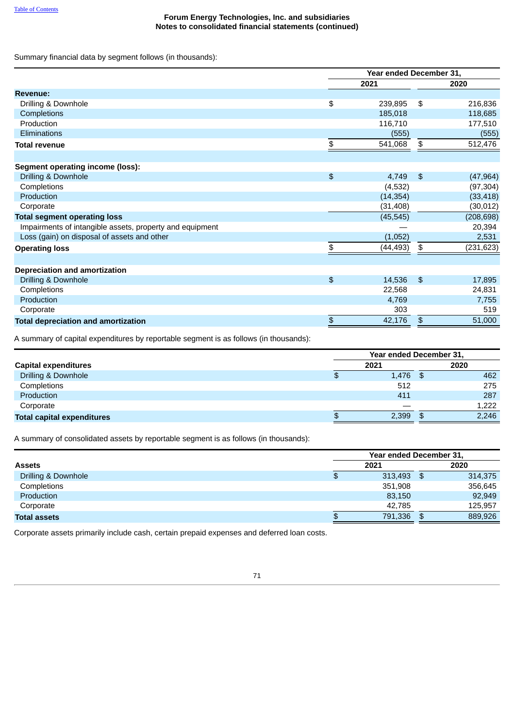Summary financial data by segment follows (in thousands):

|                                                          | Year ended December 31, |                |            |  |
|----------------------------------------------------------|-------------------------|----------------|------------|--|
|                                                          | 2021                    |                | 2020       |  |
| <b>Revenue:</b>                                          |                         |                |            |  |
| Drilling & Downhole                                      | \$<br>239,895           | \$             | 216,836    |  |
| Completions                                              | 185,018                 |                | 118,685    |  |
| Production                                               | 116,710                 |                | 177,510    |  |
| Eliminations                                             | (555)                   |                | (555)      |  |
| <b>Total revenue</b>                                     | \$<br>541,068           | \$             | 512,476    |  |
| Segment operating income (loss):                         |                         |                |            |  |
| Drilling & Downhole                                      | \$<br>4,749             | $\mathfrak{F}$ | (47, 964)  |  |
| Completions                                              | (4,532)                 |                | (97, 304)  |  |
| Production                                               | (14, 354)               |                | (33, 418)  |  |
| Corporate                                                | (31, 408)               |                | (30, 012)  |  |
| <b>Total segment operating loss</b>                      | (45, 545)               |                | (208, 698) |  |
| Impairments of intangible assets, property and equipment |                         |                | 20,394     |  |
| Loss (gain) on disposal of assets and other              | (1,052)                 |                | 2,531      |  |
| <b>Operating loss</b>                                    | \$<br>(44, 493)         | \$             | (231, 623) |  |
|                                                          |                         |                |            |  |
| <b>Depreciation and amortization</b>                     |                         |                |            |  |
| Drilling & Downhole                                      | \$<br>14,536            | \$             | 17,895     |  |
| Completions                                              | 22,568                  |                | 24,831     |  |
| Production                                               | 4,769                   |                | 7,755      |  |
| Corporate                                                | 303                     |                | 519        |  |
| <b>Total depreciation and amortization</b>               | \$<br>42,176            | \$             | 51,000     |  |

A summary of capital expenditures by reportable segment is as follows (in thousands):

|                                   | Year ended December 31, |            |      |       |  |  |
|-----------------------------------|-------------------------|------------|------|-------|--|--|
| <b>Capital expenditures</b>       | 2021                    |            |      | 2020  |  |  |
| Drilling & Downhole               | \$                      | $1,476$ \$ |      | 462   |  |  |
| Completions                       |                         | 512        |      | 275   |  |  |
| Production                        |                         | 411        |      | 287   |  |  |
| Corporate                         |                         |            |      | 1,222 |  |  |
| <b>Total capital expenditures</b> |                         | 2,399      | - \$ | 2,246 |  |  |

A summary of consolidated assets by reportable segment is as follows (in thousands):

|                     | Year ended December 31, |         |      |         |  |  |
|---------------------|-------------------------|---------|------|---------|--|--|
| <b>Assets</b>       |                         | 2021    | 2020 |         |  |  |
| Drilling & Downhole | \$                      | 313,493 | - \$ | 314,375 |  |  |
| Completions         |                         | 351,908 |      | 356,645 |  |  |
| Production          |                         | 83,150  |      | 92,949  |  |  |
| Corporate           |                         | 42.785  |      | 125,957 |  |  |
| <b>Total assets</b> |                         | 791,336 | \$   | 889,926 |  |  |

Corporate assets primarily include cash, certain prepaid expenses and deferred loan costs.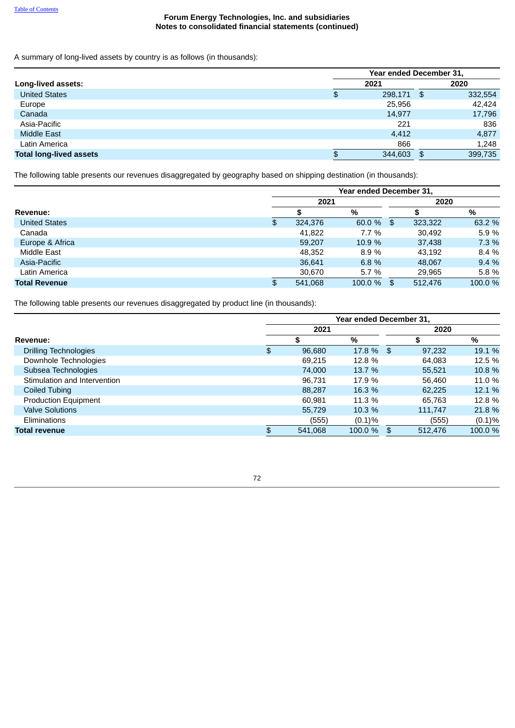A summary of long-lived assets by country is as follows (in thousands):

|                                | Year ended December 31, |            |      |         |  |  |  |
|--------------------------------|-------------------------|------------|------|---------|--|--|--|
| Long-lived assets:             |                         | 2021       | 2020 |         |  |  |  |
| <b>United States</b>           | \$                      | 298,171 \$ |      | 332,554 |  |  |  |
| Europe                         |                         | 25,956     |      | 42.424  |  |  |  |
| Canada                         |                         | 14,977     |      | 17,796  |  |  |  |
| Asia-Pacific                   |                         | 221        |      | 836     |  |  |  |
| Middle East                    |                         | 4,412      |      | 4,877   |  |  |  |
| Latin America                  |                         | 866        |      | 1,248   |  |  |  |
| <b>Total long-lived assets</b> |                         | 344,603    |      | 399,735 |  |  |  |

The following table presents our revenues disaggregated by geography based on shipping destination (in thousands):

|                      | Year ended December 31, |         |              |      |         |         |  |
|----------------------|-------------------------|---------|--------------|------|---------|---------|--|
|                      |                         | 2021    |              |      | 2020    |         |  |
| Revenue:             |                         |         | %            |      |         | %       |  |
| <b>United States</b> | \$                      | 324,376 | $60.0 \%$ \$ |      | 323,322 | 63.2 %  |  |
| Canada               |                         | 41.822  | 7.7%         |      | 30.492  | 5.9 %   |  |
| Europe & Africa      |                         | 59,207  | 10.9 %       |      | 37,438  | 7.3 %   |  |
| Middle East          |                         | 48,352  | 8.9%         |      | 43.192  | 8.4 %   |  |
| Asia-Pacific         |                         | 36,641  | 6.8%         |      | 48.067  | $9.4\%$ |  |
| Latin America        |                         | 30.670  | 5.7 %        |      | 29,965  | 5.8 %   |  |
| <b>Total Revenue</b> | \$                      | 541,068 | 100.0 %      | - \$ | 512,476 | 100.0 % |  |

The following table presents our revenues disaggregated by product line (in thousands):

|                              | <b>Year ended December 31,</b> |         |         |      |         |           |
|------------------------------|--------------------------------|---------|---------|------|---------|-----------|
|                              | 2021                           |         |         | 2020 |         |           |
| Revenue:                     |                                | S       | %       |      | S       | %         |
| <b>Drilling Technologies</b> | \$                             | 96,680  | 17.8 %  | \$   | 97,232  | 19.1 %    |
| Downhole Technologies        |                                | 69.215  | 12.8 %  |      | 64.083  | 12.5 %    |
| Subsea Technologies          |                                | 74,000  | 13.7 %  |      | 55.521  | 10.8 %    |
| Stimulation and Intervention |                                | 96.731  | 17.9 %  |      | 56.460  | 11.0 %    |
| Coiled Tubing                |                                | 88.287  | 16.3 %  |      | 62.225  | 12.1 %    |
| <b>Production Equipment</b>  |                                | 60.981  | 11.3 %  |      | 65.763  | 12.8 %    |
| <b>Valve Solutions</b>       |                                | 55,729  | 10.3 %  |      | 111,747 | 21.8 %    |
| <b>Eliminations</b>          |                                | (555)   | (0.1)%  |      | (555)   | $(0.1)\%$ |
| <b>Total revenue</b>         |                                | 541.068 | 100.0 % | \$   | 512,476 | 100.0 %   |

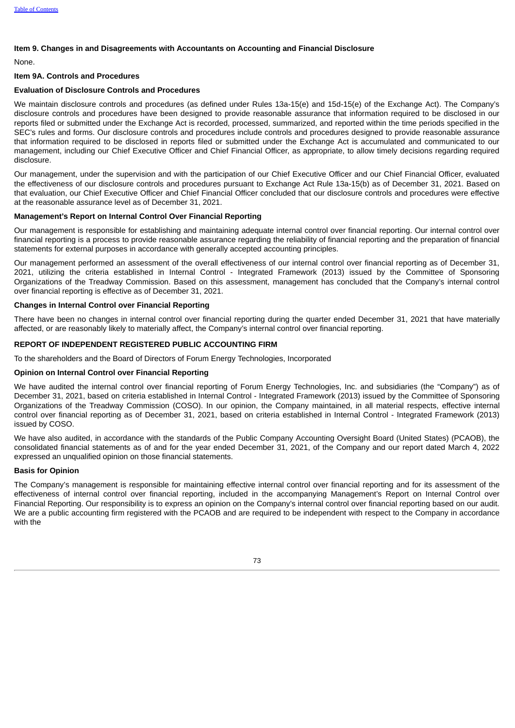# **Item 9. Changes in and Disagreements with Accountants on Accounting and Financial Disclosure**

None.

#### **Item 9A. Controls and Procedures**

# **Evaluation of Disclosure Controls and Procedures**

We maintain disclosure controls and procedures (as defined under Rules 13a-15(e) and 15d-15(e) of the Exchange Act). The Company's disclosure controls and procedures have been designed to provide reasonable assurance that information required to be disclosed in our reports filed or submitted under the Exchange Act is recorded, processed, summarized, and reported within the time periods specified in the SEC's rules and forms. Our disclosure controls and procedures include controls and procedures designed to provide reasonable assurance that information required to be disclosed in reports filed or submitted under the Exchange Act is accumulated and communicated to our management, including our Chief Executive Officer and Chief Financial Officer, as appropriate, to allow timely decisions regarding required disclosure.

Our management, under the supervision and with the participation of our Chief Executive Officer and our Chief Financial Officer, evaluated the effectiveness of our disclosure controls and procedures pursuant to Exchange Act Rule 13a-15(b) as of December 31, 2021. Based on that evaluation, our Chief Executive Officer and Chief Financial Officer concluded that our disclosure controls and procedures were effective at the reasonable assurance level as of December 31, 2021.

#### **Management's Report on Internal Control Over Financial Reporting**

Our management is responsible for establishing and maintaining adequate internal control over financial reporting. Our internal control over financial reporting is a process to provide reasonable assurance regarding the reliability of financial reporting and the preparation of financial statements for external purposes in accordance with generally accepted accounting principles.

Our management performed an assessment of the overall effectiveness of our internal control over financial reporting as of December 31, 2021, utilizing the criteria established in Internal Control - Integrated Framework (2013) issued by the Committee of Sponsoring Organizations of the Treadway Commission. Based on this assessment, management has concluded that the Company's internal control over financial reporting is effective as of December 31, 2021.

#### **Changes in Internal Control over Financial Reporting**

There have been no changes in internal control over financial reporting during the quarter ended December 31, 2021 that have materially affected, or are reasonably likely to materially affect, the Company's internal control over financial reporting.

# **REPORT OF INDEPENDENT REGISTERED PUBLIC ACCOUNTING FIRM**

To the shareholders and the Board of Directors of Forum Energy Technologies, Incorporated

# **Opinion on Internal Control over Financial Reporting**

We have audited the internal control over financial reporting of Forum Energy Technologies, Inc. and subsidiaries (the "Company") as of December 31, 2021, based on criteria established in Internal Control - Integrated Framework (2013) issued by the Committee of Sponsoring Organizations of the Treadway Commission (COSO). In our opinion, the Company maintained, in all material respects, effective internal control over financial reporting as of December 31, 2021, based on criteria established in Internal Control - Integrated Framework (2013) issued by COSO.

We have also audited, in accordance with the standards of the Public Company Accounting Oversight Board (United States) (PCAOB), the consolidated financial statements as of and for the year ended December 31, 2021, of the Company and our report dated March 4, 2022 expressed an unqualified opinion on those financial statements.

#### **Basis for Opinion**

The Company's management is responsible for maintaining effective internal control over financial reporting and for its assessment of the effectiveness of internal control over financial reporting, included in the accompanying Management's Report on Internal Control over Financial Reporting. Our responsibility is to express an opinion on the Company's internal control over financial reporting based on our audit. We are a public accounting firm registered with the PCAOB and are required to be independent with respect to the Company in accordance with the

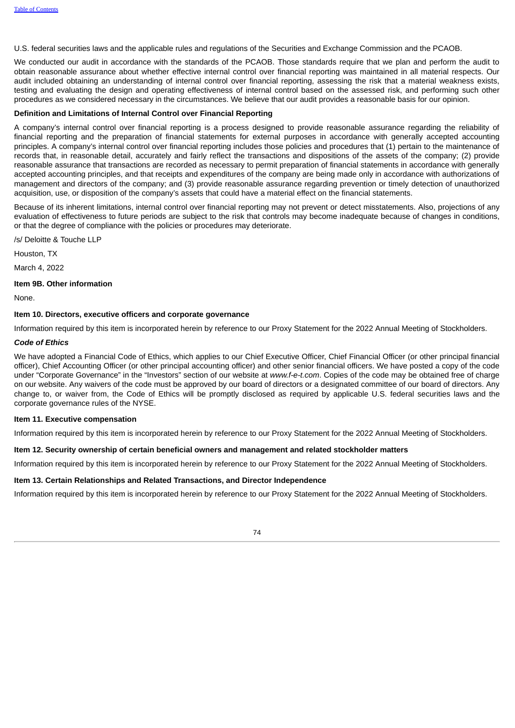U.S. federal securities laws and the applicable rules and regulations of the Securities and Exchange Commission and the PCAOB.

We conducted our audit in accordance with the standards of the PCAOB. Those standards require that we plan and perform the audit to obtain reasonable assurance about whether effective internal control over financial reporting was maintained in all material respects. Our audit included obtaining an understanding of internal control over financial reporting, assessing the risk that a material weakness exists, testing and evaluating the design and operating effectiveness of internal control based on the assessed risk, and performing such other procedures as we considered necessary in the circumstances. We believe that our audit provides a reasonable basis for our opinion.

#### **Definition and Limitations of Internal Control over Financial Reporting**

A company's internal control over financial reporting is a process designed to provide reasonable assurance regarding the reliability of financial reporting and the preparation of financial statements for external purposes in accordance with generally accepted accounting principles. A company's internal control over financial reporting includes those policies and procedures that (1) pertain to the maintenance of records that, in reasonable detail, accurately and fairly reflect the transactions and dispositions of the assets of the company; (2) provide reasonable assurance that transactions are recorded as necessary to permit preparation of financial statements in accordance with generally accepted accounting principles, and that receipts and expenditures of the company are being made only in accordance with authorizations of management and directors of the company; and (3) provide reasonable assurance regarding prevention or timely detection of unauthorized acquisition, use, or disposition of the company's assets that could have a material effect on the financial statements.

Because of its inherent limitations, internal control over financial reporting may not prevent or detect misstatements. Also, projections of any evaluation of effectiveness to future periods are subject to the risk that controls may become inadequate because of changes in conditions, or that the degree of compliance with the policies or procedures may deteriorate.

/s/ Deloitte & Touche LLP

Houston, TX

March 4, 2022

# **Item 9B. Other information**

None.

#### **Item 10. Directors, executive officers and corporate governance**

Information required by this item is incorporated herein by reference to our Proxy Statement for the 2022 Annual Meeting of Stockholders.

#### *Code of Ethics*

We have adopted a Financial Code of Ethics, which applies to our Chief Executive Officer, Chief Financial Officer (or other principal financial officer), Chief Accounting Officer (or other principal accounting officer) and other senior financial officers. We have posted a copy of the code under "Corporate Governance" in the "Investors" section of our website at *www.f-e-t.com*. Copies of the code may be obtained free of charge on our website. Any waivers of the code must be approved by our board of directors or a designated committee of our board of directors. Any change to, or waiver from, the Code of Ethics will be promptly disclosed as required by applicable U.S. federal securities laws and the corporate governance rules of the NYSE.

# **Item 11. Executive compensation**

Information required by this item is incorporated herein by reference to our Proxy Statement for the 2022 Annual Meeting of Stockholders.

# **Item 12. Security ownership of certain beneficial owners and management and related stockholder matters**

Information required by this item is incorporated herein by reference to our Proxy Statement for the 2022 Annual Meeting of Stockholders.

# **Item 13. Certain Relationships and Related Transactions, and Director Independence**

Information required by this item is incorporated herein by reference to our Proxy Statement for the 2022 Annual Meeting of Stockholders.

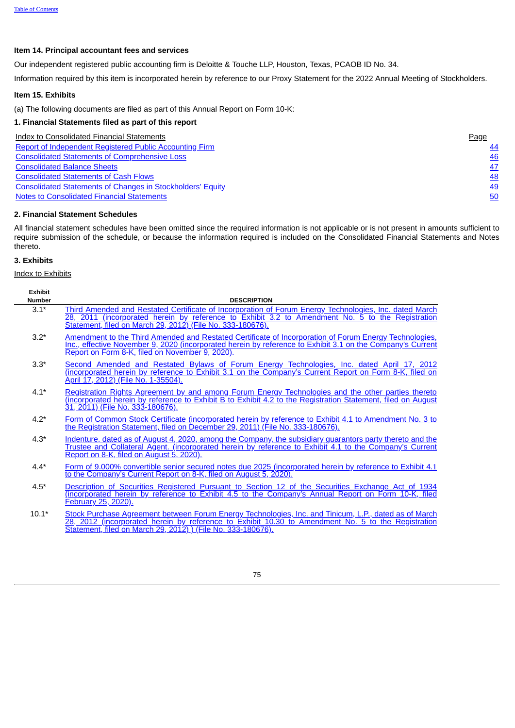# **Item 14. Principal accountant fees and services**

Our independent registered public accounting firm is Deloitte & Touche LLP, Houston, Texas, PCAOB ID No. 34.

Information required by this item is incorporated herein by reference to our Proxy Statement for the 2022 Annual Meeting of Stockholders.

# **Item 15. Exhibits**

(a) The following documents are filed as part of this Annual Report on Form 10-K:

# **1. Financial Statements filed as part of this report**

| Index to Consolidated Financial Statements                     | Page             |
|----------------------------------------------------------------|------------------|
| <b>Report of Independent Registered Public Accounting Firm</b> | <u>44</u>        |
| <b>Consolidated Statements of Comprehensive Loss</b>           | 46               |
| <b>Consolidated Balance Sheets</b>                             | 47               |
| <b>Consolidated Statements of Cash Flows</b>                   | $\underline{48}$ |
| Consolidated Statements of Changes in Stockholders' Equity     | 49               |
| Notes to Consolidated Financial Statements                     | 50               |

# **2. Financial Statement Schedules**

All financial statement schedules have been omitted since the required information is not applicable or is not present in amounts sufficient to require submission of the schedule, or because the information required is included on the Consolidated Financial Statements and Notes thereto.

# **3. Exhibits**

# Index to Exhibits

| <b>Exhibit</b> |                                                                                                                                                                                                                                                                             |
|----------------|-----------------------------------------------------------------------------------------------------------------------------------------------------------------------------------------------------------------------------------------------------------------------------|
| <b>Number</b>  | <b>DESCRIPTION</b>                                                                                                                                                                                                                                                          |
| $3.1*$         | Third Amended and Restated Certificate of Incorporation of Forum Energy Technologies, Inc. dated March<br>28, 2011 (incorporated herein by reference to Exhibit 3.2 to Amendment No. 5 to the Registration<br>Statement, filed on March 29, 2012) (File No. 333-180676).    |
| $3.2*$         | Amendment to the Third Amended and Restated Certificate of Incorporation of Forum Energy Technologies,<br>Inc., effective November 9, 2020 (incorporated herein by reference to Exhibit 3.1 on the Company's Current<br>Report on Form 8-K, filed on November 9, 2020).     |
| $3.3*$         | Second Amended and Restated Bylaws of Forum Energy Technologies, Inc. dated April 17, 2012<br><u>(incorporated herein by reference to Exhibit 3.1 on the Company's Current Report on Form 8-K, filed on</u><br><u>April 17, 2012) (File No. 1-35504).</u>                   |
| $4.1*$         | Registration Rights Agreement by and among Forum Energy Technologies and the other parties thereto<br>(incorporated herein by reference to Exhibit B to Exhibit 4.2 to the Registration Statement, filed on August<br>31, 2011) (File No. 333-180676).                      |
| $4.2*$         | Form of Common Stock Certificate (incorporated herein by reference to Exhibit 4.1 to Amendment No. 3 to<br>the Registration Statement, filed on December 29, 2011) (File No. 333-180676).                                                                                   |
| $4.3*$         | Indenture, dated as of August 4, 2020, among the Company, the subsidiary guarantors party thereto and the<br>Trustee and Collateral Agent. (incorporated herein by reference to Exhibit 4.1 to the Company's Current<br>Report on 8-K, filed on August 5, 2020).            |
| $4.4*$         | Form of 9.000% convertible senior secured notes due 2025 (incorporated herein by reference to Exhibit 4.1)<br>to the Company's Current Report on 8-K, filed on August 5, 2020).                                                                                             |
| $4.5*$         | Description of Securities Registered Pursuant to Section 12 of the Securities Exchange Act of 1934<br>(incorporated herein by reference to Exhibit 4.5 to the Company's Annual Report on Form 10-K, filed<br>February 25, 2020).                                            |
| $10.1*$        | Stock Purchase Agreement between Forum Energy Technologies, Inc. and Tinicum, L.P., dated as of March<br>28, 2012 (incorporated herein by reference to Exhibit 10.30 to Amendment No. 5 to the Registration<br>Statement, filed on March 29, 2012) ) (File No. 333-180676). |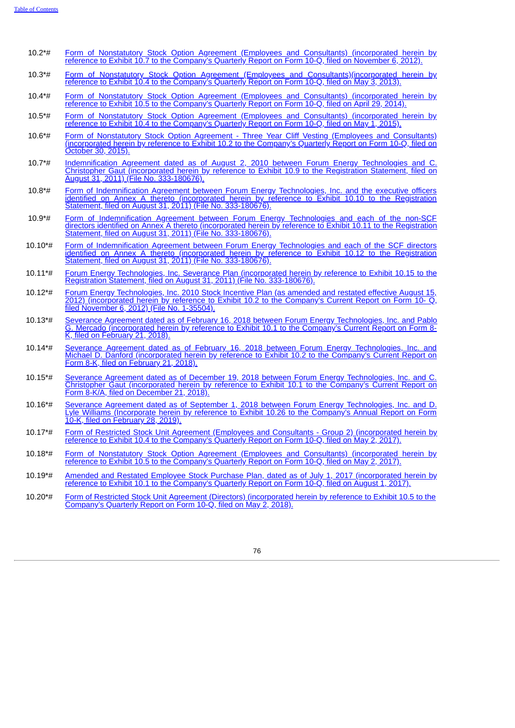- 10.2\*# Form of Nonstatutory Stock Option Agreement (Employees and Consultants) [\(incorporated](http://www.sec.gov/Archives/edgar/data/1401257/000140125712000090/formofnqsoagreementtemplat.htm) herein by reference to Exhibit 10.7 to the Company's Quarterly Report on Form 10-Q, filed on November 6, 2012).
- 10.3\*# Form of Nonstatutory Stock Option Agreement (Employees and [Consultants\)\(incorporated](http://www.sec.gov/Archives/edgar/data/1401257/000140125713000088/exhibit104nqemployee.htm) herein by reference to Exhibit 10.4 to the Company's Quarterly Report on Form 10-Q, filed on May 3, 2013).
- 10.4\*# Form of Nonstatutory Stock Option Agreement (Employees and Consultants) [\(incorporated](http://www.sec.gov/Archives/edgar/data/1401257/000140125714000087/exhibit105.htm) herein by reference to Exhibit 10.5 to the Company's Quarterly Report on Form 10-Q, filed on April 29, 2014).
- 10.5\*# Form of Nonstatutory Stock Option Agreement (Employees and Consultants) [\(incorporated](http://www.sec.gov/Archives/edgar/data/1401257/000140125715000079/exhibit104.htm) herein by reference to Exhibit 10.4 to the Company's Quarterly Report on Form 10-Q, filed on May 1, 2015).
- 10.6\*# Form of Nonstatutory Stock Option Agreement Three Year Cliff Vesting (Employees and Consultants) [\(incorporated](http://www.sec.gov/Archives/edgar/data/1401257/000140125715000103/a102formofnqsoawardthreeye.htm) herein by reference to Exhibit 10.2 to the Company's Quarterly Report on Form 10-Q, filed on October 30, 2015).
- 10.7\*# [Indemnification](http://www.sec.gov/Archives/edgar/data/1401257/000119312511238167/dex109.htm) Agreement dated as of August 2, 2010 between Forum Energy Technologies and C. Christopher Gaut (incorporated herein by reference to Exhibit 10.9 to the Registration Statement, filed on August 31, 2011) (File No. 333-180676).
- 10.8\*# Form of [Indemnification](http://www.sec.gov/Archives/edgar/data/1401257/000119312511238167/dex1010.htm) Agreement between Forum Energy Technologies, Inc. and the executive officers identified on Annex A thereto (incorporated herein by reference to Exhibit 10.10 to the Registration Statement, filed on August 31, 2011) (File No. 333-180676).
- 10.9\*# Form of [Indemnification](http://www.sec.gov/Archives/edgar/data/1401257/000119312511238167/dex1011.htm) Agreement between Forum Energy Technologies and each of the non-SCF directors identified on Annex A thereto (incorporated herein by reference to Exhibit 10.11 to the Registration Statement, filed on August 31, 2011) (File No. 333-180676).
- 10.10\*# Form of [Indemnification](http://www.sec.gov/Archives/edgar/data/1401257/000119312511238167/dex1012.htm) Agreement between Forum Energy Technologies and each of the SCF directors identified on Annex A thereto (incorporated herein by reference to Exhibit 10.12 to the Registration Statement, filed on August 31, 2011) (File No. 333-180676).
- 10.11\*# Forum Energy [Technologies,](http://www.sec.gov/Archives/edgar/data/1401257/000119312511238167/dex1015.htm) Inc. Severance Plan (incorporated herein by reference to Exhibit 10.15 to the Registration Statement, filed on August 31, 2011) (File No. 333-180676).
- 10.12\*# Forum Energy [Technologies,](http://www.sec.gov/Archives/edgar/data/1401257/000140125712000090/q310-qexhibit2010stockince.htm) Inc. 2010 Stock Incentive Plan (as amended and restated effective August 15, 2012) (incorporated herein by reference to Exhibit 10.2 to the Company's Current Report on Form 10- Q, filed November 6, 2012) (File No. 1-35504).
- 10.13\*# Severance Agreement dated as of February 16, 2018 between Forum Energy [Technologies,](http://www.sec.gov/Archives/edgar/data/1401257/000119312518051324/d523994dex101.htm) Inc. and Pablo G. Mercado (incorporated herein by reference to Exhibit 10.1 to the Company's Current Report on Form 8- K, filed on February 21, 2018).
- 10.14\*# Severance Agreement dated as of February 16, 2018 between Forum Energy [Technologies,](http://www.sec.gov/Archives/edgar/data/1401257/000119312518051324/d523994dex102.htm) Inc. and Michael D. Danford (incorporated herein by reference to Exhibit 10.2 to the Company's Current Report on Form 8-K, filed on February 21, 2018).
- 10.15<sup>\*</sup># Severance Agreement dated as of December 19, 2018 between Forum Energy [Technologies,](http://www.sec.gov/Archives/edgar/data/1401257/000140125718000107/exhibit101severanceagreeme.htm) Inc. and C. Christopher Gaut (incorporated herein by reference to Exhibit 10.1 to the Company's Current Report on Form 8-K/A, filed on December 21, 2018).
- 10.16<sup>\*</sup># Severance Agreement dated as of September 1, 2018 between Forum Energy [Technologies,](http://www.sec.gov/Archives/edgar/data/1401257/000140125719000075/exhibit1026severanceagreem.htm) Inc. and D. Lyle Williams (Incorporate herein by reference to Exhibit 10.26 to the Company's Annual Report on Form 10-K, filed on February 28, 2019).
- 10.17\*# Form of Restricted Stock Unit Agreement (Employees and Consultants Group 2) [\(incorporated](http://www.sec.gov/Archives/edgar/data/1401257/000140125717000047/exhibit104formofrestricted.htm) herein by reference to Exhibit 10.4 to the Company's Quarterly Report on Form 10-Q, filed on May 2, 2017).
- 10.18\*# Form of Nonstatutory Stock Option Agreement (Employees and Consultants) [\(incorporated](http://www.sec.gov/Archives/edgar/data/1401257/000140125717000047/exhibit105formofnonstatuto.htm) herein by reference to Exhibit 10.5 to the Company's Quarterly Report on Form 10-Q, filed on May 2, 2017).
- 10.19\*# Amended and Restated Employee Stock Purchase Plan, dated as of July 1, 2017 [\(incorporated](http://www.sec.gov/Archives/edgar/data/1401257/000140125717000058/exhibits101amendedesppplan.htm) herein by reference to Exhibit 10.1 to the Company's Quarterly Report on Form 10-Q, filed on August 1, 2017).
- 10.20\*# Form of Restricted Stock Unit Agreement (Directors) [\(incorporated](http://www.sec.gov/Archives/edgar/data/1401257/000140125718000074/exhibit105formofrestricted.htm) herein by reference to Exhibit 10.5 to the Company's Quarterly Report on Form 10-Q, filed on May 2, 2018).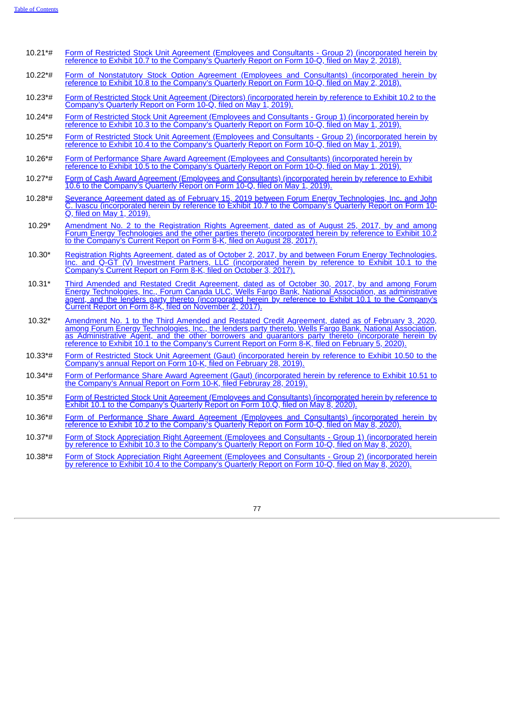- 10.21\*# Form of Restricted Stock Unit Agreement (Employees and Consultants Group 2) [\(incorporated](http://www.sec.gov/Archives/edgar/data/1401257/000140125718000074/exhibit107formofresttricte.htm) herein by reference to Exhibit 10.7 to the Company's Quarterly Report on Form 10-Q, filed on May 2, 2018).
- 10.22\*# Form of Nonstatutory Stock Option Agreement (Employees and Consultants) [\(incorporated](http://www.sec.gov/Archives/edgar/data/1401257/000140125718000074/exhibit108formofnonstatuto.htm) herein by reference to Exhibit 10.8 to the Company's Quarterly Report on Form 10-Q, filed on May 2, 2018).
- 10.23\*# Form of Restricted Stock Unit Agreement (Directors) [\(incorporated](http://www.sec.gov/Archives/edgar/data/1401257/000140125719000089/exhibit102formofrsu-di.htm) herein by reference to Exhibit 10.2 to the Company's Quarterly Report on Form 10-Q, filed on May 1, 2019).
- 10.24\*# Form of Restricted Stock Unit Agreement (Employees and Consultants Group 1) [\(incorporated](http://www.sec.gov/Archives/edgar/data/1401257/000140125719000089/exhibit103formofrsu-em.htm) herein by reference to Exhibit 10.3 to the Company's Quarterly Report on Form 10-Q, filed on May 1, 2019).
- 10.25\*# Form of Restricted Stock Unit Agreement (Employees and Consultants Group 2) [\(incorporated](http://www.sec.gov/Archives/edgar/data/1401257/000140125719000089/exhibit104formofrsu-em.htm) herein by reference to Exhibit 10.4 to the Company's Quarterly Report on Form 10-Q, filed on May 1, 2019).
- 10.26\*# Form of Performance Share Award Agreement (Employees and Consultants) [\(incorporated](http://www.sec.gov/Archives/edgar/data/1401257/000140125719000089/exhibit105formofperfaw.htm) herein by reference to Exhibit 10.5 to the Company's Quarterly Report on Form 10-Q, filed on May 1, 2019).
- 10.27\*# Form of Cash Award Agreement (Employees and Consultants) [\(incorporated](http://www.sec.gov/Archives/edgar/data/1401257/000140125719000089/exhibit106formofcashaw.htm) herein by reference to Exhibit 10.6 to the Company's Quarterly Report on Form 10-Q, filed on May 1, 2019).
- 10.28\*# Severance Agreement dated as of February 15, 2019 between Forum Energy [Technologies,](http://www.sec.gov/Archives/edgar/data/1401257/000140125719000089/exhibit107severanceagr.htm) Inc. and John C. Ivascu (incorporated herein by reference to Exhibit 10.7 to the Company's Quarterly Report on Form 10- <u>Q, filed on May 1, 2019).</u>
- 10.29<sup>\*</sup> Amendment No. 2 to the Registration Rights Agreement, dated as of August 25, 2017, by and among Forum Energy Technologies and the other parties thereto [\(incorporated](http://www.sec.gov/Archives/edgar/data/1401257/000119312517269304/d442034dex102.htm) herein by reference to Exhibit 10.2 to the Company's Current Report on Form 8-K, filed on August 28, 2017).
- 10.30<sup>\*</sup> Registration Rights Agreement, dated as of October 2, 2017, by and between Forum Energy [Technologies,](http://www.sec.gov/Archives/edgar/data/1401257/000119312517301657/d458651dex101.htm) Inc. and Q-GT (V) Investment Partners, LLC (incorporated herein by reference to Exhibit 10.1 to the Company's Current Report on Form 8-K, filed on October 3, 2017).
- 10.31<sup>\*</sup> Third Amended and Restated Credit Agreement, dated as of October 30, 2017, by and among Forum Energy Technologies, Inc., Forum Canada ULC, Wells Fargo Bank, National Association, as [administrative](https://www.sec.gov/Archives/edgar/data/1401257/000119312517330731/d486203dex101.htm) agent, and the lenders party thereto (incorporated herein by reference to Exhibit 10.1 to the Company's Current Report on Form 8-K, filed on November 2, 2017).
- 10.32<sup>\*</sup> Amendment No. 1 to the Third Amended and Restated Credit Agreement, dated as of February 3, 2020, among Forum Energy Technologies, Inc., the lenders party thereto, Wells Fargo Bank, National Association, as [Administrative](http://www.sec.gov/ix?doc=/Archives/edgar/data/1401257/000140125720000006/a8-kcreditfacilityamen.htm) Agent, and the other borrowers and guarantors party thereto (incorporate herein by reference to Exhibit 10.1 to the Company's Current Report on Form 8-K, filed on February 5, 2020).
- 10.33\*# Form of Restricted Stock Unit Agreement (Gaut) [\(incorporated](http://www.sec.gov/Archives/edgar/data/1401257/000140125719000075/exhibit10502018formofrsuga.htm) herein by reference to Exhibit 10.50 to the Company's annual Report on Form 10-K, filed on February 28, 2019).
- 10.34\*# Form of Performance Share Award Agreement (Gaut) [\(incorporated](http://www.sec.gov/Archives/edgar/data/1401257/000140125719000075/exhibit10512018formofperfa.htm) herein by reference to Exhibit 10.51 to <u>the Company's Annual Report on Form 10-K, filed Februray 28, 2019).</u>
- 10.35<sup>\*#</sup> Form of Restricted Stock Unit Agreement (Employees and Consultants) [\(incorporated](https://www.sec.gov/Archives/edgar/data/1401257/000140125720000087/exhibit101formofrsu-em.htm) herein by reference to Exhibit 10.1 to the Company's Quarterly Report on Form 10.Q, filed on May 8, 2020).
- 10.36\*# Form of Performance Share Award Agreement (Employees and Consultants) [\(incorporated](https://www.sec.gov/Archives/edgar/data/1401257/000140125720000087/exhibit102peformanceaw.htm) herein by reference to Exhibit 10.2 to the Company's Quarterly Report on Form 10-Q, filed on May 8, 2020).
- 10.37\*# Form of Stock Appreciation Right Agreement (Employees and Consultants Group 1) [\(incorporated](https://www.sec.gov/Archives/edgar/data/1401257/000140125720000087/exhibit103saraward.htm) herein by reference to Exhibit 10.3 to the Company's Quarterly Report on Form 10-Q, filed on May 8, 2020).
- 10.38\*# Form of Stock Appreciation Right Agreement (Employees and Consultants Group 2) [\(incorporated](https://www.sec.gov/Archives/edgar/data/1401257/000140125720000087/exhibit104sarawardnone.htm) herein by reference to Exhibit 10.4 to the Company's Quarterly Report on Form 10-Q, filed on May 8, 2020).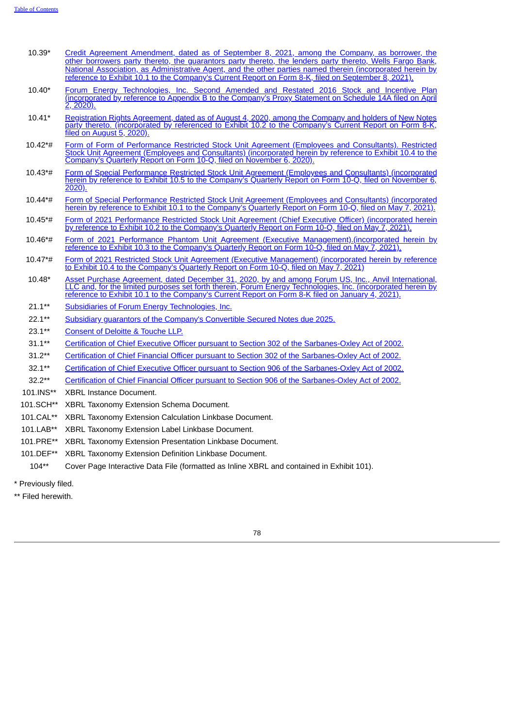- 10.39\* Credit Agreement Amendment, dated as of September 8, 2021, among the Company, as borrower, the other borrowers party thereto, the guarantors party thereto, the lenders party thereto, Wells Fargo Bank, National Association, as [Administrative](https://www.sec.gov/Archives/edgar/data/1401257/000140125721000085/amendment3creditagreemen.htm) Agent, and the other parties named therein (incorporated herein by reference to Exhibit 10.1 to the Company's Current Report on Form 8-K, filed on September 8, 2021).
- 10.40\* Forum Energy [Technologies,](https://www.sec.gov/Archives/edgar/data/1401257/000139834420007369/fp0052404_def14a.htm) Inc. Second Amended and Restated 2016 Stock and Incentive Plan (incorporated by reference to Appendix B to the Company's Proxy Statement on Schedule 14A filed on April 2, 2020).
- 10.41<sup>\*</sup> Registration Rights Agreement, dated as of August 4, 2020, among the Company and holders of New Notes party thereto. [\(incorporated](https://www.sec.gov/Archives/edgar/data/1401257/000119312520210681/d94847dex102.htm) by referenced to Exhibit 10.2 to the Company's Current Report on Form 8-K, <u>filed on August 5, 2020).</u>
- 10.42\*# Form of Form of Performance Restricted Stock Unit Agreement (Employees and Consultants). Restricted Stock Unit Agreement (Employees and Consultants) [\(incorporated](https://www.sec.gov/Archives/edgar/data/1401257/000140125720000155/a104formofrsusupplemen.htm) herein by reference to Exhibit 10.4 to the Company's Quarterly Report on Form 10-Q, filed on November 6, 2020).
- 10.43\*# Form of Special Performance Restricted Stock Unit Agreement (Employees and Consultants) [\(incorporated](https://www.sec.gov/Archives/edgar/data/1401257/000140125720000155/a105formofrsuequitykic.htm) herein by reference to Exhibit 10.5 to the Company's Quarterly Report on Form 10-Q, filed on November 6, 2020).
- 10.44\*# Form of Special Performance Restricted Stock Unit Agreement (Employees and Consultants) [\(incorporated](https://www.sec.gov/Archives/edgar/data/1401257/000140125721000047/exhibit101.htm) herein by reference to Exhibit 10.1 to the Company's Quarterly Report on Form 10-Q, filed on May 7, 2021).
- 10.45\*# Form of 2021 Performance Restricted Stock Unit Agreement (Chief Executive Officer) [\(incorporated](https://www.sec.gov/Archives/edgar/data/1401257/000140125721000047/exhibit102.htm) herein by reference to Exhibit 10.2 to the Company's Quarterly Report on Form 10-Q, filed on May 7, 2021).
- 10.46\*# Form of 2021 Performance Phantom Unit Agreement (Executive [Management\).\(incorporated](https://www.sec.gov/Archives/edgar/data/1401257/000140125721000047/exhibit103.htm) herein by reference to Exhibit 10.3 to the Company's Quarterly Report on Form 10-Q, filed on May 7, 2021).
- 10.47\*# Form of 2021 Restricted Stock Unit Agreement (Executive [Management\)](https://www.sec.gov/Archives/edgar/data/1401257/000140125721000047/a104-2021formofrsuxemploye.htm) (incorporated herein by reference to Exhibit 10.4 to the Company's Quarterly Report on Form 10-Q, filed on May 7, 2021)
- 10.48\* Asset Purchase Agreement, dated December 31, 2020, by and among Forum US, Inc., Anvil International, LLC and, for the limited purposes set forth therein, Forum Energy [Technologies,](https://www.sec.gov/Archives/edgar/data/1401257/000140125721000004/exhibit101projectvictorass.htm) Inc. (incorporated herein by reference to Exhibit 10.1 to the Company's Current Report on Form 8-K filed on January 4, 2021).
- 21.1\*\* Subsidiaries of Forum Energy [Technologies,](#page-80-0) Inc.
- 22.1\*\* Subsidiary guarantors of the Company's [Convertible](#page-81-0) Secured Notes due 2025.
- 23.1\*\* [Consent](#page-82-0) of Deloitte & Touche LLP.
- 31.1\*\* Certification of Chief Executive Officer pursuant to Section 302 of the [Sarbanes-Oxley](#page-83-0) Act of 2002.
- 31.2\*\* Certification of Chief Financial Officer pursuant to Section 302 of the [Sarbanes-Oxley](#page-84-0) Act of 2002.
- 32.1<sup>\*\*</sup> Certification of Chief Executive Officer pursuant to Section 906 of the [Sarbanes-Oxley](#page-85-0) Act of 2002.
- 32.2\*\* Certification of Chief Financial Officer pursuant to Section 906 of the [Sarbanes-Oxley](#page-86-0) Act of 2002.
- 101.INS\*\* XBRL Instance Document.
- 101.SCH\*\* XBRL Taxonomy Extension Schema Document.
- 101.CAL\*\* XBRL Taxonomy Extension Calculation Linkbase Document.
- 101.LAB\*\* XBRL Taxonomy Extension Label Linkbase Document.
- 101.PRE\*\* XBRL Taxonomy Extension Presentation Linkbase Document.
- 101.DEF\*\* XBRL Taxonomy Extension Definition Linkbase Document.
- 104\*\* Cover Page Interactive Data File (formatted as Inline XBRL and contained in Exhibit 101).

\* Previously filed.

\*\* Filed herewith.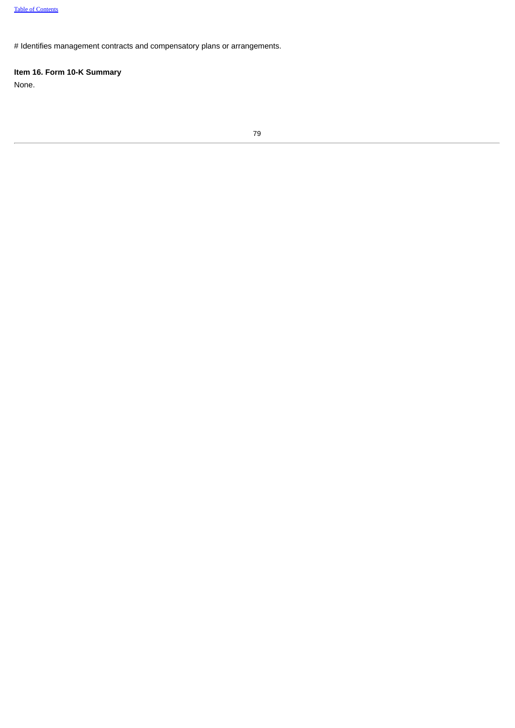# Identifies management contracts and compensatory plans or arrangements.

**Item 16. Form 10-K Summary** None.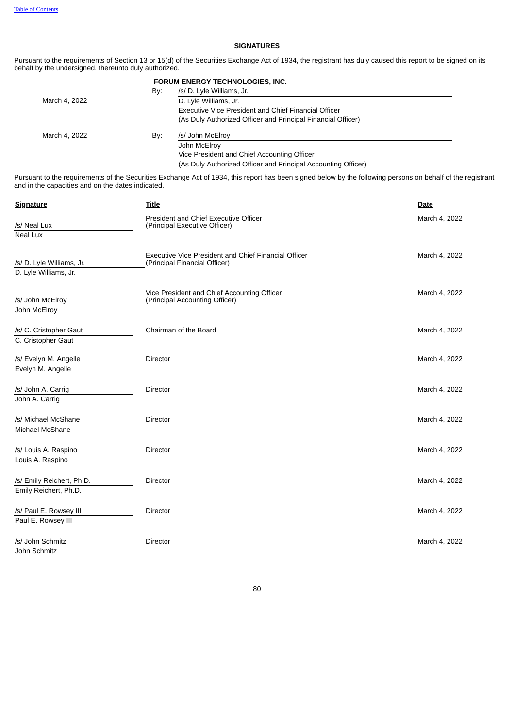# **SIGNATURES**

Pursuant to the requirements of Section 13 or 15(d) of the Securities Exchange Act of 1934, the registrant has duly caused this report to be signed on its behalf by the undersigned, thereunto duly authorized.

| FORUM ENERGY TECHNOLOGIES, INC. |     |                                                               |  |
|---------------------------------|-----|---------------------------------------------------------------|--|
|                                 | By: | /s/ D. Lyle Williams, Jr.                                     |  |
| March 4, 2022                   |     | D. Lyle Williams, Jr.                                         |  |
|                                 |     | Executive Vice President and Chief Financial Officer          |  |
|                                 |     | (As Duly Authorized Officer and Principal Financial Officer)  |  |
| March 4, 2022                   | By: | /s/ John McElroy                                              |  |
|                                 |     | John McElroy                                                  |  |
|                                 |     | Vice President and Chief Accounting Officer                   |  |
|                                 |     | (As Duly Authorized Officer and Principal Accounting Officer) |  |

Pursuant to the requirements of the Securities Exchange Act of 1934, this report has been signed below by the following persons on behalf of the registrant and in the capacities and on the dates indicated.

| <b>Signature</b>                                   | <b>Title</b>                                                                                 | Date          |
|----------------------------------------------------|----------------------------------------------------------------------------------------------|---------------|
| /s/ Neal Lux                                       | President and Chief Executive Officer<br>(Principal Executive Officer)                       | March 4, 2022 |
| <b>Neal Lux</b>                                    |                                                                                              |               |
|                                                    | <b>Executive Vice President and Chief Financial Officer</b><br>(Principal Financial Officer) | March 4, 2022 |
| /s/ D. Lyle Williams, Jr.<br>D. Lyle Williams, Jr. |                                                                                              |               |
| /s/ John McElroy                                   | Vice President and Chief Accounting Officer<br>(Principal Accounting Officer)                | March 4, 2022 |
| John McElroy                                       |                                                                                              |               |
| /s/ C. Cristopher Gaut                             | Chairman of the Board                                                                        | March 4, 2022 |
| C. Cristopher Gaut                                 |                                                                                              |               |
| /s/ Evelyn M. Angelle                              | Director                                                                                     | March 4, 2022 |
| Evelyn M. Angelle                                  |                                                                                              |               |
| /s/ John A. Carrig                                 | Director                                                                                     | March 4, 2022 |
| John A. Carrig                                     |                                                                                              |               |
| /s/ Michael McShane<br>Michael McShane             | Director                                                                                     | March 4, 2022 |
|                                                    |                                                                                              |               |
| /s/ Louis A. Raspino<br>Louis A. Raspino           | Director                                                                                     | March 4, 2022 |
|                                                    |                                                                                              |               |
| /s/ Emily Reichert, Ph.D.                          | Director                                                                                     | March 4, 2022 |
| Emily Reichert, Ph.D.                              |                                                                                              |               |
| /s/ Paul E. Rowsey III                             | Director                                                                                     | March 4, 2022 |
| Paul E. Rowsey III                                 |                                                                                              |               |
| /s/ John Schmitz<br>John Schmitz                   | Director                                                                                     | March 4, 2022 |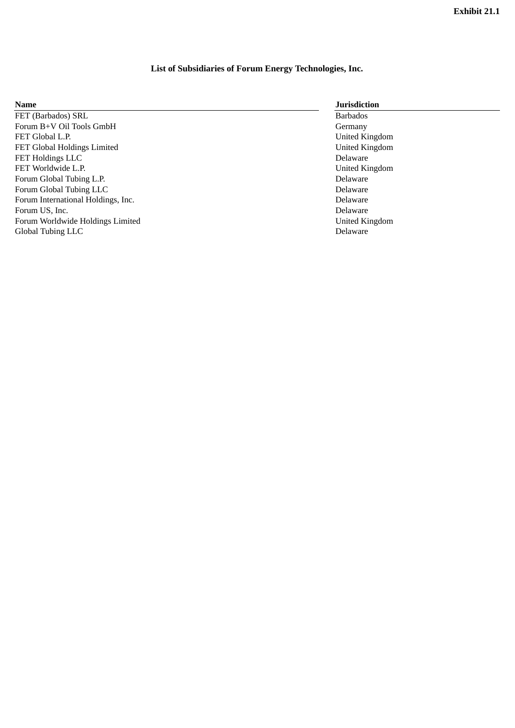# **List of Subsidiaries of Forum Energy Technologies, Inc.**

<span id="page-80-0"></span>

| <b>Name</b>                        | <b>Jurisdiction</b>   |
|------------------------------------|-----------------------|
| FET (Barbados) SRL                 | <b>Barbados</b>       |
| Forum B+V Oil Tools GmbH           | Germany               |
| FET Global L.P.                    | United Kingdom        |
| FET Global Holdings Limited        | <b>United Kingdom</b> |
| FET Holdings LLC                   | Delaware              |
| FET Worldwide L.P.                 | United Kingdom        |
| Forum Global Tubing L.P.           | Delaware              |
| Forum Global Tubing LLC            | Delaware              |
| Forum International Holdings, Inc. | Delaware              |
| Forum US, Inc.                     | Delaware              |
| Forum Worldwide Holdings Limited   | United Kingdom        |
| Global Tubing LLC                  | Delaware              |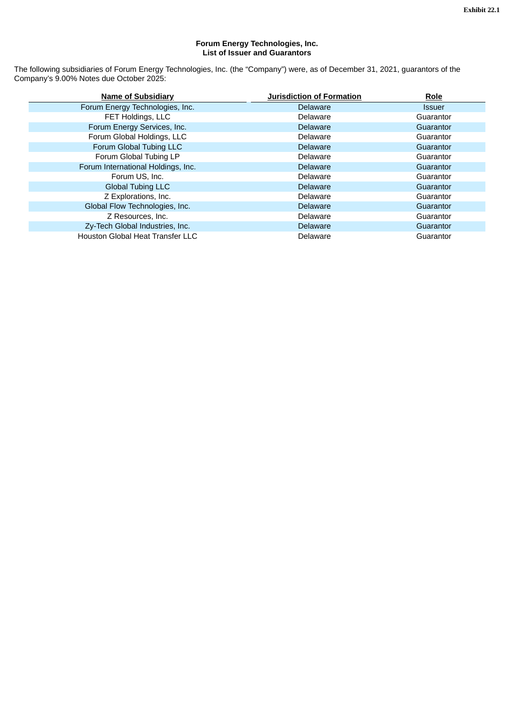# **Forum Energy Technologies, Inc. List of Issuer and Guarantors**

<span id="page-81-0"></span>The following subsidiaries of Forum Energy Technologies, Inc. (the "Company") were, as of December 31, 2021, guarantors of the Company's 9.00% Notes due October 2025:

| <b>Name of Subsidiary</b>          | <b>Jurisdiction of Formation</b> | Role          |
|------------------------------------|----------------------------------|---------------|
| Forum Energy Technologies, Inc.    | <b>Delaware</b>                  | <b>Issuer</b> |
| FET Holdings, LLC                  | Delaware                         | Guarantor     |
| Forum Energy Services, Inc.        | <b>Delaware</b>                  | Guarantor     |
| Forum Global Holdings, LLC         | Delaware                         | Guarantor     |
| Forum Global Tubing LLC            | <b>Delaware</b>                  | Guarantor     |
| Forum Global Tubing LP             | Delaware                         | Guarantor     |
| Forum International Holdings, Inc. | <b>Delaware</b>                  | Guarantor     |
| Forum US, Inc.                     | Delaware                         | Guarantor     |
| <b>Global Tubing LLC</b>           | <b>Delaware</b>                  | Guarantor     |
| Z Explorations, Inc.               | Delaware                         | Guarantor     |
| Global Flow Technologies, Inc.     | <b>Delaware</b>                  | Guarantor     |
| Z Resources, Inc.                  | Delaware                         | Guarantor     |
| Zy-Tech Global Industries, Inc.    | <b>Delaware</b>                  | Guarantor     |
| Houston Global Heat Transfer LLC   | Delaware                         | Guarantor     |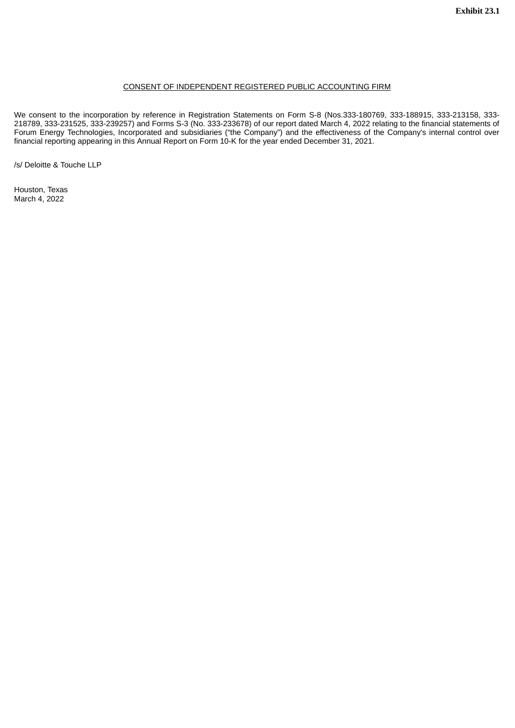# CONSENT OF INDEPENDENT REGISTERED PUBLIC ACCOUNTING FIRM

<span id="page-82-0"></span>We consent to the incorporation by reference in Registration Statements on Form S-8 (Nos.333-180769, 333-188915, 333-213158, 333- 218789, 333-231525, 333-239257) and Forms S-3 (No. 333-233678) of our report dated March 4, 2022 relating to the financial statements of Forum Energy Technologies, Incorporated and subsidiaries ("the Company") and the effectiveness of the Company's internal control over financial reporting appearing in this Annual Report on Form 10-K for the year ended December 31, 2021.

/s/ Deloitte & Touche LLP

Houston, Texas March 4, 2022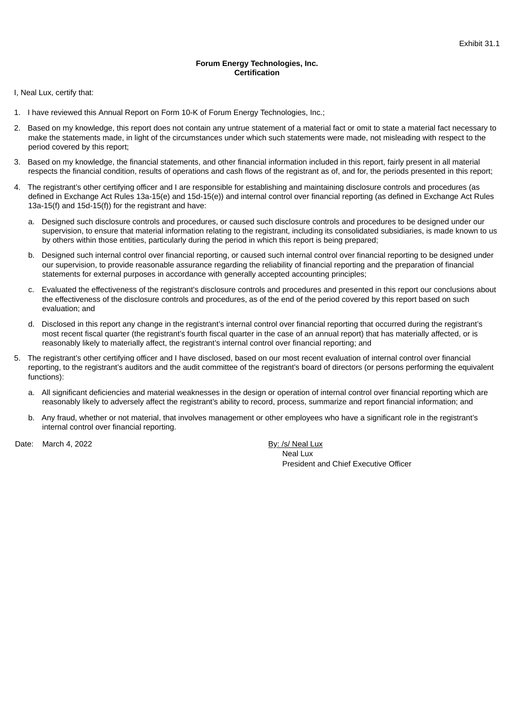# **Forum Energy Technologies, Inc. Certification**

<span id="page-83-0"></span>I, Neal Lux, certify that:

- 1. I have reviewed this Annual Report on Form 10-K of Forum Energy Technologies, Inc.;
- 2. Based on my knowledge, this report does not contain any untrue statement of a material fact or omit to state a material fact necessary to make the statements made, in light of the circumstances under which such statements were made, not misleading with respect to the period covered by this report;
- 3. Based on my knowledge, the financial statements, and other financial information included in this report, fairly present in all material respects the financial condition, results of operations and cash flows of the registrant as of, and for, the periods presented in this report;
- 4. The registrant's other certifying officer and I are responsible for establishing and maintaining disclosure controls and procedures (as defined in Exchange Act Rules 13a-15(e) and 15d-15(e)) and internal control over financial reporting (as defined in Exchange Act Rules 13a-15(f) and 15d-15(f)) for the registrant and have:
	- a. Designed such disclosure controls and procedures, or caused such disclosure controls and procedures to be designed under our supervision, to ensure that material information relating to the registrant, including its consolidated subsidiaries, is made known to us by others within those entities, particularly during the period in which this report is being prepared;
	- b. Designed such internal control over financial reporting, or caused such internal control over financial reporting to be designed under our supervision, to provide reasonable assurance regarding the reliability of financial reporting and the preparation of financial statements for external purposes in accordance with generally accepted accounting principles;
	- c. Evaluated the effectiveness of the registrant's disclosure controls and procedures and presented in this report our conclusions about the effectiveness of the disclosure controls and procedures, as of the end of the period covered by this report based on such evaluation; and
	- d. Disclosed in this report any change in the registrant's internal control over financial reporting that occurred during the registrant's most recent fiscal quarter (the registrant's fourth fiscal quarter in the case of an annual report) that has materially affected, or is reasonably likely to materially affect, the registrant's internal control over financial reporting; and
- 5. The registrant's other certifying officer and I have disclosed, based on our most recent evaluation of internal control over financial reporting, to the registrant's auditors and the audit committee of the registrant's board of directors (or persons performing the equivalent functions):
	- a. All significant deficiencies and material weaknesses in the design or operation of internal control over financial reporting which are reasonably likely to adversely affect the registrant's ability to record, process, summarize and report financial information; and
	- b. Any fraud, whether or not material, that involves management or other employees who have a significant role in the registrant's internal control over financial reporting.

Date: March 4, 2022 By: /s/ Neal Lux

Neal Lux President and Chief Executive Officer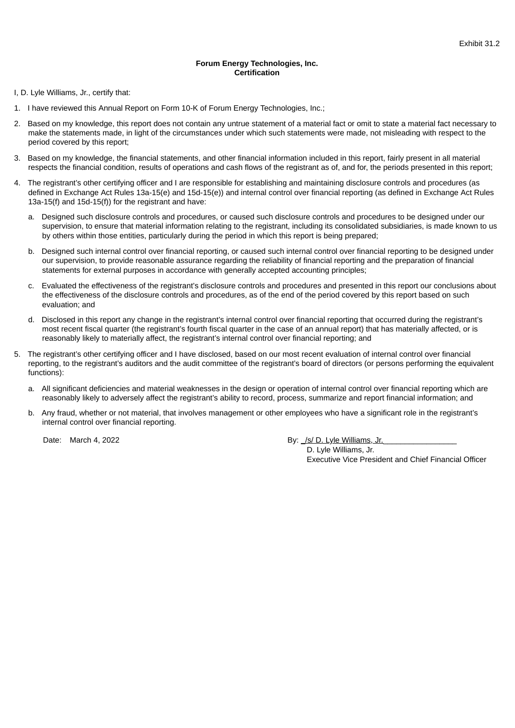# **Forum Energy Technologies, Inc. Certification**

<span id="page-84-0"></span>I, D. Lyle Williams, Jr., certify that:

- 1. I have reviewed this Annual Report on Form 10-K of Forum Energy Technologies, Inc.;
- 2. Based on my knowledge, this report does not contain any untrue statement of a material fact or omit to state a material fact necessary to make the statements made, in light of the circumstances under which such statements were made, not misleading with respect to the period covered by this report;
- 3. Based on my knowledge, the financial statements, and other financial information included in this report, fairly present in all material respects the financial condition, results of operations and cash flows of the registrant as of, and for, the periods presented in this report;
- 4. The registrant's other certifying officer and I are responsible for establishing and maintaining disclosure controls and procedures (as defined in Exchange Act Rules 13a-15(e) and 15d-15(e)) and internal control over financial reporting (as defined in Exchange Act Rules 13a-15(f) and 15d-15(f)) for the registrant and have:
	- a. Designed such disclosure controls and procedures, or caused such disclosure controls and procedures to be designed under our supervision, to ensure that material information relating to the registrant, including its consolidated subsidiaries, is made known to us by others within those entities, particularly during the period in which this report is being prepared;
	- b. Designed such internal control over financial reporting, or caused such internal control over financial reporting to be designed under our supervision, to provide reasonable assurance regarding the reliability of financial reporting and the preparation of financial statements for external purposes in accordance with generally accepted accounting principles;
	- c. Evaluated the effectiveness of the registrant's disclosure controls and procedures and presented in this report our conclusions about the effectiveness of the disclosure controls and procedures, as of the end of the period covered by this report based on such evaluation; and
	- d. Disclosed in this report any change in the registrant's internal control over financial reporting that occurred during the registrant's most recent fiscal quarter (the registrant's fourth fiscal quarter in the case of an annual report) that has materially affected, or is reasonably likely to materially affect, the registrant's internal control over financial reporting; and
- 5. The registrant's other certifying officer and I have disclosed, based on our most recent evaluation of internal control over financial reporting, to the registrant's auditors and the audit committee of the registrant's board of directors (or persons performing the equivalent functions):
	- a. All significant deficiencies and material weaknesses in the design or operation of internal control over financial reporting which are reasonably likely to adversely affect the registrant's ability to record, process, summarize and report financial information; and
	- b. Any fraud, whether or not material, that involves management or other employees who have a significant role in the registrant's internal control over financial reporting.

Date: March 4, 2022 **By:** Letter By: Letter By: Letter March 4, 2022

D. Lyle Williams, Jr. Executive Vice President and Chief Financial Officer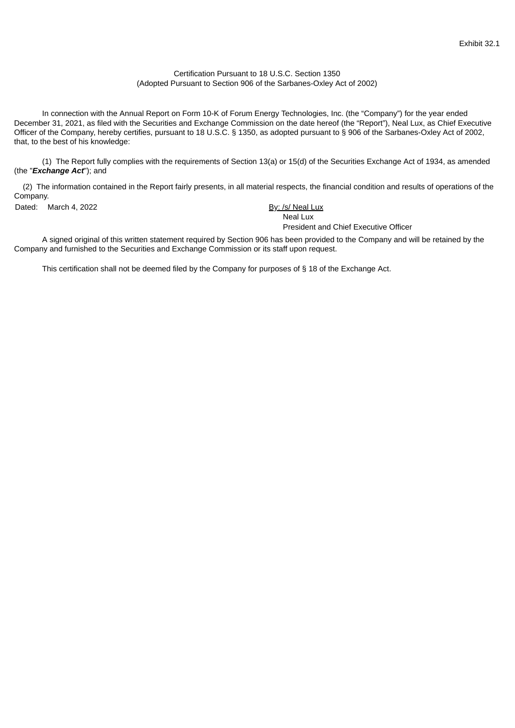# Certification Pursuant to 18 U.S.C. Section 1350 (Adopted Pursuant to Section 906 of the Sarbanes-Oxley Act of 2002)

<span id="page-85-0"></span>In connection with the Annual Report on Form 10-K of Forum Energy Technologies, Inc. (the "Company") for the year ended December 31, 2021, as filed with the Securities and Exchange Commission on the date hereof (the "Report"), Neal Lux, as Chief Executive Officer of the Company, hereby certifies, pursuant to 18 U.S.C. § 1350, as adopted pursuant to § 906 of the Sarbanes-Oxley Act of 2002, that, to the best of his knowledge:

(1) The Report fully complies with the requirements of Section 13(a) or 15(d) of the Securities Exchange Act of 1934, as amended (the "*Exchange Act*"); and

(2) The information contained in the Report fairly presents, in all material respects, the financial condition and results of operations of the Company.

Dated: March 4, 2022 By: /s/ Neal Lux

# Neal Lux

President and Chief Executive Officer

A signed original of this written statement required by Section 906 has been provided to the Company and will be retained by the Company and furnished to the Securities and Exchange Commission or its staff upon request.

This certification shall not be deemed filed by the Company for purposes of § 18 of the Exchange Act.